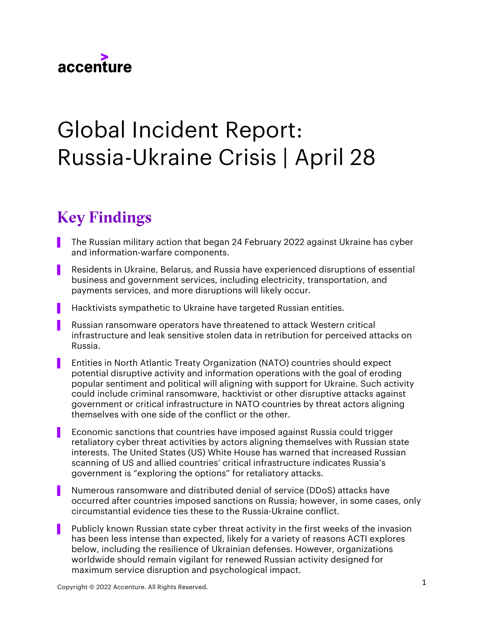

# Global Incident Report: Russia-Ukraine Crisis | April 28

## Key Findings

- ▌ The Russian military action that began 24 February 2022 against Ukraine has cyber and information-warfare components.
- Residents in Ukraine, Belarus, and Russia have experienced disruptions of essential business and government services, including electricity, transportation, and payments services, and more disruptions will likely occur.
- Hacktivists sympathetic to Ukraine have targeted Russian entities.
- ▌ Russian ransomware operators have threatened to attack Western critical infrastructure and leak sensitive stolen data in retribution for perceived attacks on Russia.
- ▌ Entities in North Atlantic Treaty Organization (NATO) countries should expect potential disruptive activity and information operations with the goal of eroding popular sentiment and political will aligning with support for Ukraine. Such activity could include criminal ransomware, hacktivist or other disruptive attacks against government or critical infrastructure in NATO countries by threat actors aligning themselves with one side of the conflict or the other.
- Economic sanctions that countries have imposed against Russia could trigger retaliatory cyber threat activities by actors aligning themselves with Russian state interests. The United States (US) White House has warned that increased Russian scanning of US and allied countries' critical infrastructure indicates Russia's government is "exploring the options" for retaliatory attacks.
- Numerous ransomware and distributed denial of service (DDoS) attacks have occurred after countries imposed sanctions on Russia; however, in some cases, only circumstantial evidence ties these to the Russia-Ukraine conflict.
- Publicly known Russian state cyber threat activity in the first weeks of the invasion has been less intense than expected, likely for a variety of reasons ACTI explores below, including the resilience of Ukrainian defenses. However, organizations worldwide should remain vigilant for renewed Russian activity designed for maximum service disruption and psychological impact.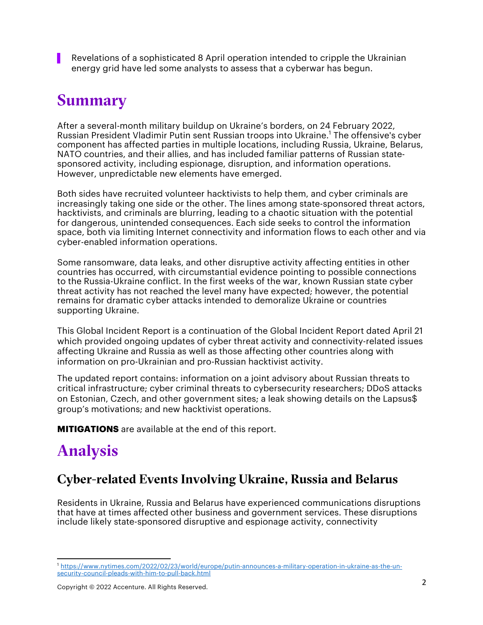Revelations of a sophisticated 8 April operation intended to cripple the Ukrainian energy grid have led some analysts to assess that a cyberwar has begun.

## Summary

After a several-month military buildup on Ukraine's borders, on 24 February 2022, Russian President Vladimir Putin sent Russian troops into Ukraine.<sup>1</sup> The offensive's cyber component has affected parties in multiple locations, including Russia, Ukraine, Belarus, NATO countries, and their allies, and has included familiar patterns of Russian statesponsored activity, including espionage, disruption, and information operations. However, unpredictable new elements have emerged.

Both sides have recruited volunteer hacktivists to help them, and cyber criminals are increasingly taking one side or the other. The lines among state-sponsored threat actors, hacktivists, and criminals are blurring, leading to a chaotic situation with the potential for dangerous, unintended consequences. Each side seeks to control the information space, both via limiting Internet connectivity and information flows to each other and via cyber-enabled information operations.

Some ransomware, data leaks, and other disruptive activity affecting entities in other countries has occurred, with circumstantial evidence pointing to possible connections to the Russia-Ukraine conflict. In the first weeks of the war, known Russian state cyber threat activity has not reached the level many have expected; however, the potential remains for dramatic cyber attacks intended to demoralize Ukraine or countries supporting Ukraine.

This Global Incident Report is a continuation of the Global Incident Report dated April 21 which provided ongoing updates of cyber threat activity and connectivity-related issues affecting Ukraine and Russia as well as those affecting other countries along with information on pro-Ukrainian and pro-Russian hacktivist activity.

The updated report contains: information on a joint advisory about Russian threats to critical infrastructure; cyber criminal threats to cybersecurity researchers; DDoS attacks on Estonian, Czech, and other government sites; a leak showing details on the Lapsus\$ group's motivations; and new hacktivist operations.

**MITIGATIONS** are available at the end of this report.

## Analysis

## Cyber-related Events Involving Ukraine, Russia and Belarus

Residents in Ukraine, Russia and Belarus have experienced communications disruptions that have at times affected other business and government services. These disruptions include likely state-sponsored disruptive and espionage activity, connectivity

<sup>1</sup> https://www.nytimes.com/2022/02/23/world/europe/putin-announces-a-military-operation-in-ukraine-as-the-unsecurity-council-pleads-with-him-to-pull-back.html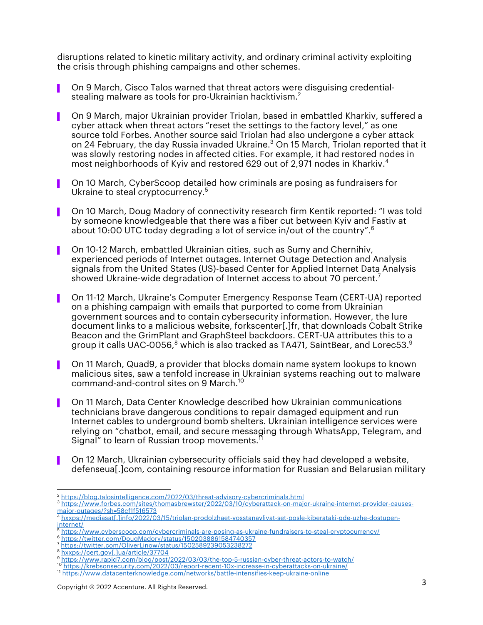disruptions related to kinetic military activity, and ordinary criminal activity exploiting the crisis through phishing campaigns and other schemes.

- On 9 March, Cisco Talos warned that threat actors were disguising credentialstealing malware as tools for pro-Ukrainian hacktivism. $^{\rm 2}$
- ▌ On 9 March, major Ukrainian provider Triolan, based in embattled Kharkiv, suffered a cyber attack when threat actors "reset the settings to the factory level," as one source told Forbes. Another source said Triolan had also undergone a cyber attack on 24 February, the day Russia invaded Ukraine. <sup>3</sup> On 15 March, Triolan reported that it was slowly restoring nodes in affected cities. For example, it had restored nodes in most neighborhoods of Kyiv and restored 629 out of 2,971 nodes in Kharkiv. 4
- ▌ On 10 March, CyberScoop detailed how criminals are posing as fundraisers for Ukraine to steal cryptocurrency.<sup>5</sup>
- ▌ On 10 March, Doug Madory of connectivity research firm Kentik reported: "I was told by someone knowledgeable that there was a fiber cut between Kyiv and Fastiv at about 10:00 UTC today degrading a lot of service in/out of the country". 6
- ▌ On 10-12 March, embattled Ukrainian cities, such as Sumy and Chernihiv, experienced periods of Internet outages. Internet Outage Detection and Analysis signals from the United States (US)-based Center for Applied Internet Data Analysis showed Ukraine-wide degradation of Internet access to about 70 percent. $^7$
- ▌ On 11-12 March, Ukraine's Computer Emergency Response Team (CERT-UA) reported on a phishing campaign with emails that purported to come from Ukrainian government sources and to contain cybersecurity information. However, the lure document links to a malicious website, forkscenter[.]fr, that downloads Cobalt Strike Beacon and the GrimPlant and GraphSteel backdoors. CERT-UA attributes this to a group it calls UAC-0056, $^8$  which is also tracked as TA471, SaintBear, and Lorec53. $^9$
- ▌ On 11 March, Quad9, a provider that blocks domain name system lookups to known malicious sites, saw a tenfold increase in Ukrainian systems reaching out to malware command-and-control sites on 9 March. 10
- ▌ On 11 March, Data Center Knowledge described how Ukrainian communications technicians brave dangerous conditions to repair damaged equipment and run Internet cables to underground bomb shelters. Ukrainian intelligence services were relying on "chatbot, email, and secure messaging through WhatsApp, Telegram, and Signal" to learn of Russian troop movements. 11
- ▌ On 12 March, Ukrainian cybersecurity officials said they had developed a website, defenseua[.]com, containing resource information for Russian and Belarusian military

- <sup>7</sup> https://twitter.com/OliverLinow/status/1502589239053238272
- 

<sup>&</sup>lt;sup>2</sup> https://blog.talosintelligence.com/2022/03/threat-advisory-cybercriminals.html<br><sup>3</sup> https://www.forbes.com/sites/thomasbrewster/2022/03/10/cyberattack-on-major-ukraine-internet-provider-causesmajor-outages/?sh=58cf1f516573

<sup>4</sup> hxxps://mediasat[.]info/2022/03/15/triolan-prodolzhaet-vosstanavlivat-set-posle-kiberataki-gde-uzhe-dostupeninternet/

<sup>5</sup> https://www.cyberscoop.com/cybercriminals-are-posing-as-ukraine-fundraisers-to-steal-cryptocurrency/

<sup>6</sup> https://twitter.com/DougMadory/status/1502038861584740357

<sup>8&</sup>lt;br>hxxps://cert.gov[.]ua/article/37704<br>https://www.rapid7.com/blog/post/2022/03/03/the-top-5-russian-cyber-threat-actors-to-watch/

<sup>&</sup>lt;sup>10</sup> https://krebsonsecurity.com/2022/03/report-recent-10x-increase-in-cyberattacks-on-ukraine/

<sup>11</sup> https://www.datacenterknowledge.com/networks/battle-intensifies-keep-ukraine-online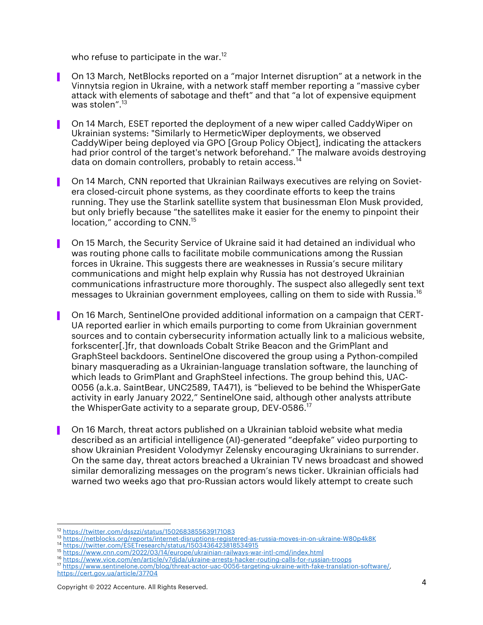who refuse to participate in the war.<sup>12</sup>

- ▌ On 13 March, NetBlocks reported on a "major Internet disruption" at a network in the Vinnytsia region in Ukraine, with a network staff member reporting a "massive cyber attack with elements of sabotage and theft" and that "a lot of expensive equipment was stolen". 13
- ▌ On 14 March, ESET reported the deployment of a new wiper called CaddyWiper on Ukrainian systems: "Similarly to HermeticWiper deployments, we observed CaddyWiper being deployed via GPO [Group Policy Object], indicating the attackers had prior control of the target's network beforehand." The malware avoids destroying data on domain controllers, probably to retain access.<sup>14</sup>
- ▌ On 14 March, CNN reported that Ukrainian Railways executives are relying on Sovietera closed-circuit phone systems, as they coordinate efforts to keep the trains running. They use the Starlink satellite system that businessman Elon Musk provided, but only briefly because "the satellites make it easier for the enemy to pinpoint their location," according to CNN.<sup>15</sup>
- ▌ On 15 March, the Security Service of Ukraine said it had detained an individual who was routing phone calls to facilitate mobile communications among the Russian forces in Ukraine. This suggests there are weaknesses in Russia's secure military communications and might help explain why Russia has not destroyed Ukrainian communications infrastructure more thoroughly. The suspect also allegedly sent text messages to Ukrainian government employees, calling on them to side with Russia. 16
- ▌ On 16 March, SentinelOne provided additional information on a campaign that CERT-UA reported earlier in which emails purporting to come from Ukrainian government sources and to contain cybersecurity information actually link to a malicious website, forkscenter[.]fr, that downloads Cobalt Strike Beacon and the GrimPlant and GraphSteel backdoors. SentinelOne discovered the group using a Python-compiled binary masquerading as a Ukrainian-language translation software, the launching of which leads to GrimPlant and GraphSteel infections. The group behind this, UAC-0056 (a.k.a. SaintBear, UNC2589, TA471), is "believed to be behind the WhisperGate activity in early January 2022," SentinelOne said, although other analysts attribute the WhisperGate activity to a separate group, DEV-0586. $^{17}$
- ▌ On 16 March, threat actors published on a Ukrainian tabloid website what media described as an artificial intelligence (AI)-generated "deepfake" video purporting to show Ukrainian President Volodymyr Zelensky encouraging Ukrainians to surrender. On the same day, threat actors breached a Ukrainian TV news broadcast and showed similar demoralizing messages on the program's news ticker. Ukrainian officials had warned two weeks ago that pro-Russian actors would likely attempt to create such

https://twitter.com/dsszzi/status/1502683855639171083

<sup>13</sup> https://netblocks.org/reports/internet-disruptions-registered-as-russia-moves-in-on-ukraine-W80p4k8K<br><sup>14</sup> https://twitter.com/ESETresearch/status/1503436423818534915

<sup>15</sup> https://www.cnn.com/2022/03/14/europe/ukrainian-railways-war-intl-cmd/index.html

<sup>&</sup>lt;sup>17</sup> https://www.sentinelone.com/blog/threat-actor-uac-0056-targeting-ukraine-with-fake-translation-software/, https://cert.gov.ua/article/37704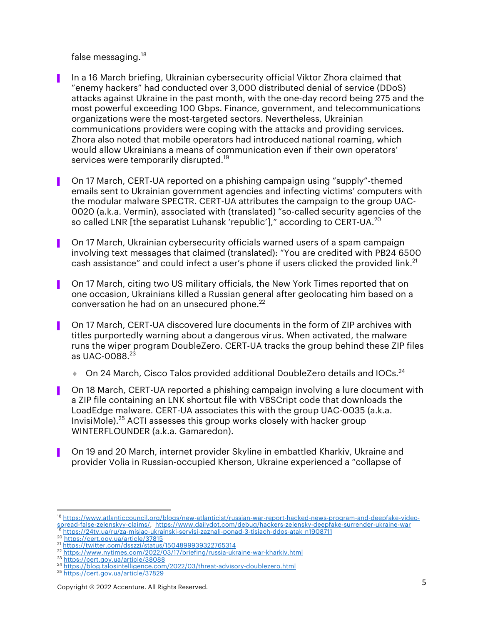false messaging.<sup>18</sup>

- ▌ In a 16 March briefing, Ukrainian cybersecurity official Viktor Zhora claimed that "enemy hackers" had conducted over 3,000 distributed denial of service (DDoS) attacks against Ukraine in the past month, with the one-day record being 275 and the most powerful exceeding 100 Gbps. Finance, government, and telecommunications organizations were the most-targeted sectors. Nevertheless, Ukrainian communications providers were coping with the attacks and providing services. Zhora also noted that mobile operators had introduced national roaming, which would allow Ukrainians a means of communication even if their own operators' services were temporarily disrupted.<sup>19</sup>
- ▌ On 17 March, CERT-UA reported on a phishing campaign using "supply"-themed emails sent to Ukrainian government agencies and infecting victims' computers with the modular malware SPECTR. CERT-UA attributes the campaign to the group UAC-0020 (a.k.a. Vermin), associated with (translated) "so-called security agencies of the so called LNR [the separatist Luhansk 'republic']," according to CERT-UA.<sup>20</sup>
- ▌ On 17 March, Ukrainian cybersecurity officials warned users of a spam campaign involving text messages that claimed (translated): "You are credited with PB24 6500 cash assistance" and could infect a user's phone if users clicked the provided link.<sup>21</sup>
- ▌ On 17 March, citing two US military officials, the New York Times reported that on one occasion, Ukrainians killed a Russian general after geolocating him based on a conversation he had on an unsecured phone.<sup>22</sup>
- ▌ On 17 March, CERT-UA discovered lure documents in the form of ZIP archives with titles purportedly warning about a dangerous virus. When activated, the malware runs the wiper program DoubleZero. CERT-UA tracks the group behind these ZIP files as UAC-0088.<sup>23</sup>
	- $\bullet$  On 24 March, Cisco Talos provided additional DoubleZero details and IOCs.<sup>24</sup>
- ▌ On 18 March, CERT-UA reported a phishing campaign involving a lure document with a ZIP file containing an LNK shortcut file with VBSCript code that downloads the LoadEdge malware. CERT-UA associates this with the group UAC-0035 (a.k.a. InvisiMole).<sup>25</sup> ACTI assesses this group works closely with hacker group WINTERFLOUNDER (a.k.a. Gamaredon).
- ▌ On 19 and 20 March, internet provider Skyline in embattled Kharkiv, Ukraine and provider Volia in Russian-occupied Kherson, Ukraine experienced a "collapse of

<sup>18</sup> https://www.atlanticcouncil.org/blogs/new-atlanticist/russian-war-report-hacked-news-program-and-deepfake-videospread-false-zelenskyy-claims/, https://www.dailydot.com/debug/hackers-zelensky-deepfake-surrender-ukraine-war<br>18 https://24ty.us/su/claims/, https://www.dailydot.com/debug/hackers-zelensky-deepfake-surrender-ukraine-war <sup>19</sup> https://24tv.ua/ru/za-misjac-ukrainski-servisi-zaznali-ponad-3-tisjach-ddos-atak\_n1908711<br><sup>20</sup> https://cert.gov.ua/article/37815

<sup>21</sup> https://twitter.com/dsszzi/status/1504899939322765314

<sup>&</sup>lt;sup>22</sup> https://www.nytimes.com/2022/03/17/briefing/russia-ukraine-war-kharkiv.html<br><sup>23</sup> https://cert.gov.ua/article/38088

<sup>&</sup>lt;sup>24</sup> https://blog.talosintelligence.com/2022/03/threat-advisory-doublezero.html

<sup>25</sup> https://cert.gov.ua/article/37829

Copyright © 2022 Accenture. All Rights Reserved. 5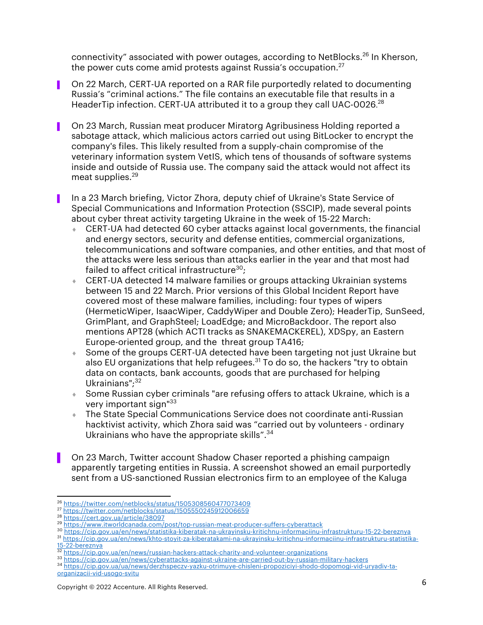connectivity" associated with power outages, according to NetBlocks.<sup>26</sup> In Kherson, the power cuts come amid protests against Russia's occupation. $27$ 

- ▌ On 22 March, CERT-UA reported on a RAR file purportedly related to documenting Russia's "criminal actions." The file contains an executable file that results in a HeaderTip infection. CERT-UA attributed it to a group they call UAC-0026.<sup>28</sup>
- On 23 March, Russian meat producer Miratorg Agribusiness Holding reported a sabotage attack, which malicious actors carried out using BitLocker to encrypt the company's files. This likely resulted from a supply-chain compromise of the veterinary information system VetIS, which tens of thousands of software systems inside and outside of Russia use. The company said the attack would not affect its meat supplies. 29
- ▌ In a 23 March briefing, Victor Zhora, deputy chief of Ukraine's State Service of Special Communications and Information Protection (SSCIP), made several points about cyber threat activity targeting Ukraine in the week of 15-22 March:
	- $\bullet$  CERT-UA had detected 60 cyber attacks against local governments, the financial and energy sectors, security and defense entities, commercial organizations, telecommunications and software companies, and other entities, and that most of the attacks were less serious than attacks earlier in the year and that most had failed to affect critical infrastructure $30$ :
	- CERT-UA detected 14 malware families or groups attacking Ukrainian systems between 15 and 22 March. Prior versions of this Global Incident Report have covered most of these malware families, including: four types of wipers (HermeticWiper, IsaacWiper, CaddyWiper and Double Zero); HeaderTip, SunSeed, GrimPlant, and GraphSteel; LoadEdge; and MicroBackdoor. The report also mentions APT28 (which ACTI tracks as SNAKEMACKEREL), XDSpy, an Eastern Europe-oriented group, and the threat group TA416;
	- Some of the groups CERT-UA detected have been targeting not just Ukraine but also EU organizations that help refugees.<sup>31</sup> To do so, the hackers "try to obtain data on contacts, bank accounts, goods that are purchased for helping Ukrainians"; 32
	- Some Russian cyber criminals "are refusing offers to attack Ukraine, which is a very important sign"<sup>33</sup>
	- ↓ The State Special Communications Service does not coordinate anti-Russian hacktivist activity, which Zhora said was "carried out by volunteers - ordinary Ukrainians who have the appropriate skills".<sup>34</sup>
	- ▌ On 23 March, Twitter account Shadow Chaser reported a phishing campaign apparently targeting entities in Russia. A screenshot showed an email purportedly sent from a US-sanctioned Russian electronics firm to an employee of the Kaluga

<sup>30</sup> https://cip.gov.ua/en/news/statistika-kiberatak-na-ukrayinsku-kritichnu-informaciinu-infrastrukturu-15-22-bereznya <sup>31</sup> https://cip.gov.ua/en/news/khto-stoyit-za-kiberatakami-na-ukrayinsku-kritichnu-informaciinu-infrastrukturu-statistika-15-22-bereznya

<sup>26</sup> https://twitter.com/netblocks/status/1505308560477073409

<sup>&</sup>lt;sup>27</sup> https://twitter.com/netblocks/status/1505550245912006659<br><sup>28</sup> https://cert.gov.ua/article/38097

<sup>&</sup>lt;sup>29</sup> https://www.itworldcanada.com/post/top-russian-meat-producer-suffers-cyberattack

<sup>32</sup> https://cip.gov.ua/en/news/russian-hackers-attack-charity-and-volunteer-organizations

<sup>33</sup> https://cip.gov.ua/en/news/cyberattacks-against-ukraine-are-carried-out-by-russian-military-hackers <sup>34</sup> https://cip.gov.ua/ua/news/derzhspeczv-yazku-otrimuye-chisleni-propoziciyi-shodo-dopomogi-vid-uryadiv-taorganizacii-vid-usogo-svitu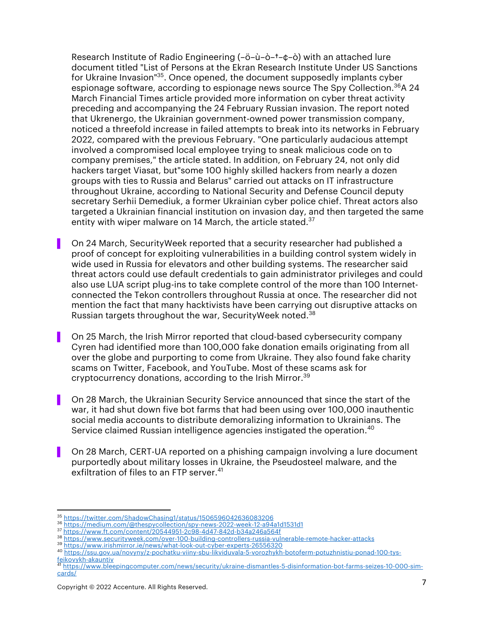Research Institute of Radio Engineering (–ö–ù–ò–†–¢–ò) with an attached lure document titled "List of Persons at the Ekran Research Institute Under US Sanctions for Ukraine Invasion<sup>135</sup>. Once opened, the document supposedly implants cyber espionage software, according to espionage news source The Spy Collection.<sup>36</sup>A 24 March Financial Times article provided more information on cyber threat activity preceding and accompanying the 24 February Russian invasion. The report noted that Ukrenergo, the Ukrainian government-owned power transmission company, noticed a threefold increase in failed attempts to break into its networks in February 2022, compared with the previous February. "One particularly audacious attempt involved a compromised local employee trying to sneak malicious code on to company premises," the article stated. In addition, on February 24, not only did hackers target Viasat, but"some 100 highly skilled hackers from nearly a dozen groups with ties to Russia and Belarus" carried out attacks on IT infrastructure throughout Ukraine, according to National Security and Defense Council deputy secretary Serhii Demediuk, a former Ukrainian cyber police chief. Threat actors also targeted a Ukrainian financial institution on invasion day, and then targeted the same entity with wiper malware on 14 March, the article stated. $^{37}$ 

- ▌ On 24 March, SecurityWeek reported that a security researcher had published a proof of concept for exploiting vulnerabilities in a building control system widely in wide used in Russia for elevators and other building systems. The researcher said threat actors could use default credentials to gain administrator privileges and could also use LUA script plug-ins to take complete control of the more than 100 Internetconnected the Tekon controllers throughout Russia at once. The researcher did not mention the fact that many hacktivists have been carrying out disruptive attacks on Russian targets throughout the war, SecurityWeek noted.<sup>38</sup>
- ▌ On 25 March, the Irish Mirror reported that cloud-based cybersecurity company Cyren had identified more than 100,000 fake donation emails originating from all over the globe and purporting to come from Ukraine. They also found fake charity scams on Twitter, Facebook, and YouTube. Most of these scams ask for cryptocurrency donations, according to the Irish Mirror. 39
- On 28 March, the Ukrainian Security Service announced that since the start of the war, it had shut down five bot farms that had been using over 100,000 inauthentic social media accounts to distribute demoralizing information to Ukrainians. The Service claimed Russian intelligence agencies instigated the operation. 40
- ▌ On 28 March, CERT-UA reported on a phishing campaign involving a lure document purportedly about military losses in Ukraine, the Pseudosteel malware, and the exfiltration of files to an FTP server. 41

<sup>35</sup> https://twitter.com/ShadowChasing1/status/1506596042636083206 <sup>36</sup> https://medium.com/@thespycollection/spy-news-2022-week-12-a94a1d1531d1

<sup>37</sup> https://www.ft.com/content/20544951-2c98-4d47-842d-b34a246a564f

<sup>38</sup> https://www.securityweek.com/over-100-building-controllers-russia-vulnerable-remote-hacker-attacks <sup>39</sup> https://www.irishmirror.ie/news/what-look-out-cyber-experts-26556320

<sup>40</sup> https://ssu.gov.ua/novyny/z-pochatku-viiny-sbu-likviduvala-5-vorozhykh-botoferm-potuzhnistiu-ponad-100-tys-

feikovykh-akauntiv <sup>41</sup> https://www.bleepingcomputer.com/news/security/ukraine-dismantles-5-disinformation-bot-farms-seizes-10-000-simcards/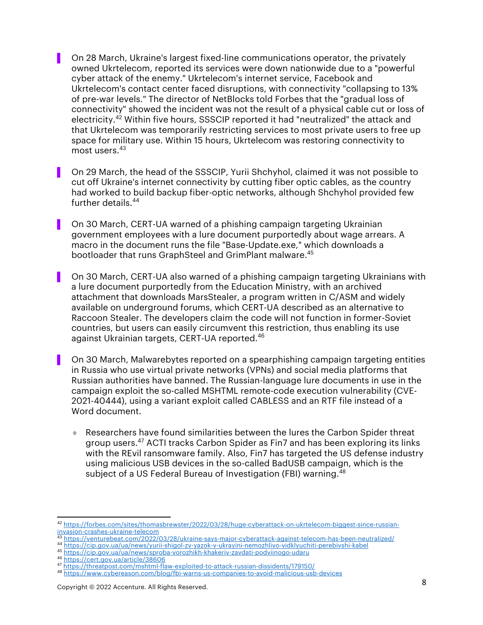▌ On 28 March, Ukraine's largest fixed-line communications operator, the privately owned Ukrtelecom, reported its services were down nationwide due to a "powerful cyber attack of the enemy." Ukrtelecom's internet service, Facebook and Ukrtelecom's contact center faced disruptions, with connectivity "collapsing to 13% of pre-war levels." The director of NetBlocks told Forbes that the "gradual loss of connectivity" showed the incident was not the result of a physical cable cut or loss of electricity.42 Within five hours, SSSCIP reported it had "neutralized" the attack and that Ukrtelecom was temporarily restricting services to most private users to free up space for military use. Within 15 hours, Ukrtelecom was restoring connectivity to most users. 43

- ▌ On 29 March, the head of the SSSCIP, Yurii Shchyhol, claimed it was not possible to cut off Ukraine's internet connectivity by cutting fiber optic cables, as the country had worked to build backup fiber-optic networks, although Shchyhol provided few further details. 44
- ▌ On 30 March, CERT-UA warned of a phishing campaign targeting Ukrainian government employees with a lure document purportedly about wage arrears. A macro in the document runs the file "Base-Update.exe," which downloads a bootloader that runs GraphSteel and GrimPlant malware. 45
- ▌ On 30 March, CERT-UA also warned of a phishing campaign targeting Ukrainians with a lure document purportedly from the Education Ministry, with an archived attachment that downloads MarsStealer, a program written in C/ASM and widely available on underground forums, which CERT-UA described as an alternative to Raccoon Stealer. The developers claim the code will not function in former-Soviet countries, but users can easily circumvent this restriction, thus enabling its use against Ukrainian targets, CERT-UA reported.<sup>46</sup>
- ▌ On 30 March, Malwarebytes reported on a spearphishing campaign targeting entities in Russia who use virtual private networks (VPNs) and social media platforms that Russian authorities have banned. The Russian-language lure documents in use in the campaign exploit the so-called MSHTML remote-code execution vulnerability (CVE-2021-40444), using a variant exploit called CABLESS and an RTF file instead of a Word document.
	- Researchers have found similarities between the lures the Carbon Spider threat group users. <sup>47</sup> ACTI tracks Carbon Spider as Fin7 and has been exploring its links with the REvil ransomware family. Also, Fin7 has targeted the US defense industry using malicious USB devices in the so-called BadUSB campaign, which is the subject of a US Federal Bureau of Investigation (FBI) warning.<sup>48</sup>

<sup>42</sup> https://forbes.com/sites/thomasbrewster/2022/03/28/huge-cyberattack-on-ukrtelecom-biggest-since-russianinvasion-crashes-ukraine-telecom<br><sup>43</sup> https://venturebeat.com/2022/03/28/ukraine-says-major-cyberattack-against-telecom-has-been-neutralized/

<sup>44</sup> https://cip.gov.ua/ua/news/yurii-shigol-zv-yazok-v-ukrayini-nemozhlivo-vidklyuchiti-perebivshi-kabel

<sup>45</sup> https://cip.gov.ua/ua/news/sproba-vorozhikh-khakeriv-zavdati-podviinogo-udaru

<sup>47</sup> https://threatpost.com/mshtml-flaw-exploited-to-attack-russian-dissidents/179150/

<sup>48</sup> https://www.cybereason.com/blog/fbi-warns-us-companies-to-avoid-malicious-usb-devices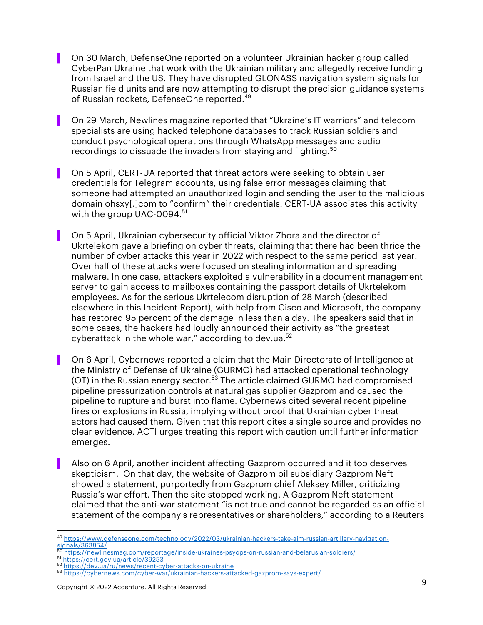- ▌ On 30 March, DefenseOne reported on a volunteer Ukrainian hacker group called CyberPan Ukraine that work with the Ukrainian military and allegedly receive funding from Israel and the US. They have disrupted GLONASS navigation system signals for Russian field units and are now attempting to disrupt the precision guidance systems of Russian rockets, DefenseOne reported. 49
- ▌ On 29 March, Newlines magazine reported that "Ukraine's IT warriors" and telecom specialists are using hacked telephone databases to track Russian soldiers and conduct psychological operations through WhatsApp messages and audio recordings to dissuade the invaders from staying and fighting.<sup>50</sup>
- On 5 April, CERT-UA reported that threat actors were seeking to obtain user credentials for Telegram accounts, using false error messages claiming that someone had attempted an unauthorized login and sending the user to the malicious domain ohsxy[.]com to "confirm" their credentials. CERT-UA associates this activity with the group UAC-0094.<sup>51</sup>
- ▌ On 5 April, Ukrainian cybersecurity official Viktor Zhora and the director of Ukrtelekom gave a briefing on cyber threats, claiming that there had been thrice the number of cyber attacks this year in 2022 with respect to the same period last year. Over half of these attacks were focused on stealing information and spreading malware. In one case, attackers exploited a vulnerability in a document management server to gain access to mailboxes containing the passport details of Ukrtelekom employees. As for the serious Ukrtelecom disruption of 28 March (described elsewhere in this Incident Report), with help from Cisco and Microsoft, the company has restored 95 percent of the damage in less than a day. The speakers said that in some cases, the hackers had loudly announced their activity as "the greatest cyberattack in the whole war," according to dev.ua. $52$
- On 6 April, Cybernews reported a claim that the Main Directorate of Intelligence at the Ministry of Defense of Ukraine (GURMO) had attacked operational technology (OT) in the Russian energy sector.<sup>53</sup> The article claimed GURMO had compromised pipeline pressurization controls at natural gas supplier Gazprom and caused the pipeline to rupture and burst into flame. Cybernews cited several recent pipeline fires or explosions in Russia, implying without proof that Ukrainian cyber threat actors had caused them. Given that this report cites a single source and provides no clear evidence, ACTI urges treating this report with caution until further information emerges.
- ▌ Also on 6 April, another incident affecting Gazprom occurred and it too deserves skepticism. On that day, the website of Gazprom oil subsidiary Gazprom Neft showed a statement, purportedly from Gazprom chief Aleksey Miller, criticizing Russia's war effort. Then the site stopped working. A Gazprom Neft statement claimed that the anti-war statement "is not true and cannot be regarded as an official statement of the company's representatives or shareholders," according to a Reuters

Copyright © 2022 Accenture. All Rights Reserved. 9

<sup>49</sup> https://www.defenseone.com/technology/2022/03/ukrainian-hackers-take-aim-russian-artillery-navigation- $\frac{1}{\text{signals}/363854/50}$ 

<sup>&</sup>lt;sup>50</sup> https://newlinesmag.com/reportage/inside-ukraines-psyops-on-russian-and-belarusian-soldiers/<br><sup>51</sup> https://cert.gov.ua/article/39253

<sup>52</sup> https://dev.ua/ru/news/recent-cyber-attacks-on-ukraine

<sup>53</sup> https://cybernews.com/cyber-war/ukrainian-hackers-attacked-gazprom-says-expert/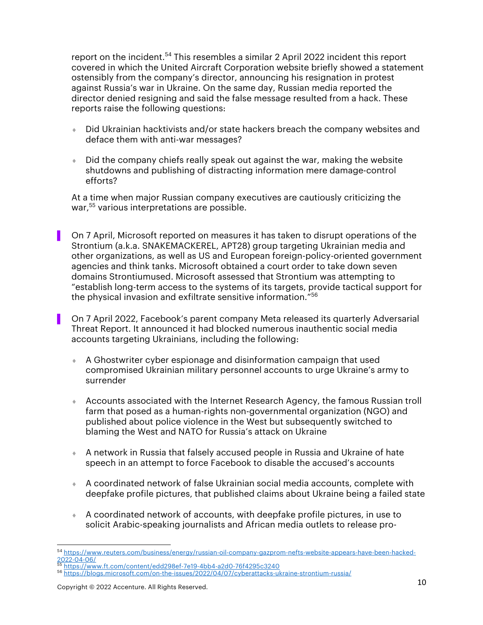report on the incident.<sup>54</sup> This resembles a similar 2 April 2022 incident this report covered in which the United Aircraft Corporation website briefly showed a statement ostensibly from the company's director, announcing his resignation in protest against Russia's war in Ukraine. On the same day, Russian media reported the director denied resigning and said the false message resulted from a hack. These reports raise the following questions:

- $\bullet$  Did Ukrainian hacktivists and/or state hackers breach the company websites and deface them with anti-war messages?
- $\bullet$  Did the company chiefs really speak out against the war, making the website shutdowns and publishing of distracting information mere damage-control efforts?

At a time when major Russian company executives are cautiously criticizing the war, <sup>55</sup> various interpretations are possible.

▌ On 7 April, Microsoft reported on measures it has taken to disrupt operations of the Strontium (a.k.a. SNAKEMACKEREL, APT28) group targeting Ukrainian media and other organizations, as well as US and European foreign-policy-oriented government agencies and think tanks. Microsoft obtained a court order to take down seven domains Strontiumused. Microsoft assessed that Strontium was attempting to "establish long-term access to the systems of its targets, provide tactical support for the physical invasion and exfiltrate sensitive information."<sup>56</sup>

- ▌ On 7 April 2022, Facebook's parent company Meta released its quarterly Adversarial Threat Report. It announced it had blocked numerous inauthentic social media accounts targeting Ukrainians, including the following:
- $\bullet$  A Ghostwriter cyber espionage and disinformation campaign that used compromised Ukrainian military personnel accounts to urge Ukraine's army to surrender
- ↑ Accounts associated with the Internet Research Agency, the famous Russian troll farm that posed as a human-rights non-governmental organization (NGO) and published about police violence in the West but subsequently switched to blaming the West and NATO for Russia's attack on Ukraine
- $\bullet$  A network in Russia that falsely accused people in Russia and Ukraine of hate speech in an attempt to force Facebook to disable the accused's accounts
- $\bullet$  A coordinated network of false Ukrainian social media accounts, complete with deepfake profile pictures, that published claims about Ukraine being a failed state
- ¨ A coordinated network of accounts, with deepfake profile pictures, in use to solicit Arabic-speaking journalists and African media outlets to release pro-

<sup>&</sup>lt;sup>54</sup> https://www.reuters.com/business/energy/russian-oil-company-gazprom-nefts-website-appears-have-been-hacked-<br>2022-04-06/

https://www.ft.com/content/edd298ef-7e19-4bb4-a2d0-76f4295c3240

<sup>56</sup> https://blogs.microsoft.com/on-the-issues/2022/04/07/cyberattacks-ukraine-strontium-russia/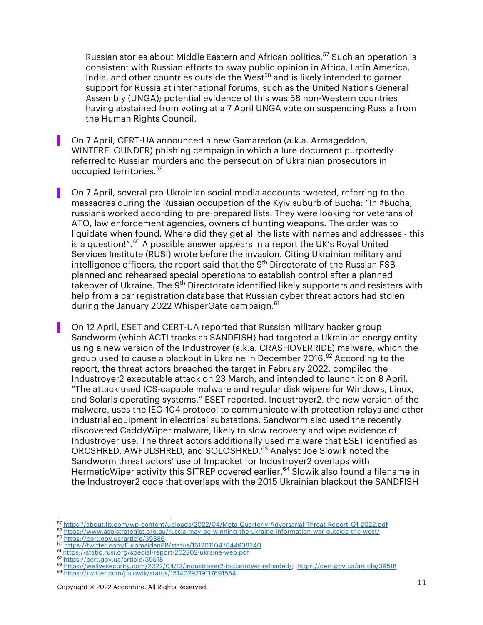Russian stories about Middle Eastern and African politics.<sup>57</sup> Such an operation is consistent with Russian efforts to sway public opinion in Africa, Latin America, India, and other countries outside the West $58$  and is likely intended to garner support for Russia at international forums, such as the United Nations General Assembly (UNGA); potential evidence of this was 58 non-Western countries having abstained from voting at a 7 April UNGA vote on suspending Russia from the Human Rights Council.

- ▌ On 7 April, CERT-UA announced a new Gamaredon (a.k.a. Armageddon, WINTERFLOUNDER) phishing campaign in which a lure document purportedly referred to Russian murders and the persecution of Ukrainian prosecutors in occupied territories.<sup>59</sup>
- ▌ On 7 April, several pro-Ukrainian social media accounts tweeted, referring to the massacres during the Russian occupation of the Kyiv suburb of Bucha: "In #Bucha, russians worked according to pre-prepared lists. They were looking for veterans of ATO, law enforcement agencies, owners of hunting weapons. The order was to liquidate when found. Where did they get all the lists with names and addresses - this is a question!".<sup>60</sup> A possible answer appears in a report the UK's Royal United Services Institute (RUSI) wrote before the invasion. Citing Ukrainian military and intelligence officers, the report said that the  $9<sup>th</sup>$  Directorate of the Russian FSB planned and rehearsed special operations to establish control after a planned takeover of Ukraine. The 9<sup>th</sup> Directorate identified likely supporters and resisters with help from a car registration database that Russian cyber threat actors had stolen during the January 2022 WhisperGate campaign.<sup>61</sup>
- ▌ On 12 April, ESET and CERT-UA reported that Russian military hacker group Sandworm (which ACTI tracks as SANDFISH) had targeted a Ukrainian energy entity using a new version of the Industroyer (a.k.a. CRASHOVERRIDE) malware, which the group used to cause a blackout in Ukraine in December 2016.<sup>62</sup> According to the report, the threat actors breached the target in February 2022, compiled the Industroyer2 executable attack on 23 March, and intended to launch it on 8 April. "The attack used ICS-capable malware and regular disk wipers for Windows, Linux, and Solaris operating systems," ESET reported. Industroyer2, the new version of the malware, uses the IEC-104 protocol to communicate with protection relays and other industrial equipment in electrical substations. Sandworm also used the recently discovered CaddyWiper malware, likely to slow recovery and wipe evidence of Industroyer use. The threat actors additionally used malware that ESET identified as ORCSHRED, AWFULSHRED, and SOLOSHRED.<sup>63</sup> Analyst Joe Slowik noted the Sandworm threat actors' use of Impacket for Industroyer2 overlaps with HermeticWiper activity this SITREP covered earlier.<sup>64</sup> Slowik also found a filename in the Industroyer2 code that overlaps with the 2015 Ukrainian blackout the SANDFISH

<sup>57</sup> https://about.fb.com/wp-content/uploads/2022/04/Meta-Quarterly-Adversarial-Threat-Report\_Q1-2022.pdf

<sup>58</sup> https://www.aspistrategist.org.au/russia-may-be-winning-the-ukraine-information-war-outside-the-west/<br>59 https://cert.gov.ua/article/39386

<sup>60</sup> https://twitter.com/EuromaidanPR/status/1512011047644938240

<sup>&</sup>lt;sup>61</sup> https://static.rusi.org/special-report-202202-ukraine-web.pdf<br><sup>62</sup> https://cert.gov.ua/article/39518

<sup>&</sup>lt;sup>63</sup> https://welivesecurity.com/2022/04/12/industroyer2-industroyer-reloaded/; https://cert.gov.ua/article/39518

<sup>64</sup> https://twitter.com/jfslowik/status/1514029219117891584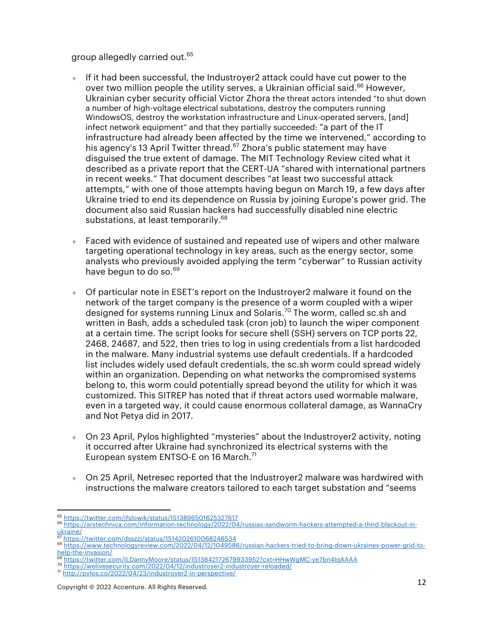group allegedly carried out.<sup>65</sup>

- $\bullet$  If it had been successful, the Industroyer2 attack could have cut power to the over two million people the utility serves, a Ukrainian official said.<sup>66</sup> However, Ukrainian cyber security official Victor Zhora the threat actors intended "to shut down a number of high-voltage electrical substations, destroy the computers running WindowsOS, destroy the workstation infrastructure and Linux-operated servers, [and] infect network equipment" and that they partially succeeded: "a part of the IT infrastructure had already been affected by the time we intervened," according to his agency's 13 April Twitter thread. $67$  Zhora's public statement may have disguised the true extent of damage. The MIT Technology Review cited what it described as a private report that the CERT-UA "shared with international partners in recent weeks." That document describes "at least two successful attack attempts," with one of those attempts having begun on March 19, a few days after Ukraine tried to end its dependence on Russia by joining Europe's power grid. The document also said Russian hackers had successfully disabled nine electric substations, at least temporarily.<sup>68</sup>
- ↓ Faced with evidence of sustained and repeated use of wipers and other malware targeting operational technology in key areas, such as the energy sector, some analysts who previously avoided applying the term "cyberwar" to Russian activity have begun to do so.<sup>69</sup>
- ¨ Of particular note in ESET's report on the Industroyer2 malware it found on the network of the target company is the presence of a worm coupled with a wiper designed for systems running Linux and Solaris.<sup>70</sup> The worm, called sc.sh and written in Bash, adds a scheduled task (cron job) to launch the wiper component at a certain time. The script looks for secure shell (SSH) servers on TCP ports 22, 2468, 24687, and 522, then tries to log in using credentials from a list hardcoded in the malware. Many industrial systems use default credentials. If a hardcoded list includes widely used default credentials, the sc.sh worm could spread widely within an organization. Depending on what networks the compromised systems belong to, this worm could potentially spread beyond the utility for which it was customized. This SITREP has noted that if threat actors used wormable malware, even in a targeted way, it could cause enormous collateral damage, as WannaCry and Not Petya did in 2017.
- On 23 April, Pylos highlighted "mysteries" about the Industroyer2 activity, noting it occurred after Ukraine had synchronized its electrical systems with the European system ENTSO-E on 16 March.<sup>71</sup>
- On 25 April, Netresec reported that the Industroyer2 malware was hardwired with instructions the malware creators tailored to each target substation and "seems

<sup>&</sup>lt;sup>65</sup> https://twitter.com/jfslowik/status/1513896501625327617<br><sup>66</sup> https://arstechnica.com/information-technology/2022/04/russias-sandworm-hackers-attempted-a-third-blackout-in-<u>ukraine/</u><br><sup>67</sup> https://twitter.com/dsszzi/status/1514202610068246534

<sup>68</sup> https://www.technologyreview.com/2022/04/12/1049586/russian-hackers-tried-to-bring-down-ukraines-power-grid-tohelp-the-invasion/

<sup>&</sup>lt;sup>69</sup> https://twitter.com/ILDannyMoore/status/1513842172679933952?cxt=HHwWgMC-ye7bn4IqAAAA<br><sup>70</sup> https://welivesecurity.com/2022/04/12/industroyer2-industroyer-reloaded/

<sup>71</sup> http://pylos.co/2022/04/23/industroyer2-in-perspective/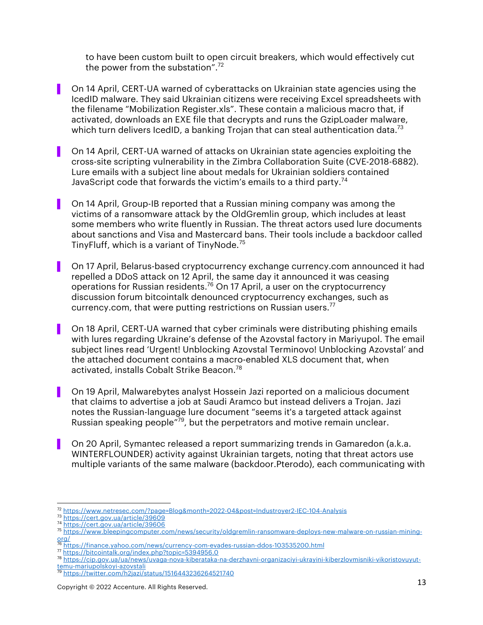to have been custom built to open circuit breakers, which would effectively cut the power from the substation". $72$ 

- ▌ On 14 April, CERT-UA warned of cyberattacks on Ukrainian state agencies using the IcedID malware. They said Ukrainian citizens were receiving Excel spreadsheets with the filename "Mobilization Register.xls". These contain a malicious macro that, if activated, downloads an EXE file that decrypts and runs the GzipLoader malware, which turn delivers IcedID, a banking Trojan that can steal authentication data.<sup>73</sup>
- ▌ On 14 April, CERT-UA warned of attacks on Ukrainian state agencies exploiting the cross-site scripting vulnerability in the Zimbra Collaboration Suite (CVE-2018-6882). Lure emails with a subject line about medals for Ukrainian soldiers contained JavaScript code that forwards the victim's emails to a third party.<sup>74</sup>
- ▌ On 14 April, Group-IB reported that a Russian mining company was among the victims of a ransomware attack by the OldGremlin group, which includes at least some members who write fluently in Russian. The threat actors used lure documents about sanctions and Visa and Mastercard bans. Their tools include a backdoor called TinyFluff, which is a variant of TinyNode.<sup>75</sup>
- ▌ On 17 April, Belarus-based cryptocurrency exchange currency.com announced it had repelled a DDoS attack on 12 April, the same day it announced it was ceasing operations for Russian residents.<sup>76</sup> On 17 April, a user on the cryptocurrency discussion forum bitcointalk denounced cryptocurrency exchanges, such as currency.com, that were putting restrictions on Russian users.<sup>77</sup>
- ▌ On 18 April, CERT-UA warned that cyber criminals were distributing phishing emails with lures regarding Ukraine's defense of the Azovstal factory in Mariyupol. The email subject lines read 'Urgent! Unblocking Azovstal Terminovo! Unblocking Azovstal' and the attached document contains a macro-enabled XLS document that, when activated, installs Cobalt Strike Beacon.78
- ▌ On 19 April, Malwarebytes analyst Hossein Jazi reported on a malicious document that claims to advertise a job at Saudi Aramco but instead delivers a Trojan. Jazi notes the Russian-language lure document "seems it's a targeted attack against Russian speaking people<sup>"79</sup>, but the perpetrators and motive remain unclear.
- ▌ On 20 April, Symantec released a report summarizing trends in Gamaredon (a.k.a. WINTERFLOUNDER) activity against Ukrainian targets, noting that threat actors use multiple variants of the same malware (backdoor.Pterodo), each communicating with

- <sup>76</sup> https://finance.yahoo.com/news/currency-com-evades-russian-ddos-103535200.html
- <sup>77</sup> https://bitcointalk.org/index.php?topic=5394956.0

<sup>72</sup> https://www.netresec.com/?page=Blog&month=2022-04&post=Industroyer2-IEC-104-Analysis

<sup>73</sup> https://cert.gov.ua/article/39609 <sup>74</sup> https://cert.gov.ua/article/39606

<sup>75</sup> https://www.bleepingcomputer.com/news/security/oldgremlin-ransomware-deploys-new-malware-on-russian-miningorg/

<sup>78</sup> https://cip.gov.ua/ua/news/uvaga-nova-kiberataka-na-derzhavni-organizaciyi-ukrayini-kiberzlovmisniki-vikoristovuyuttemu-mariupolskoyi-azovstali

<sup>79</sup> https://twitter.com/h2jazi/status/1516443236264521740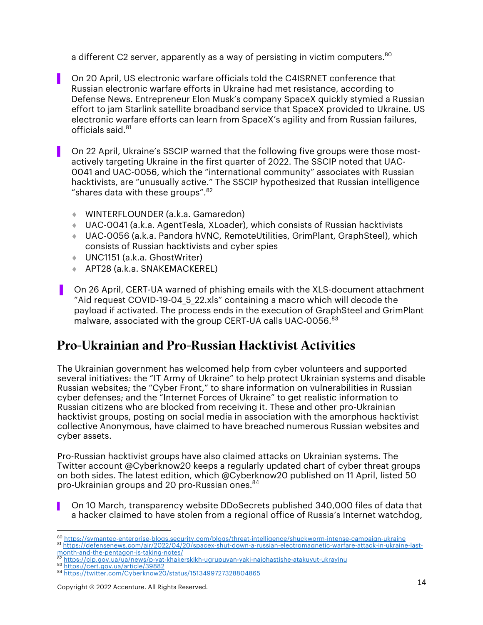a different C2 server, apparently as a way of persisting in victim computers.<sup>80</sup>

- ▌ On 20 April, US electronic warfare officials told the C4ISRNET conference that Russian electronic warfare efforts in Ukraine had met resistance, according to Defense News. Entrepreneur Elon Musk's company SpaceX quickly stymied a Russian effort to jam Starlink satellite broadband service that SpaceX provided to Ukraine. US electronic warfare efforts can learn from SpaceX's agility and from Russian failures, officials said.81
	- ▌ On 22 April, Ukraine's SSCIP warned that the following five groups were those mostactively targeting Ukraine in the first quarter of 2022. The SSCIP noted that UAC-0041 and UAC-0056, which the "international community" associates with Russian hacktivists, are "unusually active." The SSCIP hypothesized that Russian intelligence "shares data with these groups". $82$ 
		- WINTERFLOUNDER (a.k.a. Gamaredon)
		- ¨ UAC-0041 (a.k.a. AgentTesla, XLoader), which consists of Russian hacktivists
		- ◆ UAC-0056 (a.k.a. Pandora hVNC, RemoteUtilities, GrimPlant, GraphSteel), which consists of Russian hacktivists and cyber spies
		- UNC1151 (a.k.a. GhostWriter)
		- ¨ APT28 (a.k.a. SNAKEMACKEREL)
- ▌ On 26 April, CERT-UA warned of phishing emails with the XLS-document attachment "Aid request COVID-19-04\_5\_22.xls" containing a macro which will decode the payload if activated. The process ends in the execution of GraphSteel and GrimPlant malware, associated with the group CERT-UA calls UAC-0056.<sup>83</sup>

### Pro-Ukrainian and Pro-Russian Hacktivist Activities

The Ukrainian government has welcomed help from cyber volunteers and supported several initiatives: the "IT Army of Ukraine" to help protect Ukrainian systems and disable Russian websites; the "Cyber Front," to share information on vulnerabilities in Russian cyber defenses; and the "Internet Forces of Ukraine" to get realistic information to Russian citizens who are blocked from receiving it. These and other pro-Ukrainian hacktivist groups, posting on social media in association with the amorphous hacktivist collective Anonymous, have claimed to have breached numerous Russian websites and cyber assets.

Pro-Russian hacktivist groups have also claimed attacks on Ukrainian systems. The Twitter account @Cyberknow20 keeps a regularly updated chart of cyber threat groups on both sides. The latest edition, which @Cyberknow20 published on 11 April, listed 50 pro-Ukrainian groups and 20 pro-Russian ones. 84

▌ On 10 March, transparency website DDoSecrets published 340,000 files of data that a hacker claimed to have stolen from a regional office of Russia's Internet watchdog,

<sup>&</sup>lt;sup>80</sup> https://symantec-enterprise-blogs.security.com/blogs/threat-intelligence/shuckworm-intense-campaign-ukraine<br><sup>81</sup> https://defensenews.com/air/2022/04/20/spacex-shut-down-a-russian-electromagnetic-warfare-attack-in-ukra month-and-the-pentagon-is-taking-notes/

<sup>&</sup>lt;sup>82</sup> https://cip.gov.ua/ua/news/p-yat-khakerskikh-ugrupuvan-yaki-naichastishe-atakuyut-ukrayinu<br><sup>83</sup> https://cert.gov.ua/article/39882

<sup>84</sup> https://twitter.com/Cyberknow20/status/1513499727328804865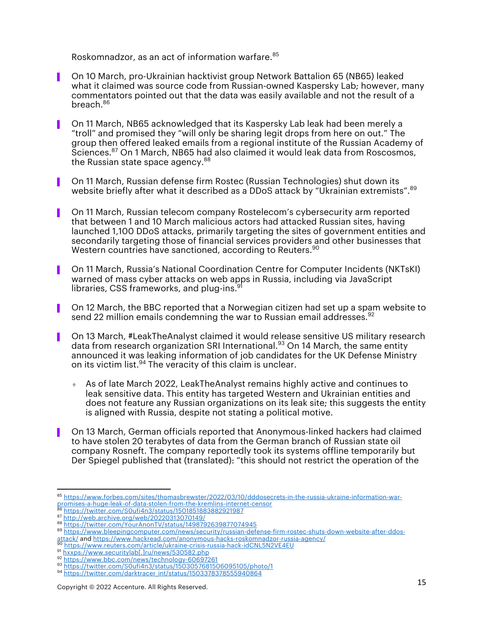Roskomnadzor, as an act of information warfare. 85

- ▌ On 10 March, pro-Ukrainian hacktivist group Network Battalion 65 (NB65) leaked what it claimed was source code from Russian-owned Kaspersky Lab; however, many commentators pointed out that the data was easily available and not the result of a breach. 86
- ▌ On 11 March, NB65 acknowledged that its Kaspersky Lab leak had been merely a "troll" and promised they "will only be sharing legit drops from here on out." The group then offered leaked emails from a regional institute of the Russian Academy of Sciences. <sup>87</sup> On 1 March, NB65 had also claimed it would leak data from Roscosmos, the Russian state space agency.<sup>88</sup>
- ▌ On 11 March, Russian defense firm Rostec (Russian Technologies) shut down its website briefly after what it described as a DDoS attack by "Ukrainian extremists". 89
- ▌ On 11 March, Russian telecom company Rostelecom's cybersecurity arm reported that between 1 and 10 March malicious actors had attacked Russian sites, having launched 1,100 DDoS attacks, primarily targeting the sites of government entities and secondarily targeting those of financial services providers and other businesses that Western countries have sanctioned, according to Reuters. 90
- ▌ On 11 March, Russia's National Coordination Centre for Computer Incidents (NKTsKI) warned of mass cyber attacks on web apps in Russia, including via JavaScript libraries, CSS frameworks, and plug-ins.<sup>91</sup>
- ▌ On 12 March, the BBC reported that a Norwegian citizen had set up a spam website to send 22 million emails condemning the war to Russian email addresses. 92
- ▌ On 13 March, #LeakTheAnalyst claimed it would release sensitive US military research data from research organization SRI International.<sup>93</sup> On 14 March, the same entity announced it was leaking information of job candidates for the UK Defense Ministry on its victim list.<sup>94</sup> The veracity of this claim is unclear.
	- ¨ As of late March 2022, LeakTheAnalyst remains highly active and continues to leak sensitive data. This entity has targeted Western and Ukrainian entities and does not feature any Russian organizations on its leak site; this suggests the entity is aligned with Russia, despite not stating a political motive.
- ▌ On 13 March, German officials reported that Anonymous-linked hackers had claimed to have stolen 20 terabytes of data from the German branch of Russian state oil company Rosneft. The company reportedly took its systems offline temporarily but Der Spiegel published that (translated): "this should not restrict the operation of the

attack/ and https://www.hackread.com/anonymous-hacks-roskomnadzor-russia-agency/ <sup>90</sup> https://www.reuters.com/article/ukraine-crisis-russia-hack-idCNL5N2VE4EU

<sup>85</sup> https://www.forbes.com/sites/thomasbrewster/2022/03/10/dddosecrets-in-the-russia-ukraine-information-warpromises-a-huge-leak-of-data-stolen-from-the-kremlins-internet-censor

<sup>&</sup>lt;sup>86</sup> https://twitter.com/S0ufi4n3/status/1501851883882921987<br><sup>87</sup> http://web.archive.org/web/20220313070149/

<sup>88</sup> https://twitter.com/YourAnonTV/status/1498792639877074945

<sup>89</sup> https://www.bleepingcomputer.com/news/security/russian-defense-firm-rostec-shuts-down-website-after-ddos-

<sup>91</sup> hxxps://www.securitylab[.]ru/news/530582.php<br>92 https://www.bbc.com/news/technology-60697261

<sup>93</sup> https://twitter.com/S0ufi4n3/status/1503057681506095105/photo/1

<sup>94</sup> https://twitter.com/darktracer\_int/status/1503378378555940864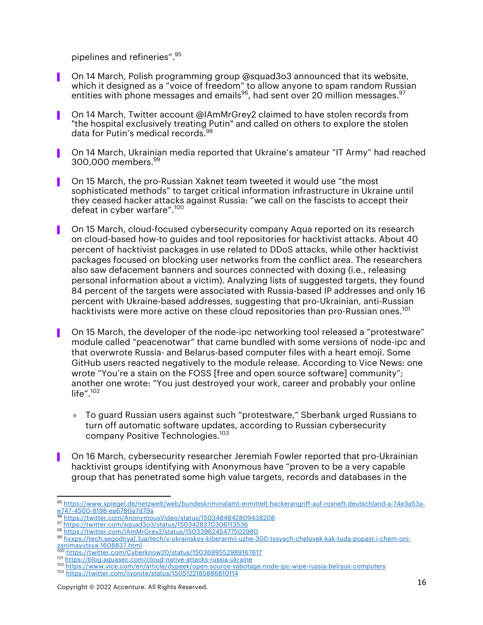pipelines and refineries". 95

- ▌ On 14 March, Polish programming group @squad3o3 announced that its website, which it designed as a "voice of freedom" to allow anyone to spam random Russian entities with phone messages and emails $^{96}$ , had sent over 20 million messages. $^{97}$
- ▌ On 14 March, Twitter account @IAmMrGrey2 claimed to have stolen records from "the hospital exclusively treating Putin" and called on others to explore the stolen data for Putin's medical records. 98
- ▌ On 14 March, Ukrainian media reported that Ukraine's amateur "IT Army" had reached 300,000 members. 99
- ▌ On 15 March, the pro-Russian Xaknet team tweeted it would use "the most sophisticated methods" to target critical information infrastructure in Ukraine until they ceased hacker attacks against Russia: "we call on the fascists to accept their defeat in cyber warfare".<sup>100</sup>
- ▌ On 15 March, cloud-focused cybersecurity company Aqua reported on its research on cloud-based how-to guides and tool repositories for hacktivist attacks. About 40 percent of hacktivist packages in use related to DDoS attacks, while other hacktivist packages focused on blocking user networks from the conflict area. The researchers also saw defacement banners and sources connected with doxing (i.e., releasing personal information about a victim). Analyzing lists of suggested targets, they found 84 percent of the targets were associated with Russia-based IP addresses and only 16 percent with Ukraine-based addresses, suggesting that pro-Ukrainian, anti-Russian hacktivists were more active on these cloud repositories than pro-Russian ones.<sup>101</sup>
- ▌ On 15 March, the developer of the node-ipc networking tool released a "protestware" module called "peacenotwar" that came bundled with some versions of node-ipc and that overwrote Russia- and Belarus-based computer files with a heart emoji. Some GitHub users reacted negatively to the module release. According to Vice News: one wrote "You're a stain on the FOSS [free and open source software] community"; another one wrote: "You just destroyed your work, career and probably your online life".<sup>102</sup>
	- ¨ To guard Russian users against such "protestware," Sberbank urged Russians to turn off automatic software updates, according to Russian cybersecurity company Positive Technologies.<sup>103</sup>
- ▌ On 16 March, cybersecurity researcher Jeremiah Fowler reported that pro-Ukrainian hacktivist groups identifying with Anonymous have "proven to be a very capable group that has penetrated some high value targets, records and databases in the

<sup>95</sup> https://www.spiegel.de/netzwelt/web/bundeskriminalamt-ermittelt-hackerangriff-auf-rosneft-deutschland-a-74e3a53ae747-4500-8198-ea6780a7d79a<br><sup>96</sup> https://twitter.com/AnonymousVideo/status/1503484842809438208

<sup>97</sup> https://twitter.com/squad3o3/status/1503428370306113536

<sup>98</sup> https://twitter.com/IAmMrGrey2/status/1503396245477502980

<sup>99</sup> hxxps://tech.segodnya[.]ua/tech/v-ukrainskoy-kiberarmii-uzhe-300-tysyach-chelovek-kak-tuda-popast-i-chem-onizanimayutsya-1608837.html

<sup>100</sup> https://twitter.com/Cyberknow20/status/1503699552989167617

<sup>101</sup> https://blog.aquasec.com/cloud-native-attacks-russia-ukraine<br>102 https://www.vice.com/en/article/dypeek/open-source-sabotage-node-ipc-wipe-russia-belraus-computers

<sup>103</sup> https://twitter.com/iiyonite/status/1505122185886810114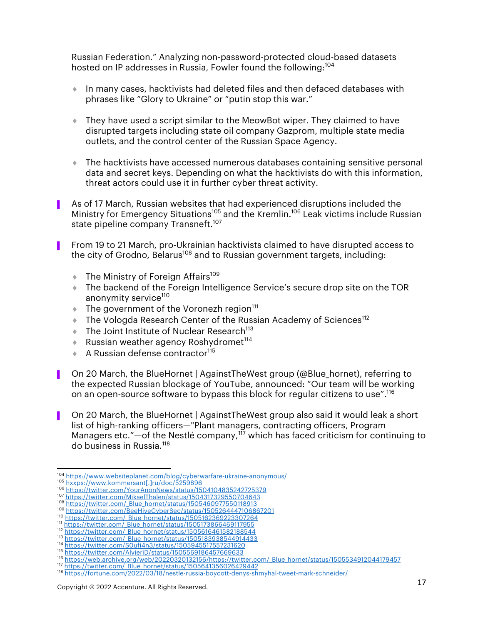Russian Federation." Analyzing non-password-protected cloud-based datasets hosted on IP addresses in Russia, Fowler found the following:<sup>104</sup>

- $\bullet$  In many cases, hacktivists had deleted files and then defaced databases with phrases like "Glory to Ukraine" or "putin stop this war."
- ◆ They have used a script similar to the MeowBot wiper. They claimed to have disrupted targets including state oil company Gazprom, multiple state media outlets, and the control center of the Russian Space Agency.
- $\bullet$  The hacktivists have accessed numerous databases containing sensitive personal data and secret keys. Depending on what the hacktivists do with this information, threat actors could use it in further cyber threat activity.
- ▌ As of 17 March, Russian websites that had experienced disruptions included the Ministry for Emergency Situations<sup>105</sup> and the Kremlin.<sup>106</sup> Leak victims include Russian state pipeline company Transneft.<sup>107</sup>
- From 19 to 21 March, pro-Ukrainian hacktivists claimed to have disrupted access to the city of Grodno, Belarus<sup>108</sup> and to Russian government targets, including:
	- $\bullet$  The Ministry of Foreign Affairs<sup>109</sup>
	- The backend of the Foreign Intelligence Service's secure drop site on the TOR anonymity service<sup>110</sup>
	- $\bullet$  The government of the Voronezh region<sup>111</sup>
	- $\bullet$  The Vologda Research Center of the Russian Academy of Sciences<sup>112</sup>
	- $\bullet$  The Joint Institute of Nuclear Research<sup>113</sup>
	- $\triangleq$  Russian weather agency Roshydromet<sup>114</sup>
	- $\triangle$  A Russian defense contractor<sup>115</sup>
- On 20 March, the BlueHornet | AgainstTheWest group (@Blue\_hornet), referring to the expected Russian blockage of YouTube, announced: "Our team will be working on an open-source software to bypass this block for regular citizens to use".<sup>116</sup>
- ▌ On 20 March, the BlueHornet | AgainstTheWest group also said it would leak a short list of high-ranking officers—"Plant managers, contracting officers, Program Managers etc."—of the Nestlé company,<sup>117</sup> which has faced criticism for continuing to do business in Russia.<sup>118</sup>

<sup>&</sup>lt;sup>104</sup> https://www.websiteplanet.com/blog/cyberwarfare-ukraine-anonymous/<br><sup>105</sup> hxxps://www.kommersant[.]ru/doc/5259896<br><sup>106</sup> https://twitter.com/YourAnonNews/status/1504104835242725379<br><sup>107</sup> https://twitter.com/MikaelThale

<sup>108</sup> https://twitter.com/\_Blue\_hornet/status/1505460977550118913

<sup>109</sup> https://twitter.com/BeeHiveCyberSec/status/1505264447106867201<br>110 https://twitter.com/ Blue hornet/status/1505162369223307264

<sup>111</sup> https://twitter.com/\_Blue\_hornet/status/1505173866469117955

<sup>112</sup> https://twitter.com/ Blue\_hornet/status/1505616461582188544

<sup>113</sup> https://twitter.com/\_Blue\_hornet/status/1505183938544914433<br>114 https://twitter.com/S0ufi4n3/status/1505945517557231620

<sup>115</sup> https://twitter.com/AlvieriD/status/1505569186457669633

<sup>116</sup> https://web.archive.org/web/20220320132156/https://twitter.com/\_Blue\_hornet/status/1505534912044179457<br>117 https://twitter.com/\_Blue\_hornet/status/1505641356026429442

<sup>118</sup> https://fortune.com/2022/03/18/nestle-russia-boycott-denys-shmyhal-tweet-mark-schneider/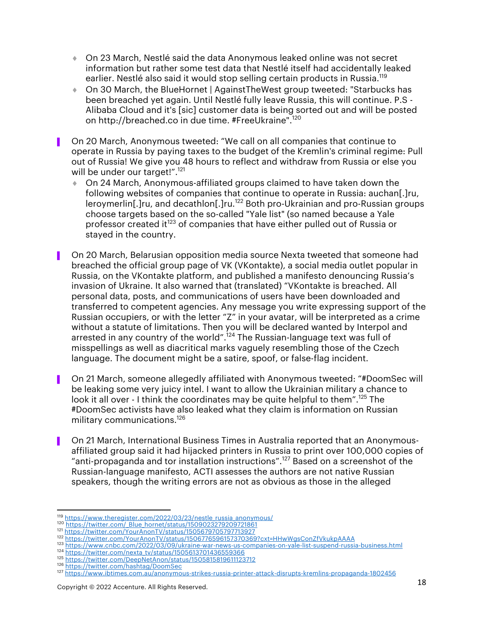- $\bullet$  On 23 March, Nestlé said the data Anonymous leaked online was not secret information but rather some test data that Nestlé itself had accidentally leaked earlier. Nestlé also said it would stop selling certain products in Russia.<sup>119</sup>
- ◆ On 30 March, the BlueHornet | AgainstTheWest group tweeted: "Starbucks has been breached yet again. Until Nestlé fully leave Russia, this will continue. P.S - Alibaba Cloud and it's [sic] customer data is being sorted out and will be posted on http://breached.co in due time. #FreeUkraine".<sup>120</sup>
- ▌ On 20 March, Anonymous tweeted: "We call on all companies that continue to operate in Russia by paying taxes to the budget of the Kremlin's criminal regime: Pull out of Russia! We give you 48 hours to reflect and withdraw from Russia or else you will be under our target!".<sup>121</sup>
	- ◆ On 24 March, Anonymous-affiliated groups claimed to have taken down the following websites of companies that continue to operate in Russia: auchan[.]ru, leroymerlin[.]ru, and decathlon[.]ru.<sup>122</sup> Both pro-Ukrainian and pro-Russian groups choose targets based on the so-called "Yale list" (so named because a Yale professor created it<sup>123</sup> of companies that have either pulled out of Russia or stayed in the country.
- ▌ On 20 March, Belarusian opposition media source Nexta tweeted that someone had breached the official group page of VK (VKontakte), a social media outlet popular in Russia, on the VKontakte platform, and published a manifesto denouncing Russia's invasion of Ukraine. It also warned that (translated) "VKontakte is breached. All personal data, posts, and communications of users have been downloaded and transferred to competent agencies. Any message you write expressing support of the Russian occupiers, or with the letter "Z" in your avatar, will be interpreted as a crime without a statute of limitations. Then you will be declared wanted by Interpol and arrested in any country of the world".<sup>124</sup> The Russian-language text was full of misspellings as well as diacritical marks vaguely resembling those of the Czech language. The document might be a satire, spoof, or false-flag incident.
- ▌ On 21 March, someone allegedly affiliated with Anonymous tweeted: "#DoomSec will be leaking some very juicy intel. I want to allow the Ukrainian military a chance to look it all over - I think the coordinates may be quite helpful to them".<sup>125</sup> The #DoomSec activists have also leaked what they claim is information on Russian military communications.<sup>126</sup>
- ▌ On 21 March, International Business Times in Australia reported that an Anonymousaffiliated group said it had hijacked printers in Russia to print over 100,000 copies of "anti-propaganda and tor installation instructions".<sup>127</sup> Based on a screenshot of the Russian-language manifesto, ACTI assesses the authors are not native Russian speakers, though the writing errors are not as obvious as those in the alleged

124 https://twitter.com/nexta\_tv/status/1505613701436559366

<sup>119</sup> https://www.theregister.com/2022/03/23/nestle\_russia\_anonymous/<br><sup>120</sup> https://twitter.com/\_Blue\_hornet/status/1509023279209721861

<sup>121</sup> https://twitter.com/YourAnonTV/status/1505679705797713927<br><sup>122</sup> https://twitter.com/YourAnonTV/status/1506776596157370369?cxt=HHwWgsConZfVkukpAAAA

<sup>123</sup> https://www.cnbc.com/2022/03/09/ukraine-war-news-us-companies-on-yale-list-suspend-russia-business.html

<sup>125</sup> https://twitter.com/DeepNetAnon/status/1505815819611123712 <sup>126</sup> https://twitter.com/hashtag/DoomSec

<sup>127</sup> https://www.ibtimes.com.au/anonymous-strikes-russia-printer-attack-disrupts-kremlins-propaganda-1802456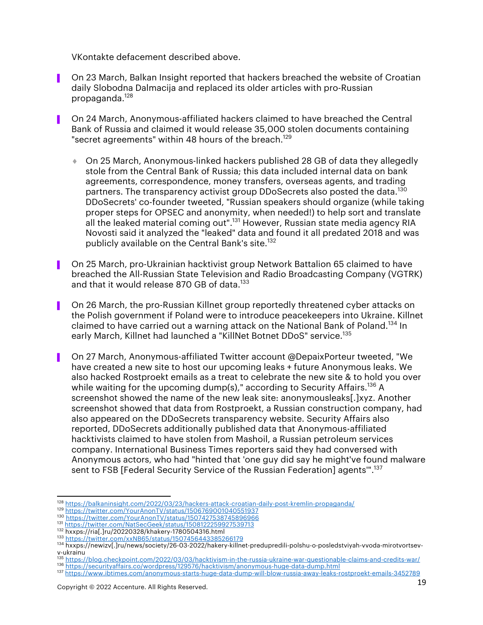VKontakte defacement described above.

- ▌ On 23 March, Balkan Insight reported that hackers breached the website of Croatian daily Slobodna Dalmacija and replaced its older articles with pro-Russian propaganda. 128
- ▌ On 24 March, Anonymous-affiliated hackers claimed to have breached the Central Bank of Russia and claimed it would release 35,000 stolen documents containing "secret agreements" within 48 hours of the breach.<sup>129</sup>
	- ◆ On 25 March, Anonymous-linked hackers published 28 GB of data they allegedly stole from the Central Bank of Russia; this data included internal data on bank agreements, correspondence, money transfers, overseas agents, and trading partners. The transparency activist group DDoSecrets also posted the data.<sup>130</sup> DDoSecrets' co-founder tweeted, "Russian speakers should organize (while taking proper steps for OPSEC and anonymity, when needed!) to help sort and translate all the leaked material coming out".<sup>131</sup> However, Russian state media agency RIA Novosti said it analyzed the "leaked" data and found it all predated 2018 and was publicly available on the Central Bank's site.<sup>132</sup>
- ▌ On 25 March, pro-Ukrainian hacktivist group Network Battalion 65 claimed to have breached the All-Russian State Television and Radio Broadcasting Company (VGTRK) and that it would release 870 GB of data.<sup>133</sup>
- On 26 March, the pro-Russian Killnet group reportedly threatened cyber attacks on the Polish government if Poland were to introduce peacekeepers into Ukraine. Killnet claimed to have carried out a warning attack on the National Bank of Poland.<sup>134</sup> In early March, Killnet had launched a "KillNet Botnet DDoS" service.<sup>135</sup>
- ▌ On 27 March, Anonymous-affiliated Twitter account @DepaixPorteur tweeted, "We have created a new site to host our upcoming leaks + future Anonymous leaks. We also hacked Rostproekt emails as a treat to celebrate the new site & to hold you over while waiting for the upcoming dump(s)," according to Security Affairs.<sup>136</sup> A screenshot showed the name of the new leak site: anonymousleaks[.]xyz. Another screenshot showed that data from Rostproekt, a Russian construction company, had also appeared on the DDoSecrets transparency website. Security Affairs also reported, DDoSecrets additionally published data that Anonymous-affiliated hacktivists claimed to have stolen from Mashoil, a Russian petroleum services company. International Business Times reporters said they had conversed with Anonymous actors, who had "hinted that 'one guy did say he might've found malware sent to FSB [Federal Security Service of the Russian Federation] agents'".137

<sup>128</sup> https://balkaninsight.com/2022/03/23/hackers-attack-croatian-daily-post-kremlin-propaganda/

<sup>129</sup> https://twitter.com/YourAnonTV/status/1506769001040551937<br>130 https://twitter.com/YourAnonTV/status/1507427538745896966

<sup>131</sup> https://twitter.com/NatSecGeek/status/1508122259927539713

<sup>132</sup> hxxps://ria[.]ru/20220328/khakery-1780504316.html<br><sup>133</sup> https://twitter.com/xxNB65/status/1507456443385266179

<sup>134</sup> hxxps://newizv[.]ru/news/society/26-03-2022/hakery-killnet-predupredili-polshu-o-posledstviyah-vvoda-mirotvortsev-

v-ukrainu

<sup>1&</sup>lt;sup>35</sup> https://blog.checkpoint.com/2022/03/03/hacktivism-in-the-russia-ukraine-war-questionable-claims-and-credits-war/<br><sup>136</sup> https://securityaffairs.co/wordpress/129576/hacktivism/anonymous-huge-data-dump.html

<sup>137</sup> https://www.ibtimes.com/anonymous-starts-huge-data-dump-will-blow-russia-away-leaks-rostproekt-emails-3452789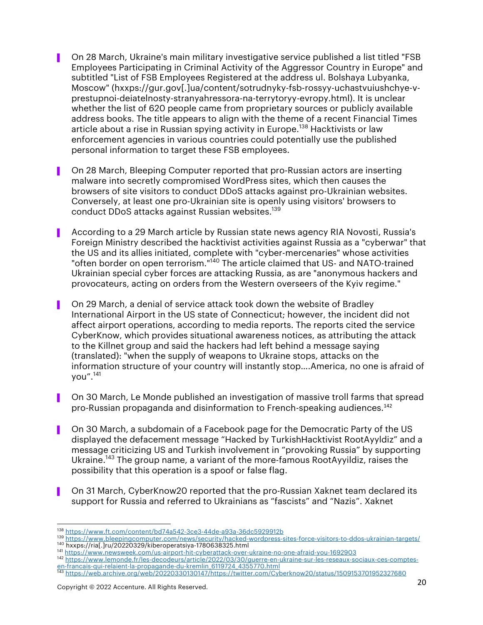- ▌ On 28 March, Ukraine's main military investigative service published a list titled "FSB Employees Participating in Criminal Activity of the Aggressor Country in Europe" and subtitled "List of FSB Employees Registered at the address ul. Bolshaya Lubyanka, Moscow" (hxxps://gur.gov[.]ua/content/sotrudnyky-fsb-rossyy-uchastvuiushchye-vprestupnoi-deiatelnosty-stranyahressora-na-terrytoryy-evropy.html). It is unclear whether the list of 620 people came from proprietary sources or publicly available address books. The title appears to align with the theme of a recent Financial Times article about a rise in Russian spying activity in Europe.<sup>138</sup> Hacktivists or law enforcement agencies in various countries could potentially use the published personal information to target these FSB employees.
- On 28 March, Bleeping Computer reported that pro-Russian actors are inserting malware into secretly compromised WordPress sites, which then causes the browsers of site visitors to conduct DDoS attacks against pro-Ukrainian websites. Conversely, at least one pro-Ukrainian site is openly using visitors' browsers to conduct DDoS attacks against Russian websites.139
- ▌ According to a 29 March article by Russian state news agency RIA Novosti, Russia's Foreign Ministry described the hacktivist activities against Russia as a "cyberwar" that the US and its allies initiated, complete with "cyber-mercenaries" whose activities "often border on open terrorism."<sup>140</sup> The article claimed that US- and NATO-trained Ukrainian special cyber forces are attacking Russia, as are "anonymous hackers and provocateurs, acting on orders from the Western overseers of the Kyiv regime."
- ▌ On 29 March, a denial of service attack took down the website of Bradley International Airport in the US state of Connecticut; however, the incident did not affect airport operations, according to media reports. The reports cited the service CyberKnow, which provides situational awareness notices, as attributing the attack to the Killnet group and said the hackers had left behind a message saying (translated): "when the supply of weapons to Ukraine stops, attacks on the information structure of your country will instantly stop….America, no one is afraid of you".<sup>141</sup>
- ▌ On 30 March, Le Monde published an investigation of massive troll farms that spread pro-Russian propaganda and disinformation to French-speaking audiences.<sup>142</sup>
- ▌ On 30 March, a subdomain of a Facebook page for the Democratic Party of the US displayed the defacement message "Hacked by TurkishHacktivist RootAyyldiz" and a message criticizing US and Turkish involvement in "provoking Russia" by supporting Ukraine.<sup>143</sup> The group name, a variant of the more-famous RootAyyildiz, raises the possibility that this operation is a spoof or false flag.
- ▌ On 31 March, CyberKnow20 reported that the pro-Russian Xaknet team declared its support for Russia and referred to Ukrainians as "fascists" and "Nazis". Xaknet

- <sup>142</sup> https://www.lemonde.fr/les-decodeurs/article/2022/03/30/guerre-en-ukraine-sur-les-reseaux-sociaux-ces-comptesen-francais-qui-relaient-la-propagande-du-kremlin\_6119724\_4355770.html
- <sup>143</sup> https://web.archive.org/web/20220330130147/https://twitter.com/Cyberknow20/status/1509153701952327680

<sup>138</sup> https://www.ft.com/content/bd74a542-3ce3-44de-a93a-36dc5929912b

<sup>139</sup> https://www.bleepingcomputer.com/news/security/hacked-wordpress-sites-force-visitors-to-ddos-ukrainian-targets/<br><sup>140</sup> hxxps://ria[.]ru/20220329/kiberoperatsiya-1780638325.html

<sup>141</sup> https://www.newsweek.com/us-airport-hit-cyberattack-over-ukraine-no-one-afraid-you-1692903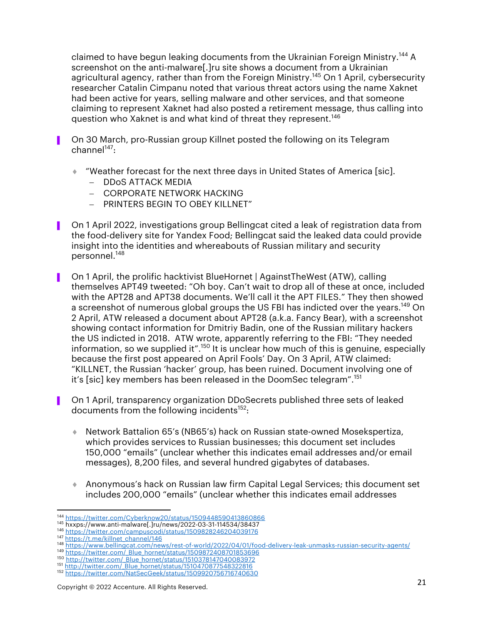claimed to have begun leaking documents from the Ukrainian Foreign Ministry.<sup>144</sup> A screenshot on the anti-malware<sup>[1]</sup>ru site shows a document from a Ukrainian agricultural agency, rather than from the Foreign Ministry.<sup>145</sup> On 1 April, cybersecurity researcher Catalin Cimpanu noted that various threat actors using the name Xaknet had been active for years, selling malware and other services, and that someone claiming to represent Xaknet had also posted a retirement message, thus calling into question who Xaknet is and what kind of threat they represent.<sup>146</sup>

- ▌ On 30 March, pro-Russian group Killnet posted the following on its Telegram  $channel<sup>147</sup>$ :
	- ¨ "Weather forecast for the next three days in United States of America [sic].
		- DDoS ATTACK MEDIA
		- CORPORATE NETWORK HACKING
		- PRINTERS BEGIN TO OBEY KILLNET"
- ▌ On 1 April 2022, investigations group Bellingcat cited a leak of registration data from the food-delivery site for Yandex Food; Bellingcat said the leaked data could provide insight into the identities and whereabouts of Russian military and security personnel.<sup>148</sup>
- ▌ On 1 April, the prolific hacktivist BlueHornet | AgainstTheWest (ATW), calling themselves APT49 tweeted: "Oh boy. Can't wait to drop all of these at once, included with the APT28 and APT38 documents. We'll call it the APT FILES." They then showed a screenshot of numerous global groups the US FBI has indicted over the years.<sup>149</sup> On 2 April, ATW released a document about APT28 (a.k.a. Fancy Bear), with a screenshot showing contact information for Dmitriy Badin, one of the Russian military hackers the US indicted in 2018. ATW wrote, apparently referring to the FBI: "They needed information, so we supplied it".<sup>150</sup> It is unclear how much of this is genuine, especially because the first post appeared on April Fools' Day. On 3 April, ATW claimed: "KILLNET, the Russian 'hacker' group, has been ruined. Document involving one of it's [sic] key members has been released in the DoomSec telegram".<sup>151</sup>
- ▌ On 1 April, transparency organization DDoSecrets published three sets of leaked documents from the following incidents<sup>152</sup>:
	- ¨ Network Battalion 65's (NB65's) hack on Russian state-owned Mosekspertiza, which provides services to Russian businesses; this document set includes 150,000 "emails" (unclear whether this indicates email addresses and/or email messages), 8,200 files, and several hundred gigabytes of databases.
	- ¨ Anonymous's hack on Russian law firm Capital Legal Services; this document set includes 200,000 "emails" (unclear whether this indicates email addresses

<sup>144</sup> https://twitter.com/Cyberknow20/status/1509448590413860866 <sup>145</sup> hxxps://www.anti-malware[.]ru/news/2022-03-31-114534/38437

<sup>146</sup> https://twitter.com/campuscodi/status/1509828246204039176<br>147 https://t.me/killnet\_channel/146

<sup>148</sup> https://www.bellingcat.com/news/rest-of-world/2022/04/01/food-delivery-leak-unmasks-russian-security-agents/

<sup>149</sup> https://twitter.com/\_Blue\_hornet/status/1509872408701853696<br><sup>150</sup> http://twitter.com/\_Blue\_hornet/status/1510378147040083972

<sup>151</sup> http://twitter.com/\_Blue\_hornet/status/1510470877548322816

<sup>152</sup> https://twitter.com/NatSecGeek/status/1509920756716740630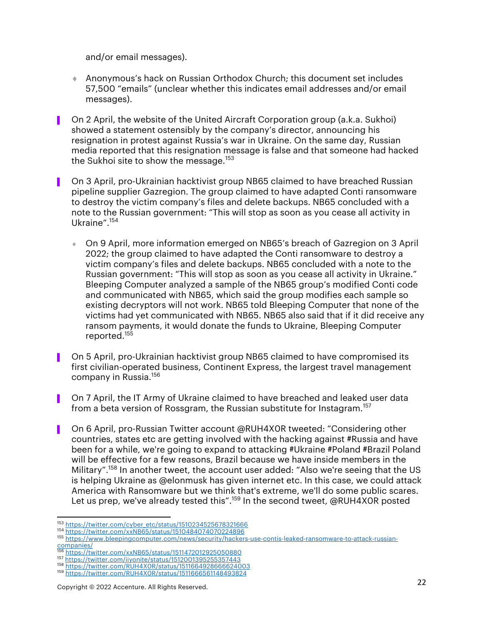and/or email messages).

- ◆ Anonymous's hack on Russian Orthodox Church; this document set includes 57,500 "emails" (unclear whether this indicates email addresses and/or email messages).
- ▌ On 2 April, the website of the United Aircraft Corporation group (a.k.a. Sukhoi) showed a statement ostensibly by the company's director, announcing his resignation in protest against Russia's war in Ukraine. On the same day, Russian media reported that this resignation message is false and that someone had hacked the Sukhoi site to show the message.<sup>153</sup>
- ▌ On 3 April, pro-Ukrainian hacktivist group NB65 claimed to have breached Russian pipeline supplier Gazregion. The group claimed to have adapted Conti ransomware to destroy the victim company's files and delete backups. NB65 concluded with a note to the Russian government: "This will stop as soon as you cease all activity in Ukraine".154
	- On 9 April, more information emerged on NB65's breach of Gazregion on 3 April 2022; the group claimed to have adapted the Conti ransomware to destroy a victim company's files and delete backups. NB65 concluded with a note to the Russian government: "This will stop as soon as you cease all activity in Ukraine." Bleeping Computer analyzed a sample of the NB65 group's modified Conti code and communicated with NB65, which said the group modifies each sample so existing decryptors will not work. NB65 told Bleeping Computer that none of the victims had yet communicated with NB65. NB65 also said that if it did receive any ransom payments, it would donate the funds to Ukraine, Bleeping Computer reported.<sup>155</sup>
- ▌ On 5 April, pro-Ukrainian hacktivist group NB65 claimed to have compromised its first civilian-operated business, Continent Express, the largest travel management company in Russia.156
- ▌ On 7 April, the IT Army of Ukraine claimed to have breached and leaked user data from a beta version of Rossgram, the Russian substitute for Instagram.<sup>157</sup>
- ▌ On 6 April, pro-Russian Twitter account @RUH4X0R tweeted: "Considering other countries, states etc are getting involved with the hacking against #Russia and have been for a while, we're going to expand to attacking #Ukraine #Poland #Brazil Poland will be effective for a few reasons, Brazil because we have inside members in the Military".158 In another tweet, the account user added: "Also we're seeing that the US is helping Ukraine as @elonmusk has given internet etc. In this case, we could attack America with Ransomware but we think that's extreme, we'll do some public scares. Let us prep, we've already tested this".<sup>159</sup> In the second tweet, @RUH4X0R posted

<sup>153</sup> https://twitter.com/cyber\_etc/status/1510234525678321666

<sup>154</sup> https://twitter.com/xxNB65/status/1510484074070224896

<sup>155</sup> https://www.bleepingcomputer.com/news/security/hackers-use-contis-leaked-ransomware-to-attack-russian-<br>companies/<br>156 https://twitter.com/vvNReE/ctotus/15314700100050506000

<sup>156</sup> https://twitter.com/xxNB65/status/1511472012925050880<br>157 https://twitter.com/iiyonite/status/1512001395255357443

<sup>158</sup> https://twitter.com/RUH4X0R/status/1511664928666624003

<sup>159</sup> https://twitter.com/RUH4X0R/status/1511666561148493824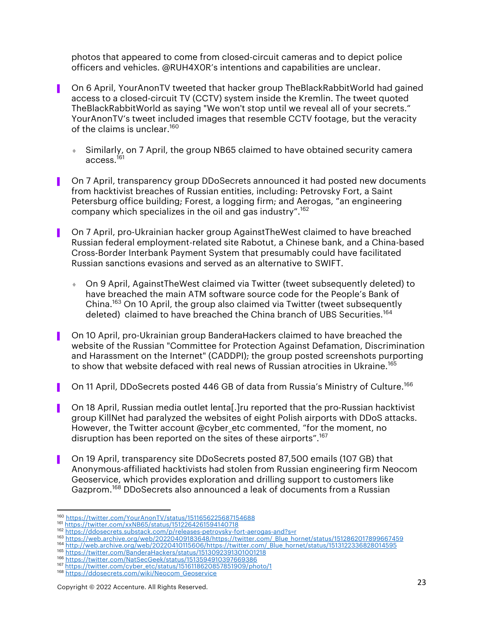photos that appeared to come from closed-circuit cameras and to depict police officers and vehicles. @RUH4X0R's intentions and capabilities are unclear.

- On 6 April, YourAnonTV tweeted that hacker group TheBlackRabbitWorld had gained access to a closed-circuit TV (CCTV) system inside the Kremlin. The tweet quoted TheBlackRabbitWorld as saying "We won't stop until we reveal all of your secrets." YourAnonTV's tweet included images that resemble CCTV footage, but the veracity of the claims is unclear.<sup>160</sup>
	- Similarly, on 7 April, the group NB65 claimed to have obtained security camera access.<sup>161</sup>
- On 7 April, transparency group DDoSecrets announced it had posted new documents from hacktivist breaches of Russian entities, including: Petrovsky Fort, a Saint Petersburg office building; Forest, a logging firm; and Aerogas, "an engineering company which specializes in the oil and gas industry".162
- ▌ On 7 April, pro-Ukrainian hacker group AgainstTheWest claimed to have breached Russian federal employment-related site Rabotut, a Chinese bank, and a China-based Cross-Border Interbank Payment System that presumably could have facilitated Russian sanctions evasions and served as an alternative to SWIFT.
	- ¨ On 9 April, AgainstTheWest claimed via Twitter (tweet subsequently deleted) to have breached the main ATM software source code for the People's Bank of China.<sup>163</sup> On 10 April, the group also claimed via Twitter (tweet subsequently deleted) claimed to have breached the China branch of UBS Securities.<sup>164</sup>
- ▌ On 10 April, pro-Ukrainian group BanderaHackers claimed to have breached the website of the Russian "Committee for Protection Against Defamation, Discrimination and Harassment on the Internet" (CADDPI); the group posted screenshots purporting to show that website defaced with real news of Russian atrocities in Ukraine.<sup>165</sup>
- On 11 April, DDoSecrets posted 446 GB of data from Russia's Ministry of Culture.<sup>166</sup>
- ▌ On 18 April, Russian media outlet lenta[.]ru reported that the pro-Russian hacktivist group KillNet had paralyzed the websites of eight Polish airports with DDoS attacks. However, the Twitter account @cyber\_etc commented, "for the moment, no disruption has been reported on the sites of these airports".<sup>167</sup>
- ▌ On 19 April, transparency site DDoSecrets posted 87,500 emails (107 GB) that Anonymous-affiliated hacktivists had stolen from Russian engineering firm Neocom Geoservice, which provides exploration and drilling support to customers like Gazprom.<sup>168</sup> DDoSecrets also announced a leak of documents from a Russian

<sup>160</sup> https://twitter.com/YourAnonTV/status/1511656225687154688<br>161 https://twitter.com/xxNB65/status/1512264261594140718

<sup>162</sup> https://ddosecrets.substack.com/p/releases-petrovsky-fort-aerogas-and?s=r<br>163 https://web.archive.org/web/20220409183648/https://twitter.com/ Blue hornet/status/1512862017899667459

<sup>164</sup> http://web.archive.org/web/20220410115606/https://twitter.com/\_Blue\_hornet/status/1513122336828014595

<sup>165</sup> https://twitter.com/BanderaHackers/status/1513092391301001218<br><sup>166</sup> https://twitter.com/NatSecGeek/status/1513594910397669386

<sup>167</sup> https://twitter.com/cyber\_etc/status/1516118620857851909/photo/1

<sup>168</sup> https://ddosecrets.com/wiki/Neocom\_Geoservice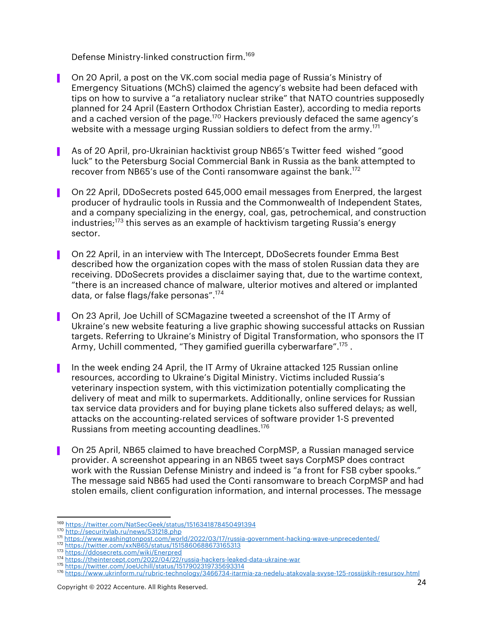Defense Ministry-linked construction firm.<sup>169</sup>

- ▌ On 20 April, a post on the VK.com social media page of Russia's Ministry of Emergency Situations (MChS) claimed the agency's website had been defaced with tips on how to survive a "a retaliatory nuclear strike" that NATO countries supposedly planned for 24 April (Eastern Orthodox Christian Easter), according to media reports and a cached version of the page.<sup>170</sup> Hackers previously defaced the same agency's website with a message urging Russian soldiers to defect from the army.<sup>171</sup>
- As of 20 April, pro-Ukrainian hacktivist group NB65's Twitter feed wished "good luck" to the Petersburg Social Commercial Bank in Russia as the bank attempted to recover from NB65's use of the Conti ransomware against the bank.<sup>172</sup>
- ▌ On 22 April, DDoSecrets posted 645,000 email messages from Enerpred, the largest producer of hydraulic tools in Russia and the Commonwealth of Independent States, and a company specializing in the energy, coal, gas, petrochemical, and construction industries; <sup>173</sup> this serves as an example of hacktivism targeting Russia's energy sector.
- ▌ On 22 April, in an interview with The Intercept, DDoSecrets founder Emma Best described how the organization copes with the mass of stolen Russian data they are receiving. DDoSecrets provides a disclaimer saying that, due to the wartime context, "there is an increased chance of malware, ulterior motives and altered or implanted data, or false flags/fake personas".<sup>174</sup>
- ▌ On 23 April, Joe Uchill of SCMagazine tweeted a screenshot of the IT Army of Ukraine's new website featuring a live graphic showing successful attacks on Russian targets. Referring to Ukraine's Ministry of Digital Transformation, who sponsors the IT Army, Uchill commented, "They gamified querilla cyberwarfare".<sup>175</sup>.
- ▌ In the week ending 24 April, the IT Army of Ukraine attacked 125 Russian online resources, according to Ukraine's Digital Ministry. Victims included Russia's veterinary inspection system, with this victimization potentially complicating the delivery of meat and milk to supermarkets. Additionally, online services for Russian tax service data providers and for buying plane tickets also suffered delays; as well, attacks on the accounting-related services of software provider 1-S prevented Russians from meeting accounting deadlines.<sup>176</sup>
- ▌ On 25 April, NB65 claimed to have breached CorpMSP, a Russian managed service provider. A screenshot appearing in an NB65 tweet says CorpMSP does contract work with the Russian Defense Ministry and indeed is "a front for FSB cyber spooks." The message said NB65 had used the Conti ransomware to breach CorpMSP and had stolen emails, client configuration information, and internal processes. The message

<sup>169</sup> https://twitter.com/NatSecGeek/status/1516341878450491394

<sup>170</sup> http://securitylab.ru/news/531218.php

<sup>171</sup> https://www.washingtonpost.com/world/2022/03/17/russia-government-hacking-wave-unprecedented/ <sup>172</sup> https://twitter.com/xxNB65/status/1515860688673165313

<sup>173</sup> https://ddosecrets.com/wiki/Enerpred

<sup>174</sup> https://theintercept.com/2022/04/22/russia-hackers-leaked-data-ukraine-war <sup>175</sup> https://twitter.com/JoeUchill/status/1517902319735693314

<sup>176</sup> https://www.ukrinform.ru/rubric-technology/3466734-itarmia-za-nedelu-atakovala-svyse-125-rossijskih-resursov.html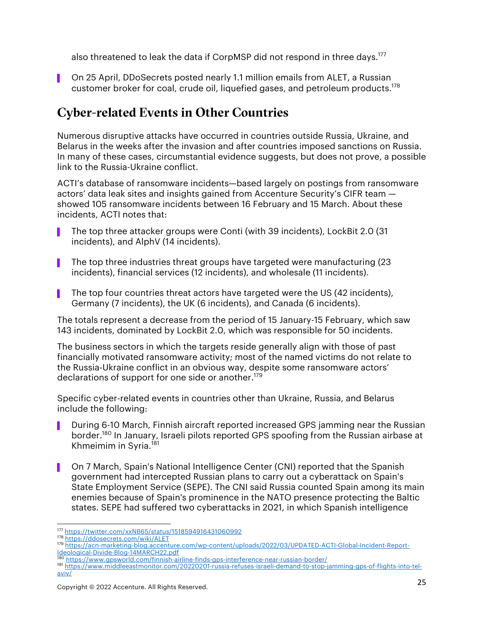also threatened to leak the data if CorpMSP did not respond in three days.<sup>177</sup>

■ On 25 April, DDoSecrets posted nearly 1.1 million emails from ALET, a Russian customer broker for coal, crude oil, liquefied gases, and petroleum products.178

## Cyber-related Events in Other Countries

Numerous disruptive attacks have occurred in countries outside Russia, Ukraine, and Belarus in the weeks after the invasion and after countries imposed sanctions on Russia. In many of these cases, circumstantial evidence suggests, but does not prove, a possible link to the Russia-Ukraine conflict.

ACTI's database of ransomware incidents—based largely on postings from ransomware actors' data leak sites and insights gained from Accenture Security's CIFR team showed 105 ransomware incidents between 16 February and 15 March. About these incidents, ACTI notes that:

- ▌ The top three attacker groups were Conti (with 39 incidents), LockBit 2.0 (31 incidents), and AlphV (14 incidents).
- ▌ The top three industries threat groups have targeted were manufacturing (23 incidents), financial services (12 incidents), and wholesale (11 incidents).
- The top four countries threat actors have targeted were the US (42 incidents), Germany (7 incidents), the UK (6 incidents), and Canada (6 incidents).

The totals represent a decrease from the period of 15 January-15 February, which saw 143 incidents, dominated by LockBit 2.0, which was responsible for 50 incidents.

The business sectors in which the targets reside generally align with those of past financially motivated ransomware activity; most of the named victims do not relate to the Russia-Ukraine conflict in an obvious way, despite some ransomware actors' declarations of support for one side or another.<sup>179</sup>

Specific cyber-related events in countries other than Ukraine, Russia, and Belarus include the following:

- During 6-10 March, Finnish aircraft reported increased GPS jamming near the Russian border. <sup>180</sup> In January, Israeli pilots reported GPS spoofing from the Russian airbase at Khmeimim in Syria. 181
- ▌ On 7 March, Spain's National Intelligence Center (CNI) reported that the Spanish government had intercepted Russian plans to carry out a cyberattack on Spain's State Employment Service (SEPE). The CNI said Russia counted Spain among its main enemies because of Spain's prominence in the NATO presence protecting the Baltic states. SEPE had suffered two cyberattacks in 2021, in which Spanish intelligence

<sup>177</sup> https://twitter.com/xxNB65/status/1518594916431060992<br><sup>178</sup> https://ddosecrets.com/wiki/ALET

<sup>179</sup> https://acn-marketing-blog.accenture.com/wp-content/uploads/2022/03/UPDATED-ACTI-Global-Incident-Report-<u>Ideological-Divide-Blog-14MARCH22.pdf</u><br><sup>180</sup> https://www.gpsworld.com/finnish-airline-finds-gps-interference-near-russian-border/

<sup>181</sup> https://www.middleeastmonitor.com/20220201-russia-refuses-israeli-demand-to-stop-jamming-gps-of-flights-into-telaviv/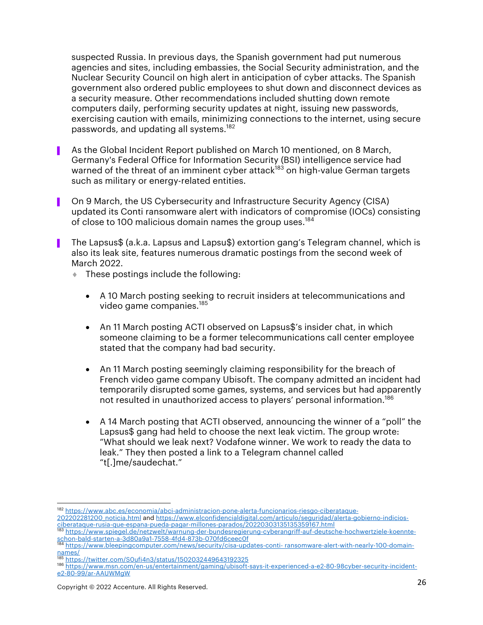suspected Russia. In previous days, the Spanish government had put numerous agencies and sites, including embassies, the Social Security administration, and the Nuclear Security Council on high alert in anticipation of cyber attacks. The Spanish government also ordered public employees to shut down and disconnect devices as a security measure. Other recommendations included shutting down remote computers daily, performing security updates at night, issuing new passwords, exercising caution with emails, minimizing connections to the internet, using secure passwords, and updating all systems. 182

- As the Global Incident Report published on March 10 mentioned, on 8 March, Germany's Federal Office for Information Security (BSI) intelligence service had warned of the threat of an imminent cyber attack<sup>183</sup> on high-value German targets such as military or energy-related entities.
- ▌ On 9 March, the US Cybersecurity and Infrastructure Security Agency (CISA) updated its Conti ransomware alert with indicators of compromise (IOCs) consisting of close to 100 malicious domain names the group uses.<sup>184</sup>
- ▌ The Lapsus\$ (a.k.a. Lapsus and Lapsu\$) extortion gang's Telegram channel, which is also its leak site, features numerous dramatic postings from the second week of March 2022.
	- $\bullet$  These postings include the following:
		- A 10 March posting seeking to recruit insiders at telecommunications and video game companies. 185
		- An 11 March posting ACTI observed on Lapsus\$'s insider chat, in which someone claiming to be a former telecommunications call center employee stated that the company had bad security.
		- An 11 March posting seemingly claiming responsibility for the breach of French video game company Ubisoft. The company admitted an incident had temporarily disrupted some games, systems, and services but had apparently not resulted in unauthorized access to players' personal information. 186
		- A 14 March posting that ACTI observed, announcing the winner of a "poll" the Lapsus\$ gang had held to choose the next leak victim. The group wrote: "What should we leak next? Vodafone winner. We work to ready the data to leak." They then posted a link to a Telegram channel called "t[.]me/saudechat."

<sup>182</sup> https://www.abc.es/economia/abci-administracion-pone-alerta-funcionarios-riesgo-ciberataque-202202281200\_noticia.html and https://www.elconfidencialdigital.com/articulo/seguridad/alerta-gobierno-indicios-

ciberataque-rusia-que-espana-pueda-pagar-millones-parados/20220303135135359167.html

<sup>183</sup> https://www.spiegel.de/netzwelt/warnung-der-bundesregierung-cyberangriff-auf-deutsche-hochwertziele-koennteschon-bald-starten-a-3d80a9a1-7558-4fd4-873b-070fd6ceec0f<br>184 https://www.bleepingcomputer.com/news/security/cisa-updates-conti- ransomware-alert-with-nearly-100-domain-

names/<br><sup>185</sup> https://twitter.com/S0ufi4n3/status/1502032449643192325

<sup>186</sup> https://www.msn.com/en-us/entertainment/gaming/ubisoft-says-it-experienced-a-e2-80-98cyber-security-incidente2-80-99/ar-AAUWMgW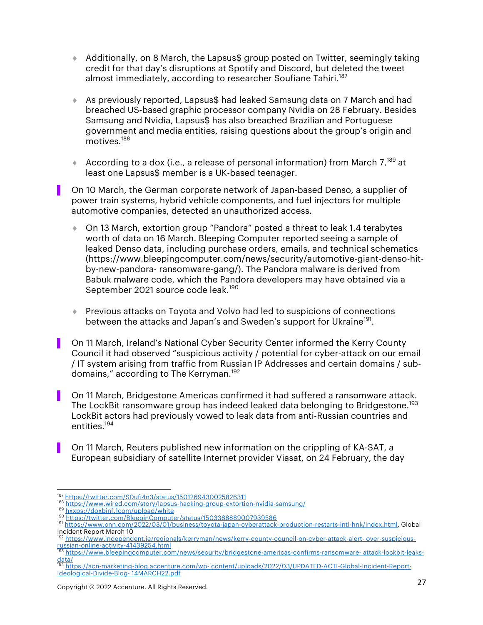- $\triangleq$  Additionally, on 8 March, the Lapsus\$ group posted on Twitter, seemingly taking credit for that day's disruptions at Spotify and Discord, but deleted the tweet almost immediately, according to researcher Soufiane Tahiri.<sup>187</sup>
- ◆ As previously reported, Lapsus\$ had leaked Samsung data on 7 March and had breached US-based graphic processor company Nvidia on 28 February. Besides Samsung and Nvidia, Lapsus\$ has also breached Brazilian and Portuguese government and media entities, raising questions about the group's origin and motives. 188
- According to a dox (i.e., a release of personal information) from March  $7^{189}$  at least one Lapsus\$ member is a UK-based teenager.

▌ On 10 March, the German corporate network of Japan-based Denso, a supplier of power train systems, hybrid vehicle components, and fuel injectors for multiple automotive companies, detected an unauthorized access.

- ¨ On 13 March, extortion group "Pandora" posted a threat to leak 1.4 terabytes worth of data on 16 March. Bleeping Computer reported seeing a sample of leaked Denso data, including purchase orders, emails, and technical schematics (https://www.bleepingcomputer.com/news/security/automotive-giant-denso-hitby-new-pandora- ransomware-gang/). The Pandora malware is derived from Babuk malware code, which the Pandora developers may have obtained via a September 2021 source code leak. 190
- **Previous attacks on Toyota and Volvo had led to suspicions of connections** between the attacks and Japan's and Sweden's support for Ukraine<sup>191</sup>.
- ▌ On 11 March, Ireland's National Cyber Security Center informed the Kerry County Council it had observed "suspicious activity / potential for cyber-attack on our email / IT system arising from traffic from Russian IP Addresses and certain domains / subdomains," according to The Kerryman. 192
- On 11 March, Bridgestone Americas confirmed it had suffered a ransomware attack. The LockBit ransomware group has indeed leaked data belonging to Bridgestone.<sup>193</sup> LockBit actors had previously vowed to leak data from anti-Russian countries and entities. 194
- ▌ On 11 March, Reuters published new information on the crippling of KA-SAT, a European subsidiary of satellite Internet provider Viasat, on 24 February, the day

<sup>&</sup>lt;sup>187</sup> https://twitter.com/S0ufi4n3/status/1501269430025826311<br><sup>188</sup> https://www.wired.com/story/lapsus-hacking-group-extortion-nvidia-samsung/

<sup>189</sup> hxxps://doxbin[.]com/upload/white

<sup>190</sup> https://twitter.com/BleepinComputer/status/1503388889007939586<br>191 https://www.cnn.com/2022/03/01/business/toyota-japan-cyberattack-production-restarts-intl-hnk/index.html, Global Incident Report March 10

<sup>192</sup> https://www.independent.ie/regionals/kerryman/news/kerry-county-council-on-cyber-attack-alert- over-suspiciousrussian-online-activity-41439254.html

<sup>193</sup> https://www.bleepingcomputer.com/news/security/bridgestone-americas-confirms-ransomware- attack-lockbit-leaks-

data/ <sup>194</sup> https://acn-marketing-blog.accenture.com/wp- content/uploads/2022/03/UPDATED-ACTI-Global-Incident-Report-Ideological-Divide-Blog- 14MARCH22.pdf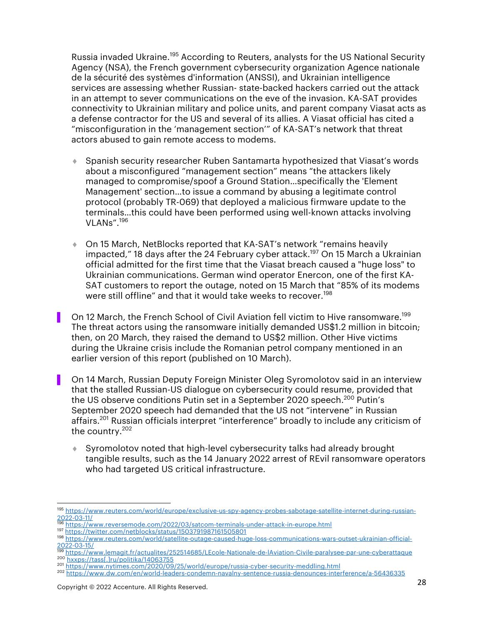Russia invaded Ukraine.<sup>195</sup> According to Reuters, analysts for the US National Security Agency (NSA), the French government cybersecurity organization Agence nationale de la sécurité des systèmes d'information (ANSSI), and Ukrainian intelligence services are assessing whether Russian- state-backed hackers carried out the attack in an attempt to sever communications on the eve of the invasion. KA-SAT provides connectivity to Ukrainian military and police units, and parent company Viasat acts as a defense contractor for the US and several of its allies. A Viasat official has cited a "misconfiguration in the 'management section'" of KA-SAT's network that threat actors abused to gain remote access to modems.

- ◆ Spanish security researcher Ruben Santamarta hypothesized that Viasat's words about a misconfigured "management section" means "the attackers likely managed to compromise/spoof a Ground Station…specifically the 'Element Management' section…to issue a command by abusing a legitimate control protocol (probably TR-069) that deployed a malicious firmware update to the terminals…this could have been performed using well-known attacks involving VLANs". 196
- ◆ On 15 March, NetBlocks reported that KA-SAT's network "remains heavily impacted," 18 days after the 24 February cyber attack. <sup>197</sup> On 15 March a Ukrainian official admitted for the first time that the Viasat breach caused a "huge loss" to Ukrainian communications. German wind operator Enercon, one of the first KA-SAT customers to report the outage, noted on 15 March that "85% of its modems were still offline" and that it would take weeks to recover. 198
- On 12 March, the French School of Civil Aviation fell victim to Hive ransomware.<sup>199</sup> The threat actors using the ransomware initially demanded US\$1.2 million in bitcoin; then, on 20 March, they raised the demand to US\$2 million. Other Hive victims during the Ukraine crisis include the Romanian petrol company mentioned in an earlier version of this report (published on 10 March).
- ▌ On 14 March, Russian Deputy Foreign Minister Oleg Syromolotov said in an interview that the stalled Russian-US dialogue on cybersecurity could resume, provided that the US observe conditions Putin set in a September 2020 speech.<sup>200</sup> Putin's September 2020 speech had demanded that the US not "intervene" in Russian affairs.<sup>201</sup> Russian officials interpret "interference" broadly to include any criticism of the country.202
	- Syromolotov noted that high-level cybersecurity talks had already brought tangible results, such as the 14 January 2022 arrest of REvil ransomware operators who had targeted US critical infrastructure.

<sup>195</sup> https://www.reuters.com/world/europe/exclusive-us-spy-agency-probes-sabotage-satellite-internet-during-russian-<br>2022-03-11/

https://www.reversemode.com/2022/03/satcom-terminals-under-attack-in-europe.html

<sup>197</sup> https://twitter.com/netblocks/status/1503791987161505801

<sup>198</sup> https://www.reuters.com/world/satellite-outage-caused-huge-loss-communications-wars-outset-ukrainian-official-2022-03-15/

<sup>199</sup> https://www.lemagit.fr/actualites/252514685/LEcole-Nationale-de-lAviation-Civile-paralysee-par-une-cyberattaque 200 hxxps://tass[.]ru/politika/14063755<br><sup>201</sup> https://www.nytimes.com/2020/09/25/world/europe/russia-cyber-security-meddling.html

<sup>202</sup> https://www.dw.com/en/world-leaders-condemn-navalny-sentence-russia-denounces-interference/a-56436335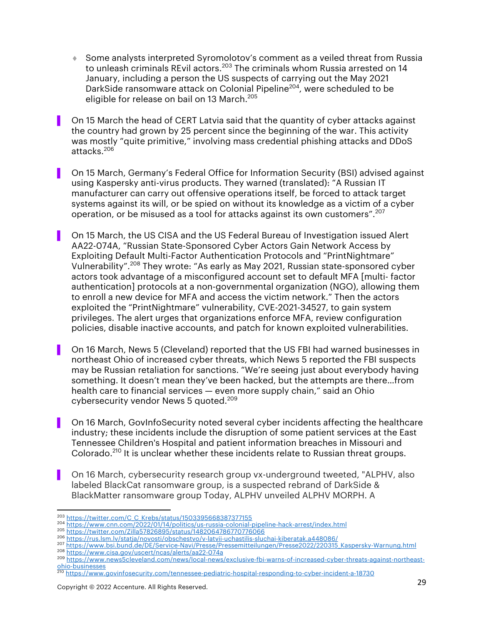- ¨ Some analysts interpreted Syromolotov's comment as a veiled threat from Russia to unleash criminals REvil actors.<sup>203</sup> The criminals whom Russia arrested on 14 January, including a person the US suspects of carrying out the May 2021 DarkSide ransomware attack on Colonial Pipeline<sup>204</sup>, were scheduled to be eligible for release on bail on 13 March. 205
- On 15 March the head of CERT Latvia said that the quantity of cyber attacks against the country had grown by 25 percent since the beginning of the war. This activity was mostly "quite primitive," involving mass credential phishing attacks and DDoS attacks. 206
- ▌ On 15 March, Germany's Federal Office for Information Security (BSI) advised against using Kaspersky anti-virus products. They warned (translated): "A Russian IT manufacturer can carry out offensive operations itself, be forced to attack target systems against its will, or be spied on without its knowledge as a victim of a cyber operation, or be misused as a tool for attacks against its own customers". 207
- ▌ On 15 March, the US CISA and the US Federal Bureau of Investigation issued Alert AA22-074A, "Russian State-Sponsored Cyber Actors Gain Network Access by Exploiting Default Multi-Factor Authentication Protocols and "PrintNightmare" Vulnerability". <sup>208</sup> They wrote: "As early as May 2021, Russian state-sponsored cyber actors took advantage of a misconfigured account set to default MFA [multi- factor authentication] protocols at a non-governmental organization (NGO), allowing them to enroll a new device for MFA and access the victim network." Then the actors exploited the "PrintNightmare" vulnerability, CVE-2021-34527, to gain system privileges. The alert urges that organizations enforce MFA, review configuration policies, disable inactive accounts, and patch for known exploited vulnerabilities.
- ▌ On 16 March, News 5 (Cleveland) reported that the US FBI had warned businesses in northeast Ohio of increased cyber threats, which News 5 reported the FBI suspects may be Russian retaliation for sanctions. "We're seeing just about everybody having something. It doesn't mean they've been hacked, but the attempts are there…from health care to financial services — even more supply chain," said an Ohio cybersecurity vendor News 5 quoted.<sup>209</sup>
- On 16 March, GovInfoSecurity noted several cyber incidents affecting the healthcare industry; these incidents include the disruption of some patient services at the East Tennessee Children's Hospital and patient information breaches in Missouri and Colorado.<sup>210</sup> It is unclear whether these incidents relate to Russian threat groups.
- ▌ On 16 March, cybersecurity research group vx-underground tweeted, "ALPHV, also labeled BlackCat ransomware group, is a suspected rebrand of DarkSide & BlackMatter ransomware group Today, ALPHV unveiled ALPHV MORPH. A

<sup>208</sup> https://www.cisa.gov/uscert/ncas/alerts/aa22-074a

<sup>&</sup>lt;sup>203</sup> https://twitter.com/C\_C\_Krebs/status/1503395668387377155<br><sup>204</sup> https://www.cnn.com/2022/01/14/politics/us-russia-colonial-pipeline-hack-arrest/index.html

<sup>205</sup> https://twitter.com/Zilla57826895/status/1482064786770776066<br>206 https://rus.lsm.lv/statja/novosti/obschestvo/v-latvii-uchastilis-sluchai-kiberatak.a448086/

<sup>207</sup> https://www.bsi.bund.de/DE/Service-Navi/Presse/Pressemitteilungen/Presse2022/220315\_Kaspersky-Warnung.html

<sup>209</sup> https://www.news5cleveland.com/news/local-news/exclusive-fbi-warns-of-increased-cyber-threats-against-northeastohio-businesses

<sup>210</sup> https://www.govinfosecurity.com/tennessee-pediatric-hospital-responding-to-cyber-incident-a-18730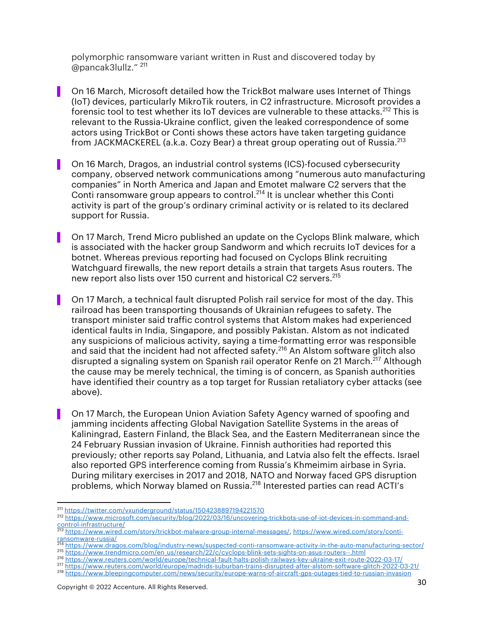polymorphic ransomware variant written in Rust and discovered today by @pancak3lullz." <sup>211</sup>

- ▌ On 16 March, Microsoft detailed how the TrickBot malware uses Internet of Things (IoT) devices, particularly MikroTik routers, in C2 infrastructure. Microsoft provides a forensic tool to test whether its IoT devices are vulnerable to these attacks.<sup>212</sup> This is relevant to the Russia-Ukraine conflict, given the leaked correspondence of some actors using TrickBot or Conti shows these actors have taken targeting guidance from JACKMACKEREL (a.k.a. Cozy Bear) a threat group operating out of Russia.<sup>213</sup>
- ▌ On 16 March, Dragos, an industrial control systems (ICS)-focused cybersecurity company, observed network communications among "numerous auto manufacturing companies" in North America and Japan and Emotet malware C2 servers that the Conti ransomware group appears to control.<sup>214</sup> It is unclear whether this Conti activity is part of the group's ordinary criminal activity or is related to its declared support for Russia.
- ▌ On 17 March, Trend Micro published an update on the Cyclops Blink malware, which is associated with the hacker group Sandworm and which recruits IoT devices for a botnet. Whereas previous reporting had focused on Cyclops Blink recruiting Watchguard firewalls, the new report details a strain that targets Asus routers. The new report also lists over 150 current and historical C2 servers.<sup>215</sup>
- ▌ On 17 March, a technical fault disrupted Polish rail service for most of the day. This railroad has been transporting thousands of Ukrainian refugees to safety. The transport minister said traffic control systems that Alstom makes had experienced identical faults in India, Singapore, and possibly Pakistan. Alstom as not indicated any suspicions of malicious activity, saying a time-formatting error was responsible and said that the incident had not affected safety.<sup>216</sup> An Alstom software glitch also disrupted a signaling system on Spanish rail operator Renfe on 21 March.<sup>217</sup> Although the cause may be merely technical, the timing is of concern, as Spanish authorities have identified their country as a top target for Russian retaliatory cyber attacks (see above).
- ▌ On 17 March, the European Union Aviation Safety Agency warned of spoofing and jamming incidents affecting Global Navigation Satellite Systems in the areas of Kaliningrad, Eastern Finland, the Black Sea, and the Eastern Mediterranean since the 24 February Russian invasion of Ukraine. Finnish authorities had reported this previously; other reports say Poland, Lithuania, and Latvia also felt the effects. Israel also reported GPS interference coming from Russia's Khmeimim airbase in Syria. During military exercises in 2017 and 2018, NATO and Norway faced GPS disruption problems, which Norway blamed on Russia.<sup>218</sup> Interested parties can read ACTI's

- 215 https://www.trendmicro.com/en\_us/research/22/c/cyclops-blink-sets-sights-on-asus-routers--.html<br>216 https://www.trendmicro.com/en\_us/research/22/c/cyclops-blink-sets-sights-on-asus-routers--.html<br>216 https://www.reuter
- 

<sup>211</sup> https://twitter.com/vxunderground/status/1504238897194221570

<sup>&</sup>lt;sup>212</sup> https://www.microsoft.com/security/blog/2022/03/16/uncovering-trickbots-use-of-iot-devices-in-command-andcontrol-infrastructure/

<sup>213</sup> https://www.wired.com/story/trickbot-malware-group-internal-messages/, https://www.wired.com/story/contiransomware-russia/ <sup>214</sup> https://www.dragos.com/blog/industry-news/suspected-conti-ransomware-activity-in-the-auto-manufacturing-sector/

<sup>217</sup> https://www.reuters.com/world/europe/madrids-suburban-trains-disrupted-after-alstom-software-glitch-2022-03-21/

<sup>218</sup> https://www.bleepingcomputer.com/news/security/europe-warns-of-aircraft-gps-outages-tied-to-russian-invasion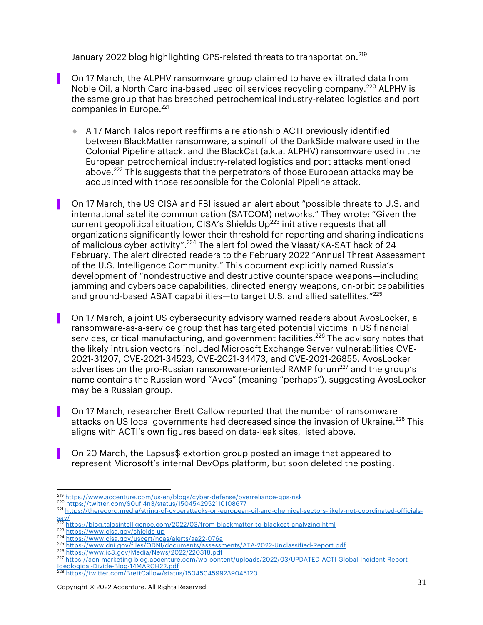January 2022 blog highlighting GPS-related threats to transportation.<sup>219</sup>

- On 17 March, the ALPHV ransomware group claimed to have exfiltrated data from Noble Oil, a North Carolina-based used oil services recycling company.<sup>220</sup> ALPHV is the same group that has breached petrochemical industry-related logistics and port companies in Europe.<sup>221</sup>
	- ¨ A 17 March Talos report reaffirms a relationship ACTI previously identified between BlackMatter ransomware, a spinoff of the DarkSide malware used in the Colonial Pipeline attack, and the BlackCat (a.k.a. ALPHV) ransomware used in the European petrochemical industry-related logistics and port attacks mentioned above.<sup>222</sup> This suggests that the perpetrators of those European attacks may be acquainted with those responsible for the Colonial Pipeline attack.
- ▌ On 17 March, the US CISA and FBI issued an alert about "possible threats to U.S. and international satellite communication (SATCOM) networks." They wrote: "Given the current geopolitical situation, CISA's Shields  $Up^{223}$  initiative requests that all organizations significantly lower their threshold for reporting and sharing indications of malicious cyber activity".<sup>224</sup> The alert followed the Viasat/KA-SAT hack of 24 February. The alert directed readers to the February 2022 "Annual Threat Assessment of the U.S. Intelligence Community." This document explicitly named Russia's development of "nondestructive and destructive counterspace weapons—including jamming and cyberspace capabilities, directed energy weapons, on-orbit capabilities and ground-based ASAT capabilities-to target U.S. and allied satellites."<sup>225</sup>
- On 17 March, a joint US cybersecurity advisory warned readers about AvosLocker, a ransomware-as-a-service group that has targeted potential victims in US financial services, critical manufacturing, and government facilities.<sup>226</sup> The advisory notes that the likely intrusion vectors included Microsoft Exchange Server vulnerabilities CVE-2021-31207, CVE-2021-34523, CVE-2021-34473, and CVE-2021-26855. AvosLocker advertises on the pro-Russian ransomware-oriented RAMP forum<sup>227</sup> and the group's name contains the Russian word "Avos" (meaning "perhaps"), suggesting AvosLocker may be a Russian group.
- ▌ On 17 March, researcher Brett Callow reported that the number of ransomware attacks on US local governments had decreased since the invasion of Ukraine.<sup>228</sup> This aligns with ACTI's own figures based on data-leak sites, listed above.
- On 20 March, the Lapsus\$ extortion group posted an image that appeared to represent Microsoft's internal DevOps platform, but soon deleted the posting.
- 219 https://www.accenture.com/us-en/blogs/cyber-defense/overreliance-gps-risk<br>220 https://twitter.com/S0ufi4n3/status/1504542952110108677

<sup>226</sup> https://www.ic3.gov/Media/News/2022/220318.pdf

<sup>221</sup> https://therecord.media/string-of-cyberattacks-on-european-oil-and-chemical-sectors-likely-not-coordinated-officials $rac{\text{say}}{222}$ 

<sup>222</sup> https://blog.talosintelligence.com/2022/03/from-blackmatter-to-blackcat-analyzing.html

<sup>223</sup> https://www.cisa.gov/shields-up<br>224 https://www.cisa.gov/uscert/ncas/alerts/aa22-076a

<sup>225</sup> https://www.dni.gov/files/ODNI/documents/assessments/ATA-2022-Unclassified-Report.pdf

<sup>227</sup> https://acn-marketing-blog.accenture.com/wp-content/uploads/2022/03/UPDATED-ACTI-Global-Incident-Report-Ideological-Divide-Blog-14MARCH22.pdf

<sup>228</sup> https://twitter.com/BrettCallow/status/1504504599239045120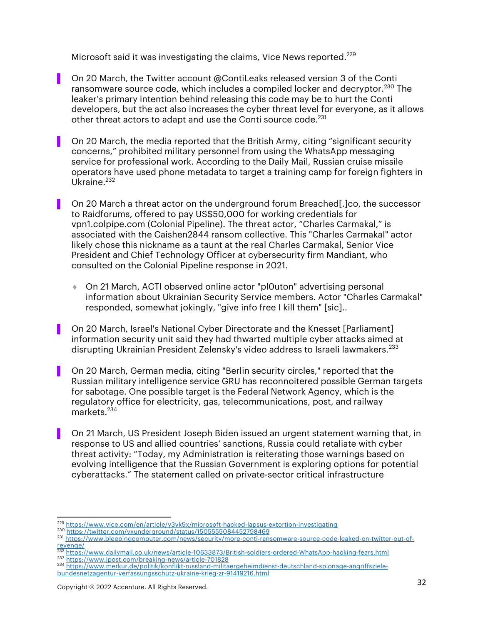Microsoft said it was investigating the claims, Vice News reported.<sup>229</sup>

- On 20 March, the Twitter account @ContiLeaks released version 3 of the Conti ransomware source code, which includes a compiled locker and decryptor.<sup>230</sup> The leaker's primary intention behind releasing this code may be to hurt the Conti developers, but the act also increases the cyber threat level for everyone, as it allows other threat actors to adapt and use the Conti source code.<sup>231</sup>
- ▌ On 20 March, the media reported that the British Army, citing "significant security concerns," prohibited military personnel from using the WhatsApp messaging service for professional work. According to the Daily Mail, Russian cruise missile operators have used phone metadata to target a training camp for foreign fighters in Ukraine. $^{232}$
- On 20 March a threat actor on the underground forum Breached. lco, the successor to Raidforums, offered to pay US\$50,000 for working credentials for vpn1.colpipe.com (Colonial Pipeline). The threat actor, "Charles Carmakal," is associated with the Caishen2844 ransom collective. This "Charles Carmakal" actor likely chose this nickname as a taunt at the real Charles Carmakal, Senior Vice President and Chief Technology Officer at cybersecurity firm Mandiant, who consulted on the Colonial Pipeline response in 2021.
	- ◆ On 21 March, ACTI observed online actor "pl0uton" advertising personal information about Ukrainian Security Service members. Actor "Charles Carmakal" responded, somewhat jokingly, "give info free I kill them" [sic]..
- On 20 March, Israel's National Cyber Directorate and the Knesset [Parliament] information security unit said they had thwarted multiple cyber attacks aimed at disrupting Ukrainian President Zelensky's video address to Israeli lawmakers.<sup>233</sup>
- ▌ On 20 March, German media, citing "Berlin security circles," reported that the Russian military intelligence service GRU has reconnoitered possible German targets for sabotage. One possible target is the Federal Network Agency, which is the regulatory office for electricity, gas, telecommunications, post, and railway markets. $234$
- ▌ On 21 March, US President Joseph Biden issued an urgent statement warning that, in response to US and allied countries' sanctions, Russia could retaliate with cyber threat activity: "Today, my Administration is reiterating those warnings based on evolving intelligence that the Russian Government is exploring options for potential cyberattacks." The statement called on private-sector critical infrastructure

<sup>229</sup> https://www.vice.com/en/article/y3vk9x/microsoft-hacked-lapsus-extortion-investigating

<sup>230</sup> https://twitter.com/vxunderground/status/1505555084452798469

<sup>231</sup> https://www.bleepingcomputer.com/news/security/more-conti-ransomware-source-code-leaked-on-twitter-out-of- $\frac{revenge}{232 h++-}$ 

<sup>&</sup>lt;sup>232</sup> https://www.dailymail.co.uk/news/article-10633873/British-soldiers-ordered-WhatsApp-hacking-fears.html<br><sup>233</sup> https://www.jpost.com/breaking-news/article-701828

<sup>&</sup>lt;sup>234</sup> https://www.merkur.de/politik/konflikt-russland-militaergeheimdienst-deutschland-spionage-angriffszielebundesnetzagentur-verfassungsschutz-ukraine-krieg-zr-91419216.html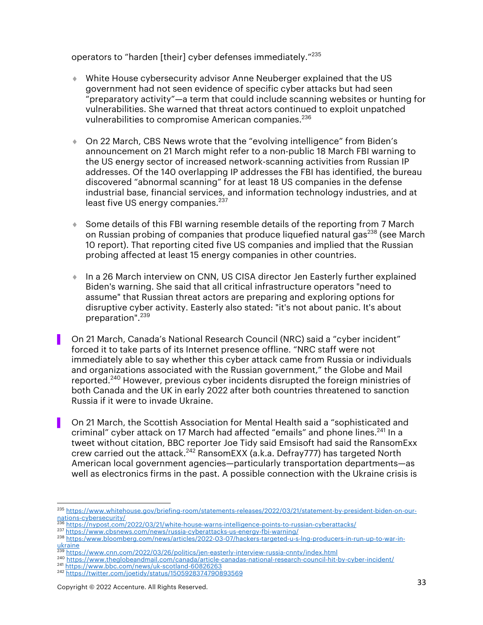operators to "harden [their] cyber defenses immediately."<sup>235</sup>

- ¨ White House cybersecurity advisor Anne Neuberger explained that the US government had not seen evidence of specific cyber attacks but had seen "preparatory activity"—a term that could include scanning websites or hunting for vulnerabilities. She warned that threat actors continued to exploit unpatched vulnerabilities to compromise American companies.<sup>236</sup>
- ◆ On 22 March, CBS News wrote that the "evolving intelligence" from Biden's announcement on 21 March might refer to a non-public 18 March FBI warning to the US energy sector of increased network-scanning activities from Russian IP addresses. Of the 140 overlapping IP addresses the FBI has identified, the bureau discovered "abnormal scanning" for at least 18 US companies in the defense industrial base, financial services, and information technology industries, and at least five US energy companies.<sup>237</sup>
- $\bullet$  Some details of this FBI warning resemble details of the reporting from 7 March on Russian probing of companies that produce liquefied natural gas<sup>238</sup> (see March 10 report). That reporting cited five US companies and implied that the Russian probing affected at least 15 energy companies in other countries.
- In a 26 March interview on CNN, US CISA director Jen Easterly further explained Biden's warning. She said that all critical infrastructure operators "need to assume" that Russian threat actors are preparing and exploring options for disruptive cyber activity. Easterly also stated: "it's not about panic. It's about preparation".<sup>239</sup>
- ▌ On 21 March, Canada's National Research Council (NRC) said a "cyber incident" forced it to take parts of its Internet presence offline. "NRC staff were not immediately able to say whether this cyber attack came from Russia or individuals and organizations associated with the Russian government," the Globe and Mail reported.<sup>240</sup> However, previous cyber incidents disrupted the foreign ministries of both Canada and the UK in early 2022 after both countries threatened to sanction Russia if it were to invade Ukraine.
- ▌ On 21 March, the Scottish Association for Mental Health said a "sophisticated and criminal" cyber attack on 17 March had affected "emails" and phone lines.<sup>241</sup> In a tweet without citation, BBC reporter Joe Tidy said Emsisoft had said the RansomExx crew carried out the attack.<sup>242</sup> RansomEXX (a.k.a. Defray777) has targeted North American local government agencies—particularly transportation departments—as well as electronics firms in the past. A possible connection with the Ukraine crisis is

<sup>235</sup> https://www.whitehouse.gov/briefing-room/statements-releases/2022/03/21/statement-by-president-biden-on-our-<br>nations-cybersecurity/

nations-cybersecurity<br>https://nypost.com/2022/03/21/white-house-warns-intelligence-points-to-russian-cyberattacks/

<sup>237</sup> https://www.cbsnews.com/news/russia-cyberattacks-us-energy-fbi-warning/

<sup>238</sup> https:/www.bloomberg.com/news/articles/2022-03-07/hackers-targeted-u-s-lng-producers-in-run-up-to-war-inukraine<br><sup>239</sup> https://www.cnn.com/2022/03/26/politics/jen-easterly-interview-russia-cnntv/index.html

<sup>240</sup> https://www.theglobeandmail.com/canada/article-canadas-national-research-council-hit-by-cyber-incident/ <sup>241</sup> https://www.bbc.com/news/uk-scotland-60826263

<sup>242</sup> https://twitter.com/joetidy/status/1505928374790893569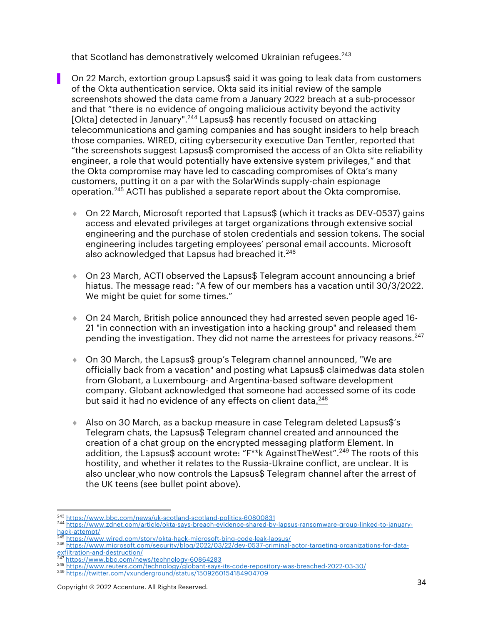that Scotland has demonstratively welcomed Ukrainian refugees.<sup>243</sup>

- On 22 March, extortion group Lapsus\$ said it was going to leak data from customers of the Okta authentication service. Okta said its initial review of the sample screenshots showed the data came from a January 2022 breach at a sub-processor and that "there is no evidence of ongoing malicious activity beyond the activity [Okta] detected in January".244 Lapsus\$ has recently focused on attacking telecommunications and gaming companies and has sought insiders to help breach those companies. WIRED, citing cybersecurity executive Dan Tentler, reported that "the screenshots suggest Lapsus\$ compromised the access of an Okta site reliability engineer, a role that would potentially have extensive system privileges," and that the Okta compromise may have led to cascading compromises of Okta's many customers, putting it on a par with the SolarWinds supply-chain espionage operation.<sup>245</sup> ACTI has published a separate report about the Okta compromise.
	- ◆ On 22 March, Microsoft reported that Lapsus\$ (which it tracks as DEV-0537) gains access and elevated privileges at target organizations through extensive social engineering and the purchase of stolen credentials and session tokens. The social engineering includes targeting employees' personal email accounts. Microsoft also acknowledged that Lapsus had breached it.<sup>246</sup>
	- ◆ On 23 March, ACTI observed the Lapsus\$ Telegram account announcing a brief hiatus. The message read: "A few of our members has a vacation until 30/3/2022. We might be quiet for some times."
	- $\bullet$  On 24 March, British police announced they had arrested seven people aged 16-21 "in connection with an investigation into a hacking group" and released them pending the investigation. They did not name the arrestees for privacy reasons.<sup>247</sup>
	- ◆ On 30 March, the Lapsus\$ group's Telegram channel announced, "We are officially back from a vacation" and posting what Lapsus\$ claimedwas data stolen from Globant, a Luxembourg- and Argentina-based software development company. Globant acknowledged that someone had accessed some of its code but said it had no evidence of any effects on client data.<sup>248</sup>
	- $\triangleq$  Also on 30 March, as a backup measure in case Telegram deleted Lapsus\$'s Telegram chats, the Lapsus\$ Telegram channel created and announced the creation of a chat group on the encrypted messaging platform Element. In addition, the Lapsus\$ account wrote: "F\*\*k AgainstTheWest".<sup>249</sup> The roots of this hostility, and whether it relates to the Russia-Ukraine conflict, are unclear. It is also unclear who now controls the Lapsus\$ Telegram channel after the arrest of the UK teens (see bullet point above).

<sup>&</sup>lt;sup>243</sup> https://www.bbc.com/news/uk-scotland-scotland-politics-60800831<br><sup>244</sup> https://www.zdnet.com/article/okta-says-breach-evidence-shared-by-lapsus-ransomware-group-linked-to-januaryhack-attempt/<br><sup>245</sup> https://www.wired.com/story/okta-hack-microsoft-bing-code-leak-lapsus/

<sup>246</sup> https://www.microsoft.com/security/blog/2022/03/22/dev-0537-criminal-actor-targeting-organizations-for-dataexfiltration-and-destruction/<br><sup>247</sup> https://www.bbc.com/news/technology-60864283

<sup>&</sup>lt;sup>248</sup> https://www.reuters.com/technology/globant-says-its-code-repository-was-breached-2022-03-30/

<sup>249</sup> https://twitter.com/vxunderground/status/1509260154184904709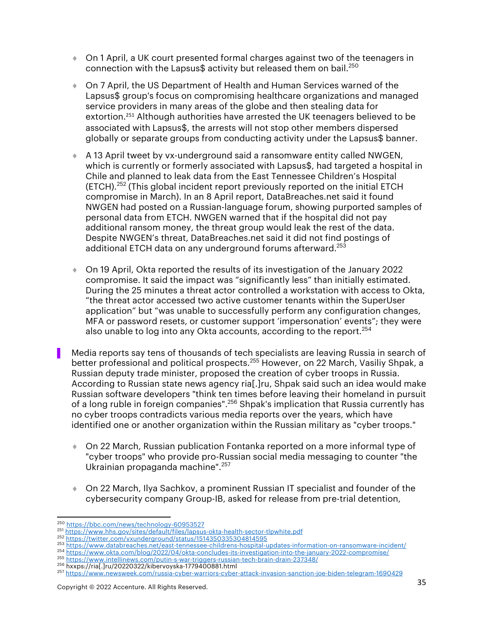- On 1 April, a UK court presented formal charges against two of the teenagers in connection with the Lapsus\$ activity but released them on bail.<sup>250</sup>
- ◆ On 7 April, the US Department of Health and Human Services warned of the Lapsus\$ group's focus on compromising healthcare organizations and managed service providers in many areas of the globe and then stealing data for extortion.<sup>251</sup> Although authorities have arrested the UK teenagers believed to be associated with Lapsus\$, the arrests will not stop other members dispersed globally or separate groups from conducting activity under the Lapsus\$ banner.
- ♦ A 13 April tweet by vx-underground said a ransomware entity called NWGEN, which is currently or formerly associated with Lapsus\$, had targeted a hospital in Chile and planned to leak data from the East Tennessee Children's Hospital (ETCH).<sup>252</sup> (This global incident report previously reported on the initial ETCH compromise in March). In an 8 April report, DataBreaches.net said it found NWGEN had posted on a Russian-language forum, showing purported samples of personal data from ETCH. NWGEN warned that if the hospital did not pay additional ransom money, the threat group would leak the rest of the data. Despite NWGEN's threat, DataBreaches.net said it did not find postings of additional ETCH data on any underground forums afterward.<sup>253</sup>
- ¨ On 19 April, Okta reported the results of its investigation of the January 2022 compromise. It said the impact was "significantly less" than initially estimated. During the 25 minutes a threat actor controlled a workstation with access to Okta, "the threat actor accessed two active customer tenants within the SuperUser application" but "was unable to successfully perform any configuration changes, MFA or password resets, or customer support 'impersonation' events"; they were also unable to log into any Okta accounts, according to the report. $254$
- Media reports say tens of thousands of tech specialists are leaving Russia in search of better professional and political prospects.<sup>255</sup> However, on 22 March, Vasiliy Shpak, a Russian deputy trade minister, proposed the creation of cyber troops in Russia. According to Russian state news agency ria[.]ru, Shpak said such an idea would make Russian software developers "think ten times before leaving their homeland in pursuit of a long ruble in foreign companies".256 Shpak's implication that Russia currently has no cyber troops contradicts various media reports over the years, which have identified one or another organization within the Russian military as "cyber troops."
	- ◆ On 22 March, Russian publication Fontanka reported on a more informal type of "cyber troops" who provide pro-Russian social media messaging to counter "the Ukrainian propaganda machine".257
	- ◆ On 22 March, Ilya Sachkov, a prominent Russian IT specialist and founder of the cybersecurity company Group-IB, asked for release from pre-trial detention,

<sup>254</sup> https://www.okta.com/blog/2022/04/okta-concludes-its-investigation-into-the-january-2022-compromise/

<sup>250</sup> https://bbc.com/news/technology-60953527

<sup>251</sup> https://www.hhs.gov/sites/default/files/lapsus-okta-health-sector-tlpwhite.pdf<br>252 https://twitter.com/vxunderground/status/1514350335304814595

<sup>253</sup> https://www.databreaches.net/east-tennessee-childrens-hospital-updates-information-on-ransomware-incident/

<sup>255</sup> https://www.intellinews.com/putin-s-war-triggers-russian-tech-brain-drain-237348/ <sup>256</sup> hxxps://ria[.]ru/20220322/kibervoyska-1779400881.html

<sup>257</sup> https://www.newsweek.com/russia-cyber-warriors-cyber-attack-invasion-sanction-joe-biden-telegram-1690429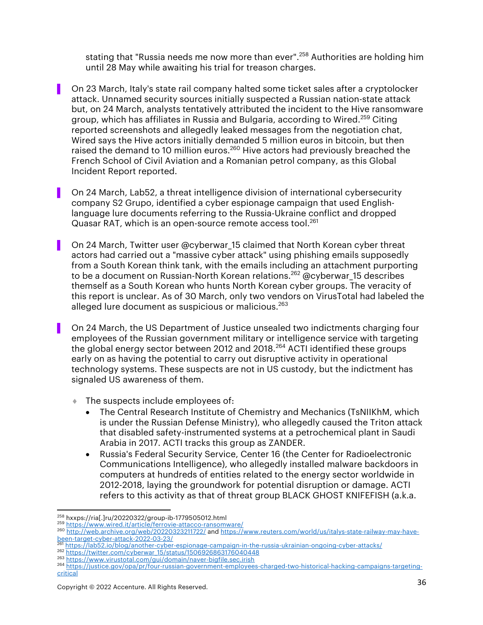stating that "Russia needs me now more than ever".<sup>258</sup> Authorities are holding him until 28 May while awaiting his trial for treason charges.

- ▌ On 23 March, Italy's state rail company halted some ticket sales after a cryptolocker attack. Unnamed security sources initially suspected a Russian nation-state attack but, on 24 March, analysts tentatively attributed the incident to the Hive ransomware group, which has affiliates in Russia and Bulgaria, according to Wired.<sup>259</sup> Citing reported screenshots and allegedly leaked messages from the negotiation chat, Wired says the Hive actors initially demanded 5 million euros in bitcoin, but then raised the demand to 10 million euros.<sup>260</sup> Hive actors had previously breached the French School of Civil Aviation and a Romanian petrol company, as this Global Incident Report reported.
- ▌ On 24 March, Lab52, a threat intelligence division of international cybersecurity company S2 Grupo, identified a cyber espionage campaign that used Englishlanguage lure documents referring to the Russia-Ukraine conflict and dropped Quasar RAT, which is an open-source remote access tool.<sup>261</sup>
- On 24 March, Twitter user @cyberwar 15 claimed that North Korean cyber threat actors had carried out a "massive cyber attack" using phishing emails supposedly from a South Korean think tank, with the emails including an attachment purporting to be a document on Russian-North Korean relations.<sup>262</sup> @cyberwar 15 describes themself as a South Korean who hunts North Korean cyber groups. The veracity of this report is unclear. As of 30 March, only two vendors on VirusTotal had labeled the alleged lure document as suspicious or malicious.<sup>263</sup>
- ▌ On 24 March, the US Department of Justice unsealed two indictments charging four employees of the Russian government military or intelligence service with targeting the global energy sector between 2012 and 2018.<sup>264</sup> ACTI identified these groups early on as having the potential to carry out disruptive activity in operational technology systems. These suspects are not in US custody, but the indictment has signaled US awareness of them.
	- $\bullet$  The suspects include employees of:
		- The Central Research Institute of Chemistry and Mechanics (TsNIIKhM, which is under the Russian Defense Ministry), who allegedly caused the Triton attack that disabled safety-instrumented systems at a petrochemical plant in Saudi Arabia in 2017. ACTI tracks this group as ZANDER.
		- Russia's Federal Security Service, Center 16 (the Center for Radioelectronic Communications Intelligence), who allegedly installed malware backdoors in computers at hundreds of entities related to the energy sector worldwide in 2012-2018, laying the groundwork for potential disruption or damage. ACTI refers to this activity as that of threat group BLACK GHOST KNIFEFISH (a.k.a.

https://lab52.io/blog/another-cyber-espionage-campaign-in-the-russia-ukrainian-ongoing-cyber-attacks/

<sup>&</sup>lt;sup>258</sup> hxxps://ria[.]ru/20220322/group-ib-1779505012.html<br><sup>259</sup> https://www.wired.it/article/ferrovie-attacco-ransomware/<br><sup>260</sup> http://web.archive.org/web/20220323211722/ and https://www.reuters.com/world/us/italys-state-ra

<sup>262&</sup>lt;br>https://twitter.com/cyberwar\_15/status/1506926863176040448<br>263 https://www.virustotal.com/gui/domain/naver-bigfile.sec.irish

<sup>264</sup> https://justice.gov/opa/pr/four-russian-government-employees-charged-two-historical-hacking-campaigns-targetingcritical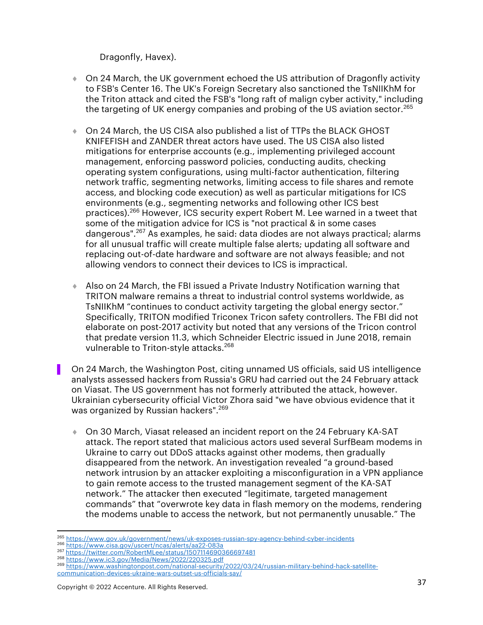Dragonfly, Havex).

- ◆ On 24 March, the UK government echoed the US attribution of Dragonfly activity to FSB's Center 16. The UK's Foreign Secretary also sanctioned the TsNIIKhM for the Triton attack and cited the FSB's "long raft of malign cyber activity," including the targeting of UK energy companies and probing of the US aviation sector.<sup>265</sup>
- ♦ On 24 March, the US CISA also published a list of TTPs the BLACK GHOST KNIFEFISH and ZANDER threat actors have used. The US CISA also listed mitigations for enterprise accounts (e.g., implementing privileged account management, enforcing password policies, conducting audits, checking operating system configurations, using multi-factor authentication, filtering network traffic, segmenting networks, limiting access to file shares and remote access, and blocking code execution) as well as particular mitigations for ICS environments (e.g., segmenting networks and following other ICS best practices).<sup>266</sup> However, ICS security expert Robert M. Lee warned in a tweet that some of the mitigation advice for ICS is "not practical & in some cases dangerous".<sup>267</sup> As examples, he said: data diodes are not always practical; alarms for all unusual traffic will create multiple false alerts; updating all software and replacing out-of-date hardware and software are not always feasible; and not allowing vendors to connect their devices to ICS is impractical.
- ◆ Also on 24 March, the FBI issued a Private Industry Notification warning that TRITON malware remains a threat to industrial control systems worldwide, as TsNIIKhM "continues to conduct activity targeting the global energy sector." Specifically, TRITON modified Triconex Tricon safety controllers. The FBI did not elaborate on post-2017 activity but noted that any versions of the Tricon control that predate version 11.3, which Schneider Electric issued in June 2018, remain vulnerable to Triton-style attacks.<sup>268</sup>
- ▌ On 24 March, the Washington Post, citing unnamed US officials, said US intelligence analysts assessed hackers from Russia's GRU had carried out the 24 February attack on Viasat. The US government has not formerly attributed the attack, however. Ukrainian cybersecurity official Victor Zhora said "we have obvious evidence that it was organized by Russian hackers".<sup>269</sup>
	- ◆ On 30 March, Viasat released an incident report on the 24 February KA-SAT attack. The report stated that malicious actors used several SurfBeam modems in Ukraine to carry out DDoS attacks against other modems, then gradually disappeared from the network. An investigation revealed "a ground-based network intrusion by an attacker exploiting a misconfiguration in a VPN appliance to gain remote access to the trusted management segment of the KA-SAT network." The attacker then executed "legitimate, targeted management commands" that "overwrote key data in flash memory on the modems, rendering the modems unable to access the network, but not permanently unusable." The

<sup>&</sup>lt;sup>265</sup> https://www.gov.uk/government/news/uk-exposes-russian-spy-agency-behind-cyber-incidents <sup>266</sup> https://www.cisa.gov/uscert/ncas/alerts/aa22-083a 267 https://twitter.com/RobertMLee/status/1507114690366697481 <sup>268</sup> http

<sup>&</sup>lt;sup>269</sup> https://www.washingtonpost.com/national-security/2022/03/24/russian-military-behind-hack-satellitecommunication-devices-ukraine-wars-outset-us-officials-say/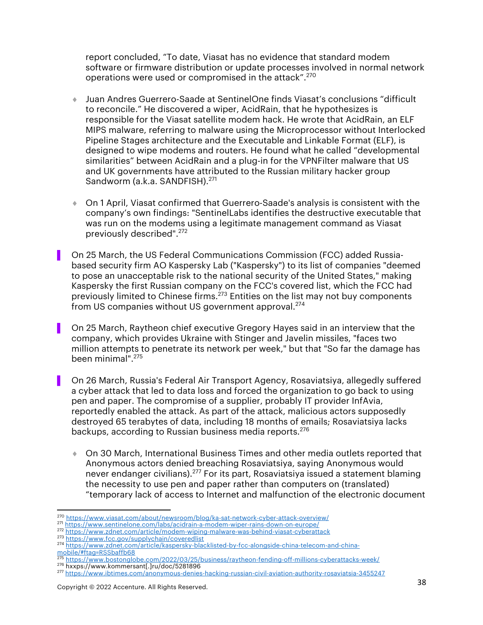report concluded, "To date, Viasat has no evidence that standard modem software or firmware distribution or update processes involved in normal network operations were used or compromised in the attack".<sup>270</sup>

- ¨ Juan Andres Guerrero-Saade at SentinelOne finds Viasat's conclusions "difficult to reconcile." He discovered a wiper, AcidRain, that he hypothesizes is responsible for the Viasat satellite modem hack. He wrote that AcidRain, an ELF MIPS malware, referring to malware using the Microprocessor without Interlocked Pipeline Stages architecture and the Executable and Linkable Format (ELF), is designed to wipe modems and routers. He found what he called "developmental similarities" between AcidRain and a plug-in for the VPNFilter malware that US and UK governments have attributed to the Russian military hacker group Sandworm (a.k.a. SANDFISH).<sup>271</sup>
- ◆ On 1 April, Viasat confirmed that Guerrero-Saade's analysis is consistent with the company's own findings: "SentinelLabs identifies the destructive executable that was run on the modems using a legitimate management command as Viasat previously described". 272
- ▌ On 25 March, the US Federal Communications Commission (FCC) added Russiabased security firm AO Kaspersky Lab ("Kaspersky") to its list of companies "deemed to pose an unacceptable risk to the national security of the United States," making Kaspersky the first Russian company on the FCC's covered list, which the FCC had previously limited to Chinese firms. $273$  Entities on the list may not buy components from US companies without US government approval.<sup>274</sup>
- ▌ On 25 March, Raytheon chief executive Gregory Hayes said in an interview that the company, which provides Ukraine with Stinger and Javelin missiles, "faces two million attempts to penetrate its network per week," but that "So far the damage has been minimal".275
- ▌ On 26 March, Russia's Federal Air Transport Agency, Rosaviatsiya, allegedly suffered a cyber attack that led to data loss and forced the organization to go back to using pen and paper. The compromise of a supplier, probably IT provider InfAvia, reportedly enabled the attack. As part of the attack, malicious actors supposedly destroyed 65 terabytes of data, including 18 months of emails; Rosaviatsiya lacks backups, according to Russian business media reports.<sup>276</sup>
	- ◆ On 30 March, International Business Times and other media outlets reported that Anonymous actors denied breaching Rosaviatsiya, saying Anonymous would never endanger civilians).<sup>277</sup> For its part, Rosaviatsiya issued a statement blaming the necessity to use pen and paper rather than computers on (translated) "temporary lack of access to Internet and malfunction of the electronic document

mobile/#ftag=RSSbaffb68

<sup>&</sup>lt;sup>270</sup> https://www.viasat.com/about/newsroom/blog/ka-sat-network-cyber-attack-overview/<br><sup>271</sup> https://www.sentinelone.com/labs/acidrain-a-modem-wiper-rains-down-on-europe/

<sup>272</sup> https://www.zdnet.com/article/modem-wiping-malware-was-behind-viasat-cyberattack<br>273 https://www.fcc.gov/supplychain/coveredlist

<sup>274</sup> https://www.zdnet.com/article/kaspersky-blacklisted-by-fcc-alongside-china-telecom-and-china-

<sup>275</sup> https://www.bostonglobe.com/2022/03/25/business/raytheon-fending-off-millions-cyberattacks-week/<br><sup>276</sup> hxxps://www.kommersant[.]ru/doc/5281896

<sup>&</sup>lt;sup>277</sup> https://www.ibtimes.com/anonymous-denies-hacking-russian-civil-aviation-authority-rosaviatsia-3455247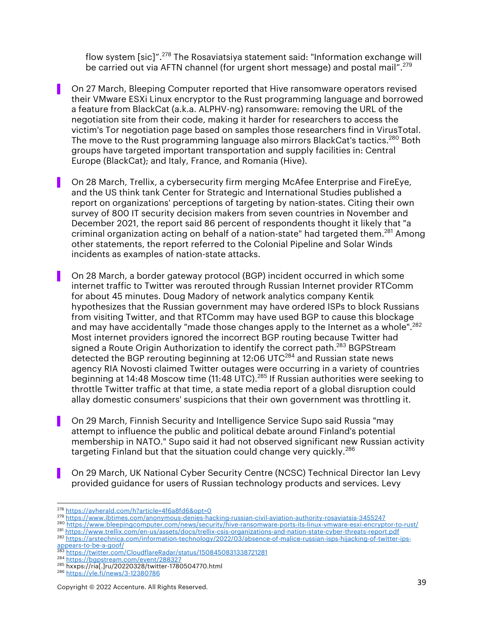flow system [sic]".<sup>278</sup> The Rosaviatsiya statement said: "Information exchange will be carried out via AFTN channel (for urgent short message) and postal mail".<sup>279</sup>

- ▌ On 27 March, Bleeping Computer reported that Hive ransomware operators revised their VMware ESXi Linux encryptor to the Rust programming language and borrowed a feature from BlackCat (a.k.a. ALPHV-ng) ransomware: removing the URL of the negotiation site from their code, making it harder for researchers to access the victim's Tor negotiation page based on samples those researchers find in VirusTotal. The move to the Rust programming language also mirrors BlackCat's tactics.<sup>280</sup> Both groups have targeted important transportation and supply facilities in: Central Europe (BlackCat); and Italy, France, and Romania (Hive).
- On 28 March, Trellix, a cybersecurity firm merging McAfee Enterprise and FireEye, and the US think tank Center for Strategic and International Studies published a report on organizations' perceptions of targeting by nation-states. Citing their own survey of 800 IT security decision makers from seven countries in November and December 2021, the report said 86 percent of respondents thought it likely that "a criminal organization acting on behalf of a nation-state" had targeted them.<sup>281</sup> Among other statements, the report referred to the Colonial Pipeline and Solar Winds incidents as examples of nation-state attacks.
- ▌ On 28 March, a border gateway protocol (BGP) incident occurred in which some internet traffic to Twitter was rerouted through Russian Internet provider RTComm for about 45 minutes. Doug Madory of network analytics company Kentik hypothesizes that the Russian government may have ordered ISPs to block Russians from visiting Twitter, and that RTComm may have used BGP to cause this blockage and may have accidentally "made those changes apply to the Internet as a whole".<sup>282</sup> Most internet providers ignored the incorrect BGP routing because Twitter had signed a Route Origin Authorization to identify the correct path.<sup>283</sup> BGPStream detected the BGP rerouting beginning at 12:06 UTC<sup>284</sup> and Russian state news agency RIA Novosti claimed Twitter outages were occurring in a variety of countries beginning at 14:48 Moscow time (11:48 UTC).<sup>285</sup> If Russian authorities were seeking to throttle Twitter traffic at that time, a state media report of a global disruption could allay domestic consumers' suspicions that their own government was throttling it.
- ▌ On 29 March, Finnish Security and Intelligence Service Supo said Russia "may attempt to influence the public and political debate around Finland's potential membership in NATO." Supo said it had not observed significant new Russian activity targeting Finland but that the situation could change very quickly.<sup>286</sup>
- ▌ On 29 March, UK National Cyber Security Centre (NCSC) Technical Director Ian Levy provided guidance for users of Russian technology products and services. Levy

<sup>281</sup> https://www.trellix.com/en-us/assets/docs/trellix-csis-organizations-and-nation-state-cyber-threats-report.pdf <sup>282</sup> https://arstechnica.com/information-technology/2022/03/absence-of-malice-russian-isps-hijacking-of-twitter-ips-

<sup>&</sup>lt;sup>278</sup> https://avherald.com/h?article=4f6a8fd6&opt=0<br><sup>279</sup> https://www.ibtimes.com/anonymous-denies-hacking-russian-civil-aviation-authority-rosaviatsia-3455247

<sup>280</sup> https://www.bleepingcomputer.com/news/security/hive-ransomware-ports-its-linux-vmware-esxi-encryptor-to-rust/

appears-to-be-a-goof/

<sup>283</sup> https://twitter.com/CloudflareRadar/status/1508450831338721281

<sup>284</sup> https://bgpstream.com/event/288327 <sup>285</sup> hxxps://ria[.]ru/20220328/twitter-1780504770.html

<sup>286</sup> https://yle.fi/news/3-12380786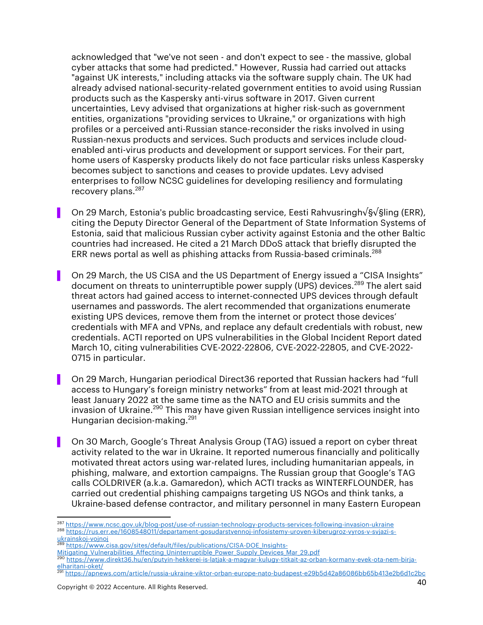acknowledged that "we've not seen - and don't expect to see - the massive, global cyber attacks that some had predicted." However, Russia had carried out attacks "against UK interests," including attacks via the software supply chain. The UK had already advised national-security-related government entities to avoid using Russian products such as the Kaspersky anti-virus software in 2017. Given current uncertainties, Levy advised that organizations at higher risk-such as government entities, organizations "providing services to Ukraine," or organizations with high profiles or a perceived anti-Russian stance-reconsider the risks involved in using Russian-nexus products and services. Such products and services include cloudenabled anti-virus products and development or support services. For their part, home users of Kaspersky products likely do not face particular risks unless Kaspersky becomes subject to sanctions and ceases to provide updates. Levy advised enterprises to follow NCSC guidelines for developing resiliency and formulating recovery plans.<sup>287</sup>

- ▌ On 29 March, Estonia's public broadcasting service, Eesti Rahvusringh√§√§ling (ERR), citing the Deputy Director General of the Department of State Information Systems of Estonia, said that malicious Russian cyber activity against Estonia and the other Baltic countries had increased. He cited a 21 March DDoS attack that briefly disrupted the ERR news portal as well as phishing attacks from Russia-based criminals.<sup>288</sup>
- ▌ On 29 March, the US CISA and the US Department of Energy issued a "CISA Insights" document on threats to uninterruptible power supply (UPS) devices.<sup>289</sup> The alert said threat actors had gained access to internet-connected UPS devices through default usernames and passwords. The alert recommended that organizations enumerate existing UPS devices, remove them from the internet or protect those devices' credentials with MFA and VPNs, and replace any default credentials with robust, new credentials. ACTI reported on UPS vulnerabilities in the Global Incident Report dated March 10, citing vulnerabilities CVE-2022-22806, CVE-2022-22805, and CVE-2022- 0715 in particular.
- ▌ On 29 March, Hungarian periodical Direct36 reported that Russian hackers had "full access to Hungary's foreign ministry networks" from at least mid-2021 through at least January 2022 at the same time as the NATO and EU crisis summits and the invasion of Ukraine. <sup>290</sup> This may have given Russian intelligence services insight into Hungarian decision-making.<sup>291</sup>
- ▌ On 30 March, Google's Threat Analysis Group (TAG) issued a report on cyber threat activity related to the war in Ukraine. It reported numerous financially and politically motivated threat actors using war-related lures, including humanitarian appeals, in phishing, malware, and extortion campaigns. The Russian group that Google's TAG calls COLDRIVER (a.k.a. Gamaredon), which ACTI tracks as WINTERFLOUNDER, has carried out credential phishing campaigns targeting US NGOs and think tanks, a Ukraine-based defense contractor, and military personnel in many Eastern European

https://www.cisa.gov/sites/default/files/publications/CISA-DOE\_Insights-

<sup>287</sup> https://www.ncsc.gov.uk/blog-post/use-of-russian-technology-products-services-following-invasion-ukraine

<sup>288</sup> https://rus.err.ee/1608548011/departament-gosudarstvennoj-infosistemy-uroven-kiberugroz-vyros-v-svjazi-s-<br>ukrainskoj-vojnoj<br>289

Mitigating\_Vulnerabilities\_Affecting\_Uninterruptible\_Power\_Supply\_Devices\_Mar\_29.pdf

<sup>290</sup> https://www.direkt36.hu/en/putyin-hekkerei-is-latjak-a-magyar-kulugy-titkait-az-orban-kormany-evek-ota-nem-birjaelharitani-oket/

<sup>291</sup> https://apnews.com/article/russia-ukraine-viktor-orban-europe-nato-budapest-e29b5d42a86086bb65b413e2b6d1c2bc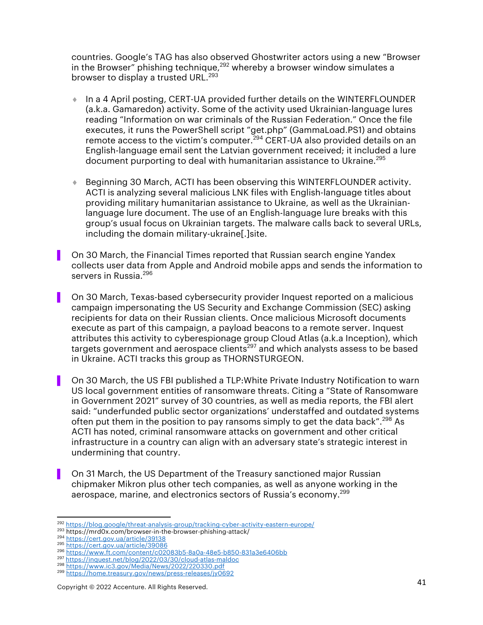countries. Google's TAG has also observed Ghostwriter actors using a new "Browser in the Browser" phishing technique,<sup>292</sup> whereby a browser window simulates a browser to display a trusted URL.<sup>293</sup>

- ↑ In a 4 April posting, CERT-UA provided further details on the WINTERFLOUNDER (a.k.a. Gamaredon) activity. Some of the activity used Ukrainian-language lures reading "Information on war criminals of the Russian Federation." Once the file executes, it runs the PowerShell script "get.php" (GammaLoad.PS1) and obtains remote access to the victim's computer.<sup>294</sup> CERT-UA also provided details on an English-language email sent the Latvian government received; it included a lure document purporting to deal with humanitarian assistance to Ukraine.<sup>295</sup>
- ◆ Beginning 30 March, ACTI has been observing this WINTERFLOUNDER activity. ACTI is analyzing several malicious LNK files with English-language titles about providing military humanitarian assistance to Ukraine, as well as the Ukrainianlanguage lure document. The use of an English-language lure breaks with this group's usual focus on Ukrainian targets. The malware calls back to several URLs, including the domain military-ukraine[.]site.
- ▌ On 30 March, the Financial Times reported that Russian search engine Yandex collects user data from Apple and Android mobile apps and sends the information to servers in Russia.<sup>296</sup>
- ▌ On 30 March, Texas-based cybersecurity provider Inquest reported on a malicious campaign impersonating the US Security and Exchange Commission (SEC) asking recipients for data on their Russian clients. Once malicious Microsoft documents execute as part of this campaign, a payload beacons to a remote server. Inquest attributes this activity to cyberespionage group Cloud Atlas (a.k.a Inception), which targets government and aerospace clients<sup>297</sup> and which analysts assess to be based in Ukraine. ACTI tracks this group as THORNSTURGEON.
- ▌ On 30 March, the US FBI published a TLP:White Private Industry Notification to warn US local government entities of ransomware threats. Citing a "State of Ransomware in Government 2021" survey of 30 countries, as well as media reports, the FBI alert said: "underfunded public sector organizations' understaffed and outdated systems often put them in the position to pay ransoms simply to get the data back".<sup>298</sup> As ACTI has noted, criminal ransomware attacks on government and other critical infrastructure in a country can align with an adversary state's strategic interest in undermining that country.
- On 31 March, the US Department of the Treasury sanctioned major Russian chipmaker Mikron plus other tech companies, as well as anyone working in the aerospace, marine, and electronics sectors of Russia's economy.<sup>299</sup>

<sup>&</sup>lt;sup>292</sup> https://blog.google/threat-analysis-group/tracking-cyber-activity-eastern-europe/<br><sup>293</sup> https://mrd0x.com/browser-in-the-browser-phishing-attack/<br><sup>294</sup> https://cert.gov.ua/article/39138

<sup>295</sup> https://cert.gov.ua/article/39086

<sup>296</sup> https://www.ft.com/content/c02083b5-8a0a-48e5-b850-831a3e6406bb<br>297 https://inquest.net/blog/2022/03/30/cloud-atlas-maldoc

<sup>&</sup>lt;sup>298</sup> https://www.ic3.gov/Media/News/2022/220330.pdf

<sup>299</sup> https://home.treasury.gov/news/press-releases/jy0692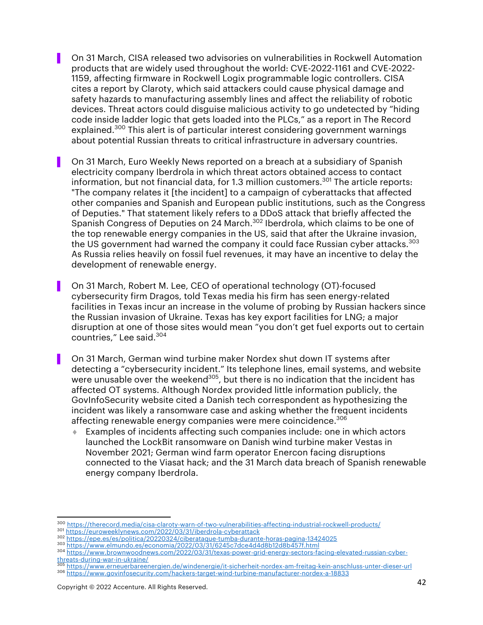▌ On 31 March, CISA released two advisories on vulnerabilities in Rockwell Automation products that are widely used throughout the world: CVE-2022-1161 and CVE-2022- 1159, affecting firmware in Rockwell Logix programmable logic controllers. CISA cites a report by Claroty, which said attackers could cause physical damage and safety hazards to manufacturing assembly lines and affect the reliability of robotic devices. Threat actors could disguise malicious activity to go undetected by "hiding code inside ladder logic that gets loaded into the PLCs," as a report in The Record explained.<sup>300</sup> This alert is of particular interest considering government warnings about potential Russian threats to critical infrastructure in adversary countries.

▌ On 31 March, Euro Weekly News reported on a breach at a subsidiary of Spanish electricity company Iberdrola in which threat actors obtained access to contact information, but not financial data, for 1.3 million customers.<sup>301</sup> The article reports: "The company relates it [the incident] to a campaign of cyberattacks that affected other companies and Spanish and European public institutions, such as the Congress of Deputies." That statement likely refers to a DDoS attack that briefly affected the Spanish Congress of Deputies on 24 March.<sup>302</sup> Iberdrola, which claims to be one of the top renewable energy companies in the US, said that after the Ukraine invasion, the US government had warned the company it could face Russian cyber attacks.<sup>303</sup> As Russia relies heavily on fossil fuel revenues, it may have an incentive to delay the development of renewable energy.

▌ On 31 March, Robert M. Lee, CEO of operational technology (OT)-focused cybersecurity firm Dragos, told Texas media his firm has seen energy-related facilities in Texas incur an increase in the volume of probing by Russian hackers since the Russian invasion of Ukraine. Texas has key export facilities for LNG; a major disruption at one of those sites would mean "you don't get fuel exports out to certain countries," Lee said.<sup>304</sup>

On 31 March, German wind turbine maker Nordex shut down IT systems after detecting a "cybersecurity incident." Its telephone lines, email systems, and website were unusable over the weekend<sup>305</sup>, but there is no indication that the incident has affected OT systems. Although Nordex provided little information publicly, the GovInfoSecurity website cited a Danish tech correspondent as hypothesizing the incident was likely a ransomware case and asking whether the frequent incidents affecting renewable energy companies were mere coincidence.<sup>306</sup>

Examples of incidents affecting such companies include: one in which actors launched the LockBit ransomware on Danish wind turbine maker Vestas in November 2021; German wind farm operator Enercon facing disruptions connected to the Viasat hack; and the 31 March data breach of Spanish renewable energy company Iberdrola.

300 https://therecord.media/cisa-claroty-warn-of-two-vulnerabilities-affecting-industrial-rockwell-products/

<sup>&</sup>lt;sup>301</sup> https://euroweeklynews.com/2022/03/31/iberdrola-cyberattack

<sup>&</sup>lt;sup>302</sup> <u>https://epe.es/es/politica/20220324/ciberataque-tumba-durante-horas-pagina-13424025</u><br><sup>303</sup> <u>https://www.elmundo.es/economia/2022/03/31/6245c7dce4d4d8b12d8b457f.html</u>

<sup>304</sup> https://www.elmundo.es/economia/2022/03/31/6245c7dce4d4d8b12d8b457f.html<br>304 https://www.brownwoodnews.com/2022/03/31/texas-power-grid-energy-sectors-facing-elevated-russian-cyberthreats-during-war-in-ukraine/ <sup>305</sup> https://www.erneuerbareenergien.de/windenergie/it-sicherheit-nordex-am-freitag-kein-anschluss-unter-dieser-url

<sup>306</sup> https://www.govinfosecurity.com/hackers-target-wind-turbine-manufacturer-nordex-a-18833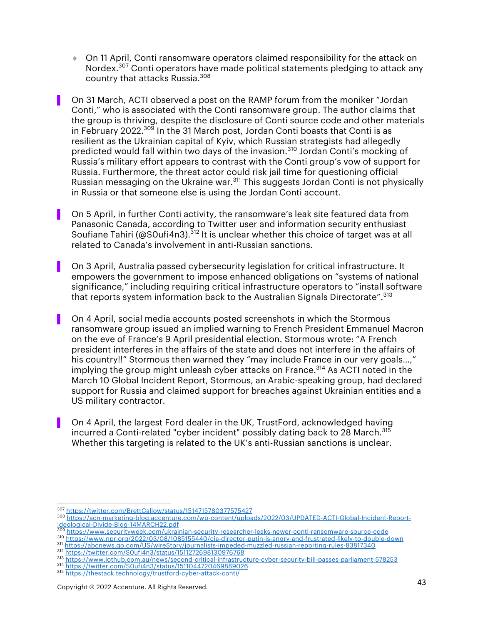¨ On 11 April, Conti ransomware operators claimed responsibility for the attack on Nordex.<sup>307</sup> Conti operators have made political statements pledging to attack any country that attacks Russia.308

On 31 March, ACTI observed a post on the RAMP forum from the moniker "Jordan Conti," who is associated with the Conti ransomware group. The author claims that the group is thriving, despite the disclosure of Conti source code and other materials in February 2022. $30\overline{9}$  In the 31 March post, Jordan Conti boasts that Conti is as resilient as the Ukrainian capital of Kyiv, which Russian strategists had allegedly predicted would fall within two days of the invasion.<sup>310</sup> Jordan Conti's mocking of Russia's military effort appears to contrast with the Conti group's vow of support for Russia. Furthermore, the threat actor could risk jail time for questioning official Russian messaging on the Ukraine war.<sup>311</sup> This suggests Jordan Conti is not physically in Russia or that someone else is using the Jordan Conti account.

On 5 April, in further Conti activity, the ransomware's leak site featured data from Panasonic Canada, according to Twitter user and information security enthusiast Soufiane Tahiri (@SOufi4n3).<sup>312</sup> It is unclear whether this choice of target was at all related to Canada's involvement in anti-Russian sanctions.

▌ On 3 April, Australia passed cybersecurity legislation for critical infrastructure. It empowers the government to impose enhanced obligations on "systems of national significance," including requiring critical infrastructure operators to "install software that reports system information back to the Australian Signals Directorate".<sup>313</sup>

On 4 April, social media accounts posted screenshots in which the Stormous ransomware group issued an implied warning to French President Emmanuel Macron on the eve of France's 9 April presidential election. Stormous wrote: "A French president interferes in the affairs of the state and does not interfere in the affairs of his country!!" Stormous then warned they "may include France in our very goals…," implying the group might unleash cyber attacks on France.<sup>314</sup> As ACTI noted in the March 10 Global Incident Report, Stormous, an Arabic-speaking group, had declared support for Russia and claimed support for breaches against Ukrainian entities and a US military contractor.

▌ On 4 April, the largest Ford dealer in the UK, TrustFord, acknowledged having incurred a Conti-related "cyber incident" possibly dating back to 28 March.<sup>315</sup> Whether this targeting is related to the UK's anti-Russian sanctions is unclear.

- <sup>309</sup> https://www.securityweek.com/ukrainian-security-researcher-leaks-newer-conti-ransomware-source-code
- <sup>310</sup> <u>https://www.npr.org/2022/03/08/1085155440/cia-director-putin-is-angry-and-frustrated-likely-to-double-down<br><sup>311</sup> https://abcnews.go.com/US/wireStory/journalists-impeded-muzzled-russian-reporting-rules-83817340</u> 311 https://abcnews.go.com/US/wireStory/journalists-impeded-muzzled-russian-reporting-rules-83817340<br>312 https://twitter.com/S0ufi4n3/status/1511272698130976768

<sup>315</sup> https://thestack.technology/trustford-cyber-attack-conti/

<sup>307</sup> https://twitter.com/BrettCallow/status/1514715780377575427

<sup>308</sup> https://acn-marketing-blog.accenture.com/wp-content/uploads/2022/03/UPDATED-ACTI-Global-Incident-Report-Ideological-Divide-Blog-14MARCH22.pdf

<sup>313</sup> https://www.iothub.com.au/news/second-critical-infrastructure-cyber-security-bill-passes-parliament-578253<br>314 https://twitter.com/S0ufi4n3/status/1511044720469889026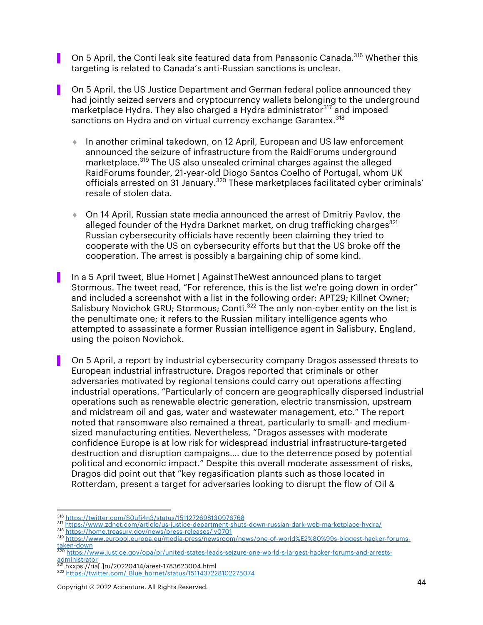On 5 April, the Conti leak site featured data from Panasonic Canada.<sup>316</sup> Whether this targeting is related to Canada's anti-Russian sanctions is unclear.

▌ On 5 April, the US Justice Department and German federal police announced they had jointly seized servers and cryptocurrency wallets belonging to the underground marketplace Hydra. They also charged a Hydra administrator<sup>317</sup> and imposed sanctions on Hydra and on virtual currency exchange Garantex.<sup>318</sup>

- ↑ In another criminal takedown, on 12 April, European and US law enforcement announced the seizure of infrastructure from the RaidForums underground marketplace.<sup>319</sup> The US also unsealed criminal charges against the alleged RaidForums founder, 21-year-old Diogo Santos Coelho of Portugal, whom UK officials arrested on 31 January.<sup>320</sup> These marketplaces facilitated cyber criminals' resale of stolen data.
- $\bullet$  On 14 April, Russian state media announced the arrest of Dmitriy Pavlov, the alleged founder of the Hydra Darknet market, on drug trafficking charges<sup>321</sup> Russian cybersecurity officials have recently been claiming they tried to cooperate with the US on cybersecurity efforts but that the US broke off the cooperation. The arrest is possibly a bargaining chip of some kind.
- In a 5 April tweet, Blue Hornet | Against The West announced plans to target Stormous. The tweet read, "For reference, this is the list we're going down in order" and included a screenshot with a list in the following order: APT29; Killnet Owner; Salisbury Novichok GRU; Stormous; Conti.<sup>322</sup> The only non-cyber entity on the list is the penultimate one; it refers to the Russian military intelligence agents who attempted to assassinate a former Russian intelligence agent in Salisbury, England, using the poison Novichok.
- On 5 April, a report by industrial cybersecurity company Dragos assessed threats to European industrial infrastructure. Dragos reported that criminals or other adversaries motivated by regional tensions could carry out operations affecting industrial operations. "Particularly of concern are geographically dispersed industrial operations such as renewable electric generation, electric transmission, upstream and midstream oil and gas, water and wastewater management, etc." The report noted that ransomware also remained a threat, particularly to small- and mediumsized manufacturing entities. Nevertheless, "Dragos assesses with moderate confidence Europe is at low risk for widespread industrial infrastructure-targeted destruction and disruption campaigns…. due to the deterrence posed by potential political and economic impact." Despite this overall moderate assessment of risks, Dragos did point out that "key regasification plants such as those located in Rotterdam, present a target for adversaries looking to disrupt the flow of Oil &

<sup>318</sup> https://home.treasury.gov/news/press-releases/jy0701

<sup>&</sup>lt;sup>316</sup> https://twitter.com/S0ufi4n3/status/1511272698130976768<br><sup>317</sup> https://www.zdnet.com/article/us-justice-department-shuts-down-russian-dark-web-marketplace-hydra/

<sup>319</sup> https://www.europol.europa.eu/media-press/newsroom/news/one-of-world%E2%80%99s-biggest-hacker-forumstaken-down

<sup>320</sup> https://www.justice.gov/opa/pr/united-states-leads-seizure-one-world-s-largest-hacker-forums-and-arrests-

administrator<br><sup>321</sup> hxxps://ria[.]ru/20220414/arest-1783623004.html

<sup>322</sup> https://twitter.com/\_Blue\_hornet/status/1511437228102275074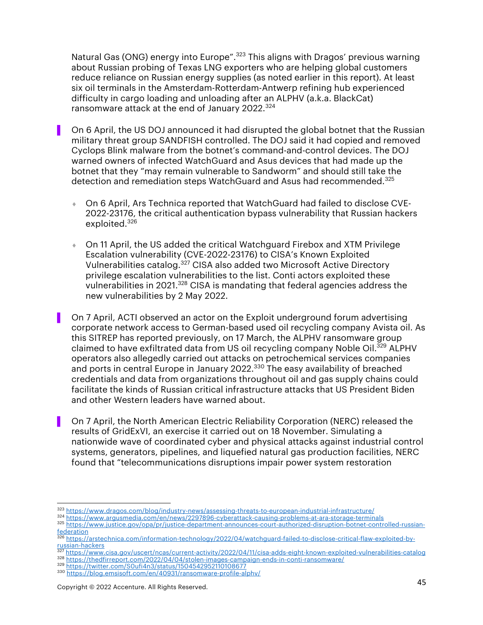Natural Gas (ONG) energy into Europe".<sup>323</sup> This aligns with Dragos' previous warning about Russian probing of Texas LNG exporters who are helping global customers reduce reliance on Russian energy supplies (as noted earlier in this report). At least six oil terminals in the Amsterdam-Rotterdam-Antwerp refining hub experienced difficulty in cargo loading and unloading after an ALPHV (a.k.a. BlackCat) ransomware attack at the end of January 2022.<sup>324</sup>

- On 6 April, the US DOJ announced it had disrupted the global botnet that the Russian military threat group SANDFISH controlled. The DOJ said it had copied and removed Cyclops Blink malware from the botnet's command-and-control devices. The DOJ warned owners of infected WatchGuard and Asus devices that had made up the botnet that they "may remain vulnerable to Sandworm" and should still take the detection and remediation steps WatchGuard and Asus had recommended.<sup>325</sup>
	- ¨ On 6 April, Ars Technica reported that WatchGuard had failed to disclose CVE-2022-23176, the critical authentication bypass vulnerability that Russian hackers exploited.<sup>326</sup>
	- On 11 April, the US added the critical Watchguard Firebox and XTM Privilege Escalation vulnerability (CVE-2022-23176) to CISA's Known Exploited Vulnerabilities catalog.<sup>327</sup> CISA also added two Microsoft Active Directory privilege escalation vulnerabilities to the list. Conti actors exploited these vulnerabilities in 2021.<sup>328</sup> CISA is mandating that federal agencies address the new vulnerabilities by 2 May 2022.
	- ▌ On 7 April, ACTI observed an actor on the Exploit underground forum advertising corporate network access to German-based used oil recycling company Avista oil. As this SITREP has reported previously, on 17 March, the ALPHV ransomware group claimed to have exfiltrated data from US oil recycling company Noble Oil.<sup>329</sup> ALPHV operators also allegedly carried out attacks on petrochemical services companies and ports in central Europe in January 2022.330 The easy availability of breached credentials and data from organizations throughout oil and gas supply chains could facilitate the kinds of Russian critical infrastructure attacks that US President Biden and other Western leaders have warned about.
- On 7 April, the North American Electric Reliability Corporation (NERC) released the results of GridExVI, an exercise it carried out on 18 November. Simulating a nationwide wave of coordinated cyber and physical attacks against industrial control systems, generators, pipelines, and liquefied natural gas production facilities, NERC found that "telecommunications disruptions impair power system restoration

<sup>323</sup> https://www.dragos.com/blog/industry-news/assessing-threats-to-european-industrial-infrastructure/<br>324 https://www.argusmedia.com/en/news/2297896-cyberattack-causing-problems-at-ara-storage-terminals

<sup>325</sup> https://www.justice.gov/opa/pr/justice-department-announces-court-authorized-disruption-botnet-controlled-russianfederation

<sup>326</sup> https://arstechnica.com/information-technology/2022/04/watchguard-failed-to-disclose-critical-flaw-exploited-byrussian-hackers

<sup>327</sup> https://www.cisa.gov/uscert/ncas/current-activity/2022/04/11/cisa-adds-eight-known-exploited-vulnerabilities-catalog

<sup>328</sup> https://thedfirreport.com/2022/04/04/stolen-images-campaign-ends-in-conti-ransomware/ <sup>329</sup> https://twitter.com/S0ufi4n3/status/1504542952110108677

<sup>330</sup> https://blog.emsisoft.com/en/40931/ransomware-profile-alphv/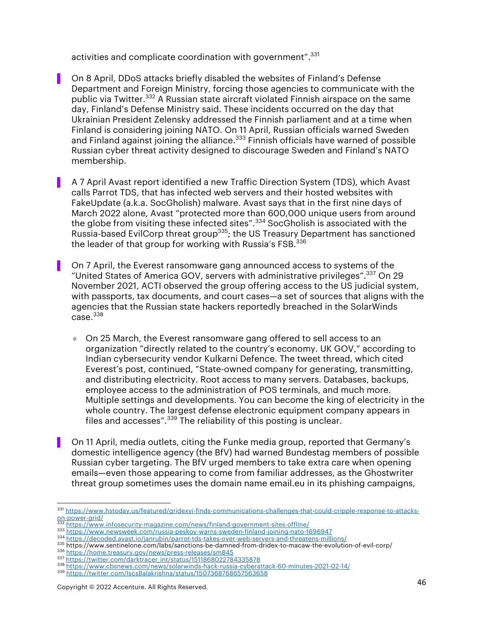activities and complicate coordination with government".<sup>331</sup>

- On 8 April, DDoS attacks briefly disabled the websites of Finland's Defense Department and Foreign Ministry, forcing those agencies to communicate with the public via Twitter.<sup>332</sup> A Russian state aircraft violated Finnish airspace on the same day, Finland's Defense Ministry said. These incidents occurred on the day that Ukrainian President Zelensky addressed the Finnish parliament and at a time when Finland is considering joining NATO. On 11 April, Russian officials warned Sweden and Finland against joining the alliance. $333$  Finnish officials have warned of possible Russian cyber threat activity designed to discourage Sweden and Finland's NATO membership.
- ▌ A 7 April Avast report identified a new Traffic Direction System (TDS), which Avast calls Parrot TDS, that has infected web servers and their hosted websites with FakeUpdate (a.k.a. SocGholish) malware. Avast says that in the first nine days of March 2022 alone, Avast "protected more than 600,000 unique users from around the globe from visiting these infected sites".<sup>334</sup> SocGholish is associated with the Russia-based EvilCorp threat group<sup>335</sup>; the US Treasury Department has sanctioned the leader of that group for working with Russia's FSB.<sup>336</sup>
- On 7 April, the Everest ransomware gang announced access to systems of the "United States of America GOV, servers with administrative privileges".337 On 29 November 2021, ACTI observed the group offering access to the US judicial system, with passports, tax documents, and court cases—a set of sources that aligns with the agencies that the Russian state hackers reportedly breached in the SolarWinds  $case.<sup>338</sup>$ 
	- ◆ On 25 March, the Everest ransomware gang offered to sell access to an organization "directly related to the country's economy. UK GOV," according to Indian cybersecurity vendor Kulkarni Defence. The tweet thread, which cited Everest's post, continued, "State-owned company for generating, transmitting, and distributing electricity. Root access to many servers. Databases, backups, employee access to the administration of POS terminals, and much more. Multiple settings and developments. You can become the king of electricity in the whole country. The largest defense electronic equipment company appears in files and accesses".<sup>339</sup> The reliability of this posting is unclear.
- ▌ On 11 April, media outlets, citing the Funke media group, reported that Germany's domestic intelligence agency (the BfV) had warned Bundestag members of possible Russian cyber targeting. The BfV urged members to take extra care when opening emails—even those appearing to come from familiar addresses, as the Ghostwriter threat group sometimes uses the domain name email.eu in its phishing campaigns,

<sup>331</sup> https://www.hstoday.us/featured/gridexvi-finds-communications-challenges-that-could-cripple-response-to-attacks-<br>0n-power-grid/

https://www.infosecurity-magazine.com/news/finland-government-sites-offline/

<sup>333</sup> https://www.newsweek.com/russia-peskov-warns-sweden-finland-joining-nato-1696947<br>334 https://decoded.avast.io/janrubin/parrot-tds-takes-over-web-servers-and-threatens-millions/

<sup>335</sup> https://www.sentinelone.com/labs/sanctions-be-damned-from-dridex-to-macaw-the-evolution-of-evil-corp/

<sup>336</sup> https://home.treasury.gov/news/press-releases/sm845<br>337 https://twitter.com/darktracer\_int/status/1511868022784335878

<sup>338</sup> https://www.cbsnews.com/news/solarwinds-hack-russia-cyberattack-60-minutes-2021-02-14/

<sup>339</sup> https://twitter.com/IscsBalakrishna/status/1507368768657563658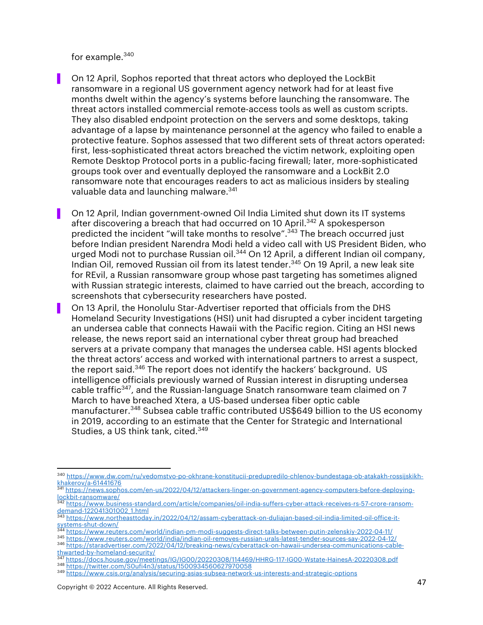for example.340

- ▌ On 12 April, Sophos reported that threat actors who deployed the LockBit ransomware in a regional US government agency network had for at least five months dwelt within the agency's systems before launching the ransomware. The threat actors installed commercial remote-access tools as well as custom scripts. They also disabled endpoint protection on the servers and some desktops, taking advantage of a lapse by maintenance personnel at the agency who failed to enable a protective feature. Sophos assessed that two different sets of threat actors operated: first, less-sophisticated threat actors breached the victim network, exploiting open Remote Desktop Protocol ports in a public-facing firewall; later, more-sophisticated groups took over and eventually deployed the ransomware and a LockBit 2.0 ransomware note that encourages readers to act as malicious insiders by stealing valuable data and launching malware.<sup>341</sup>
	- On 12 April, Indian government-owned Oil India Limited shut down its IT systems after discovering a breach that had occurred on 10 April.<sup>342</sup> A spokesperson predicted the incident "will take months to resolve".<sup>343</sup> The breach occurred just before Indian president Narendra Modi held a video call with US President Biden, who urged Modi not to purchase Russian oil.<sup>344</sup> On 12 April, a different Indian oil company, Indian Oil, removed Russian oil from its latest tender.<sup>345</sup> On 19 April, a new leak site for REvil, a Russian ransomware group whose past targeting has sometimes aligned with Russian strategic interests, claimed to have carried out the breach, according to screenshots that cybersecurity researchers have posted.
- ▌ On 13 April, the Honolulu Star-Advertiser reported that officials from the DHS Homeland Security Investigations (HSI) unit had disrupted a cyber incident targeting an undersea cable that connects Hawaii with the Pacific region. Citing an HSI news release, the news report said an international cyber threat group had breached servers at a private company that manages the undersea cable. HSI agents blocked the threat actors' access and worked with international partners to arrest a suspect, the report said.<sup>346</sup> The report does not identify the hackers' background. US intelligence officials previously warned of Russian interest in disrupting undersea cable traffic<sup>347</sup>, and the Russian-language Snatch ransomware team claimed on 7 March to have breached Xtera, a US-based undersea fiber optic cable manufacturer.<sup>348</sup> Subsea cable traffic contributed US\$649 billion to the US economy in 2019, according to an estimate that the Center for Strategic and International Studies, a US think tank, cited.<sup>349</sup>

<sup>340</sup> https://www.dw.com/ru/vedomstvo-po-okhrane-konstitucii-predupredilo-chlenov-bundestaga-ob-atakakh-rossijskikhkhakerov/a-61441676

 $\frac{341 \text{ https://news.sophos.com/en-us/2022/04/12/attackers-linear-on-government-agency-computers-before-deploving-  
lockbit-ransommer/  
 $\frac{342 \text{ bits}}{142 \text{ bits}}$$ 

https://www.business-standard.com/article/companies/oil-india-suffers-cyber-attack-receives-rs-57-crore-ransomdemand-122041301002\_1.html

<sup>343</sup> https://www.northeasttoday.in/2022/04/12/assam-cyberattack-on-duliajan-based-oil-india-limited-oil-office-itsystems-shut-down/

<sup>344</sup> https://www.reuters.com/world/indian-pm-modi-suggests-direct-talks-between-putin-zelenskiy-2022-04-11/

<sup>345</sup> https://www.reuters.com/world/india/indian-oil-removes-russian-urals-latest-tender-sources-say-2022-04-12/<br><sup>346</sup> https://staradvertiser.com/2022/04/12/breaking-news/cyberattack-on-hawaii-undersea-communications-cable-

thwarted-by-homeland-security/

<sup>347</sup> https://docs.house.gov/meetings/IG/IG00/20220308/114469/HHRG-117-IG00-Wstate-HainesA-20220308.pdf <sup>348</sup> https://twitter.com/S0ufi4n3/status/1500934560627970058

<sup>349</sup> https://www.csis.org/analysis/securing-asias-subsea-network-us-interests-and-strategic-options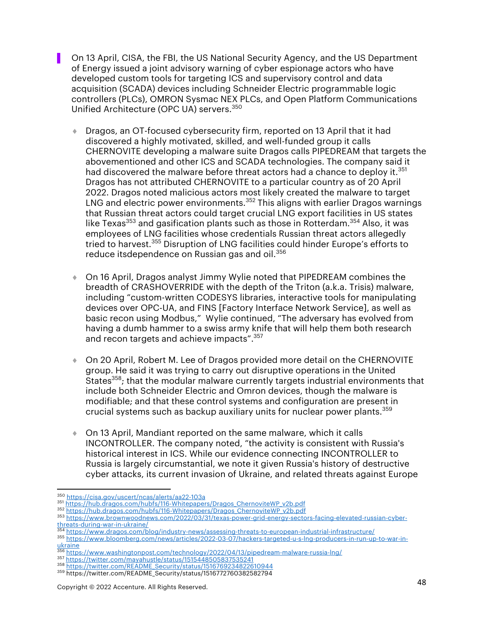▌ On 13 April, CISA, the FBI, the US National Security Agency, and the US Department of Energy issued a joint advisory warning of cyber espionage actors who have developed custom tools for targeting ICS and supervisory control and data acquisition (SCADA) devices including Schneider Electric programmable logic controllers (PLCs), OMRON Sysmac NEX PLCs, and Open Platform Communications Unified Architecture (OPC UA) servers.<sup>350</sup>

- ◆ Dragos, an OT-focused cybersecurity firm, reported on 13 April that it had discovered a highly motivated, skilled, and well-funded group it calls CHERNOVITE developing a malware suite Dragos calls PIPEDREAM that targets the abovementioned and other ICS and SCADA technologies. The company said it had discovered the malware before threat actors had a chance to deploy it.<sup>351</sup> Dragos has not attributed CHERNOVITE to a particular country as of 20 April 2022. Dragos noted malicious actors most likely created the malware to target LNG and electric power environments.<sup>352</sup> This aligns with earlier Dragos warnings that Russian threat actors could target crucial LNG export facilities in US states like Texas<sup>353</sup> and gasification plants such as those in Rotterdam.<sup>354</sup> Also, it was employees of LNG facilities whose credentials Russian threat actors allegedly tried to harvest.<sup>355</sup> Disruption of LNG facilities could hinder Europe's efforts to reduce itsdependence on Russian gas and oil. 356
- ◆ On 16 April, Dragos analyst Jimmy Wylie noted that PIPEDREAM combines the breadth of CRASHOVERRIDE with the depth of the Triton (a.k.a. Trisis) malware, including "custom-written CODESYS libraries, interactive tools for manipulating devices over OPC-UA, and FINS [Factory Interface Network Service], as well as basic recon using Modbus," Wylie continued, "The adversary has evolved from having a dumb hammer to a swiss army knife that will help them both research and recon targets and achieve impacts". 357
- ♦ On 20 April, Robert M. Lee of Dragos provided more detail on the CHERNOVITE group. He said it was trying to carry out disruptive operations in the United States<sup>358</sup>; that the modular malware currently targets industrial environments that include both Schneider Electric and Omron devices, though the malware is modifiable; and that these control systems and configuration are present in crucial systems such as backup auxiliary units for nuclear power plants.<sup>359</sup>
- $\bullet$  On 13 April, Mandiant reported on the same malware, which it calls INCONTROLLER. The company noted, "the activity is consistent with Russia's historical interest in ICS. While our evidence connecting INCONTROLLER to Russia is largely circumstantial, we note it given Russia's history of destructive cyber attacks, its current invasion of Ukraine, and related threats against Europe

<sup>350</sup> https://cisa.gov/uscert/ncas/alerts/aa22-103a<br>351 https://hub.dragos.com/hubfs/116-Whitepapers/Dragos\_ChernoviteWP\_v2b.pdf

<sup>352</sup> https://hub.dragos.com/hubfs/116-Whitepapers/Dragos\_ChernoviteWP\_v2b.pdf

<sup>353</sup> https://www.brownwoodnews.com/2022/03/31/texas-power-grid-energy-sectors-facing-elevated-russian-cyberthreats-during-war-in-ukraine/

<sup>354</sup> https://www.dragos.com/blog/industry-news/assessing-threats-to-european-industrial-infrastructure/

<sup>355</sup> https://www.bloomberg.com/news/articles/2022-03-07/hackers-targeted-u-s-lng-producers-in-run-up-to-war-inukraine

<sup>356</sup> https://www.washingtonpost.com/technology/2022/04/13/pipedream-malware-russia-lng/

<sup>357</sup> https://twitter.com/mayahustle/status/1515448505837535241 <sup>358</sup> https://twitter.com/README\_Security/status/1516769234822610944

<sup>359</sup> https://twitter.com/README\_Security/status/1516772760382582794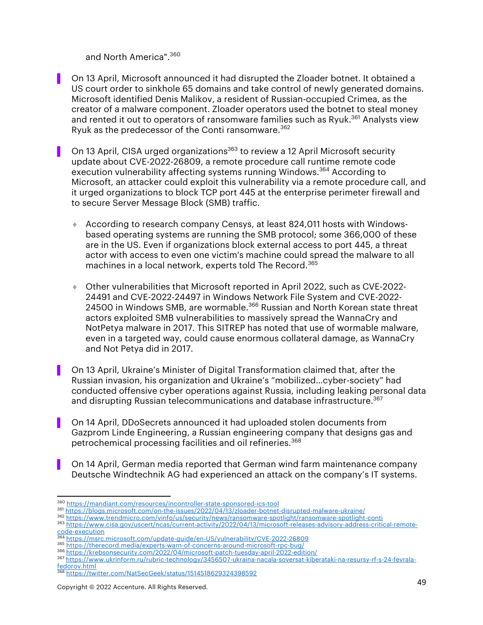and North America".360

- ▌ On 13 April, Microsoft announced it had disrupted the Zloader botnet. It obtained a US court order to sinkhole 65 domains and take control of newly generated domains. Microsoft identified Denis Malikov, a resident of Russian-occupied Crimea, as the creator of a malware component. Zloader operators used the botnet to steal money and rented it out to operators of ransomware families such as Ryuk.<sup>361</sup> Analysts view Ryuk as the predecessor of the Conti ransomware.<sup>362</sup>
- On 13 April, CISA urged organizations<sup>363</sup> to review a 12 April Microsoft security update about CVE-2022-26809, a remote procedure call runtime remote code execution vulnerability affecting systems running Windows.<sup>364</sup> According to Microsoft, an attacker could exploit this vulnerability via a remote procedure call, and it urged organizations to block TCP port 445 at the enterprise perimeter firewall and to secure Server Message Block (SMB) traffic.
	- ¨ According to research company Censys, at least 824,011 hosts with Windowsbased operating systems are running the SMB protocol; some 366,000 of these are in the US. Even if organizations block external access to port 445, a threat actor with access to even one victim's machine could spread the malware to all machines in a local network, experts told The Record.<sup>365</sup>
	- ¨ Other vulnerabilities that Microsoft reported in April 2022, such as CVE-2022- 24491 and CVE-2022-24497 in Windows Network File System and CVE-2022- 24500 in Windows SMB, are wormable.<sup>366</sup> Russian and North Korean state threat actors exploited SMB vulnerabilities to massively spread the WannaCry and NotPetya malware in 2017. This SITREP has noted that use of wormable malware, even in a targeted way, could cause enormous collateral damage, as WannaCry and Not Petya did in 2017.
- ▌ On 13 April, Ukraine's Minister of Digital Transformation claimed that, after the Russian invasion, his organization and Ukraine's "mobilized…cyber-society" had conducted offensive cyber operations against Russia, including leaking personal data and disrupting Russian telecommunications and database infrastructure.<sup>367</sup>
- ▌ On 14 April, DDoSecrets announced it had uploaded stolen documents from Gazprom Linde Engineering, a Russian engineering company that designs gas and petrochemical processing facilities and oil refineries.368
- ▌ On 14 April, German media reported that German wind farm maintenance company Deutsche Windtechnik AG had experienced an attack on the company's IT systems.

<sup>360</sup> https://mandiant.com/resources/incontroller-state-sponsored-ics-tool

<sup>361</sup> https://blogs.microsoft.com/on-the-issues/2022/04/13/zloader-botnet-disrupted-malware-ukraine/<br>362 https://www.trendmicro.com/vinfo/us/security/news/ransomware-spotlight/ransomware-spotlight-conti

<sup>363</sup> https://www.cisa.gov/uscert/ncas/current-activity/2022/04/13/microsoft-releases-advisory-address-critical-remote-<u>code-execution</u><br>
<sup>364</sup> https://msrc.microsoft.com/update-guide/en-US/vulnerability/CVE-2022-26809

<sup>365</sup> https://therecord.media/experts-warn-of-concerns-around-microsoft-rpc-bug/

<sup>366</sup> https://krebsonsecurity.com/2022/04/microsoft-patch-tuesday-april-2022-edition/

<sup>367</sup> https://www.ukrinform.ru/rubric-technology/3456507-ukraina-nacala-soversat-kiberataki-na-resursy-rf-s-24-fevralafedorov.html

<sup>368</sup> https://twitter.com/NatSecGeek/status/1514518629324398592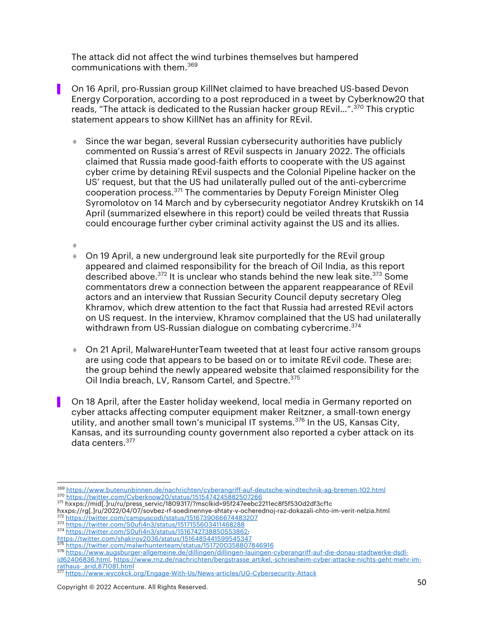The attack did not affect the wind turbines themselves but hampered communications with them.<sup>369</sup>

- ▌ On 16 April, pro-Russian group KillNet claimed to have breached US-based Devon Energy Corporation, according to a post reproduced in a tweet by Cyberknow20 that reads, "The attack is dedicated to the Russian hacker group REvil...".<sup>370</sup> This cryptic statement appears to show KillNet has an affinity for REvil.
	- $\bullet$  Since the war began, several Russian cybersecurity authorities have publicly commented on Russia's arrest of REvil suspects in January 2022. The officials claimed that Russia made good-faith efforts to cooperate with the US against cyber crime by detaining REvil suspects and the Colonial Pipeline hacker on the US' request, but that the US had unilaterally pulled out of the anti-cybercrime cooperation process.<sup>371</sup> The commentaries by Deputy Foreign Minister Oleg Syromolotov on 14 March and by cybersecurity negotiator Andrey Krutskikh on 14 April (summarized elsewhere in this report) could be veiled threats that Russia could encourage further cyber criminal activity against the US and its allies.
	- $\ddot{\phantom{a}}$ On 19 April, a new underground leak site purportedly for the REvil group appeared and claimed responsibility for the breach of Oil India, as this report described above.<sup>372</sup> It is unclear who stands behind the new leak site.<sup>373</sup> Some commentators drew a connection between the apparent reappearance of REvil actors and an interview that Russian Security Council deputy secretary Oleg Khramov, which drew attention to the fact that Russia had arrested REvil actors on US request. In the interview, Khramov complained that the US had unilaterally withdrawn from US-Russian dialogue on combating cybercrime.<sup>374</sup>
	- ◆ On 21 April, MalwareHunterTeam tweeted that at least four active ransom groups are using code that appears to be based on or to imitate REvil code. These are: the group behind the newly appeared website that claimed responsibility for the Oil India breach, LV, Ransom Cartel, and Spectre.<sup>375</sup>
- ▌ On 18 April, after the Easter holiday weekend, local media in Germany reported on cyber attacks affecting computer equipment maker Reitzner, a small-town energy utility, and another small town's municipal IT systems.<sup>376</sup> In the US, Kansas City, Kansas, and its surrounding county government also reported a cyber attack on its data centers.<sup>377</sup>

<sup>376</sup> https://www.augsburger-allgemeine.de/dillingen/dillingen-lauingen-cyberangriff-auf-die-donau-stadtwerke-dsdlid62406836.html, https://www.rnz.de/nachrichten/bergstrasse\_artikel,-schriesheim-cyber-attacke-nichts-geht-mehr-imrathaus-arid,871081.html<br><sup>377</sup> https://www.wasakal

<sup>369</sup> https://www.butenunbinnen.de/nachrichten/cyberangriff-auf-deutsche-windtechnik-ag-bremen-102.html 370 https://twitter.com/Cyberknow20/status/1515474245882507266<br>371 hxxps://mid[.]ru/ru/press\_servic/1809317/?msclkid=95f247eebc2211ec8f5f530d2df3cf1c<br>hxxps://rg[.]ru/2022/04/07/sovbez-rf-soedinennye-shtaty-v-ocherednoj-raz

<sup>372</sup> https://twitter.com/campuscodi/status/1516739066674483207<br>373 https://twitter.com/S0ufi4n3/status/1517155603411468288

<sup>374</sup> https://twitter.com/S0ufi4n3/status/1516742738850553862;

https://twitter.com/shakirov2036/status/1516485441599545347 <sup>375</sup> https://twitter.com/malwrhunterteam/status/1517200358807846916

https://www.wycokck.org/Engage-With-Us/News-articles/UG-Cybersecurity-Attack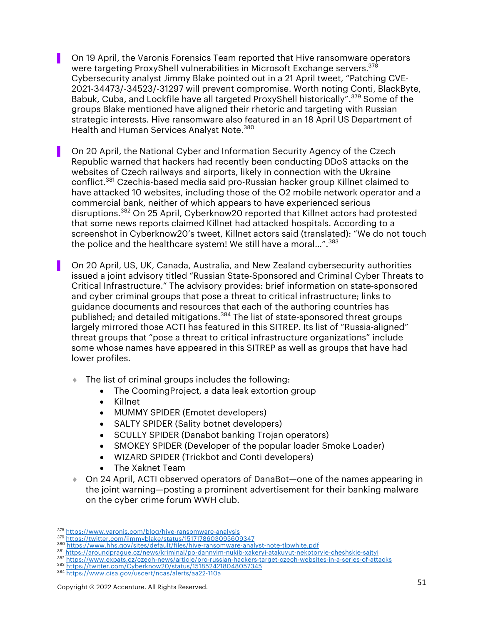▌ On 19 April, the Varonis Forensics Team reported that Hive ransomware operators were targeting ProxyShell vulnerabilities in Microsoft Exchange servers.<sup>378</sup> Cybersecurity analyst Jimmy Blake pointed out in a 21 April tweet, "Patching CVE-2021-34473/-34523/-31297 will prevent compromise. Worth noting Conti, BlackByte, Babuk, Cuba, and Lockfile have all targeted ProxyShell historically".<sup>379</sup> Some of the groups Blake mentioned have aligned their rhetoric and targeting with Russian strategic interests. Hive ransomware also featured in an 18 April US Department of Health and Human Services Analyst Note.<sup>380</sup>

▌ On 20 April, the National Cyber and Information Security Agency of the Czech Republic warned that hackers had recently been conducting DDoS attacks on the websites of Czech railways and airports, likely in connection with the Ukraine conflict.<sup>381</sup> Czechia-based media said pro-Russian hacker group Killnet claimed to have attacked 10 websites, including those of the O2 mobile network operator and a commercial bank, neither of which appears to have experienced serious disruptions.382 On 25 April, Cyberknow20 reported that Killnet actors had protested that some news reports claimed Killnet had attacked hospitals. According to a screenshot in Cyberknow20's tweet, Killnet actors said (translated): "We do not touch the police and the healthcare system! We still have a moral...".<sup>383</sup>

▌ On 20 April, US, UK, Canada, Australia, and New Zealand cybersecurity authorities issued a joint advisory titled "Russian State-Sponsored and Criminal Cyber Threats to Critical Infrastructure." The advisory provides: brief information on state-sponsored and cyber criminal groups that pose a threat to critical infrastructure; links to guidance documents and resources that each of the authoring countries has published; and detailed mitigations.<sup>384</sup> The list of state-sponsored threat groups largely mirrored those ACTI has featured in this SITREP. Its list of "Russia-aligned" threat groups that "pose a threat to critical infrastructure organizations" include some whose names have appeared in this SITREP as well as groups that have had lower profiles.

- $\bullet$  The list of criminal groups includes the following:
	- The CoomingProject, a data leak extortion group
	- Killnet
	- MUMMY SPIDER (Emotet developers)
	- SALTY SPIDER (Sality botnet developers)
	- SCULLY SPIDER (Danabot banking Trojan operators)
	- SMOKEY SPIDER (Developer of the popular loader Smoke Loader)
	- WIZARD SPIDER (Trickbot and Conti developers)
	- The Xaknet Team
- ¨ On 24 April, ACTI observed operators of DanaBot—one of the names appearing in the joint warning—posting a prominent advertisement for their banking malware on the cyber crime forum WWH club.

<sup>378</sup> https://www.varonis.com/blog/hive-ransomware-analysis<br>379 https://twitter.com/jimmyblake/status/1517178603095609347

<sup>380</sup> https://www.hhs.gov/sites/default/files/hive-ransomware-analyst-note-tlpwhite.pdf

<sup>381</sup> https://aroundprague.cz/news/kriminal/po-dannyim-nukib-xakeryi-atakuyut-nekotoryie-cheshskie-sajtyi

<sup>382</sup> https://www.expats.cz/czech-news/article/pro-russian-hackers-target-czech-websites-in-a-series-of-attacks <sup>383</sup> https://twitter.com/Cyberknow20/status/1518524218048057345

<sup>384</sup> https://www.cisa.gov/uscert/ncas/alerts/aa22-110a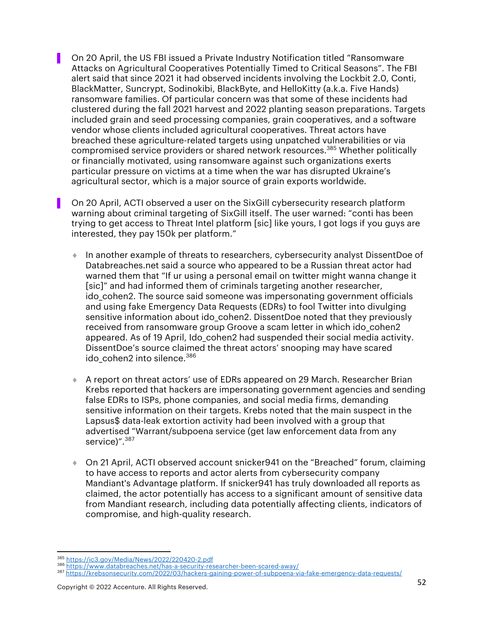▌ On 20 April, the US FBI issued a Private Industry Notification titled "Ransomware Attacks on Agricultural Cooperatives Potentially Timed to Critical Seasons". The FBI alert said that since 2021 it had observed incidents involving the Lockbit 2.0, Conti, BlackMatter, Suncrypt, Sodinokibi, BlackByte, and HelloKitty (a.k.a. Five Hands) ransomware families. Of particular concern was that some of these incidents had clustered during the fall 2021 harvest and 2022 planting season preparations. Targets included grain and seed processing companies, grain cooperatives, and a software vendor whose clients included agricultural cooperatives. Threat actors have breached these agriculture-related targets using unpatched vulnerabilities or via compromised service providers or shared network resources.385 Whether politically or financially motivated, using ransomware against such organizations exerts particular pressure on victims at a time when the war has disrupted Ukraine's agricultural sector, which is a major source of grain exports worldwide.

▌ On 20 April, ACTI observed a user on the SixGill cybersecurity research platform warning about criminal targeting of SixGill itself. The user warned: "conti has been trying to get access to Threat Intel platform [sic] like yours, I got logs if you guys are interested, they pay 150k per platform."

- ¨ In another example of threats to researchers, cybersecurity analyst DissentDoe of Databreaches.net said a source who appeared to be a Russian threat actor had warned them that "If ur using a personal email on twitter might wanna change it [sic]" and had informed them of criminals targeting another researcher, ido cohen2. The source said someone was impersonating government officials and using fake Emergency Data Requests (EDRs) to fool Twitter into divulging sensitive information about ido cohen2. DissentDoe noted that they previously received from ransomware group Groove a scam letter in which ido\_cohen2 appeared. As of 19 April, Ido\_cohen2 had suspended their social media activity. DissentDoe's source claimed the threat actors' snooping may have scared ido\_cohen2 into silence. 386
- ◆ A report on threat actors' use of EDRs appeared on 29 March. Researcher Brian Krebs reported that hackers are impersonating government agencies and sending false EDRs to ISPs, phone companies, and social media firms, demanding sensitive information on their targets. Krebs noted that the main suspect in the Lapsus\$ data-leak extortion activity had been involved with a group that advertised "Warrant/subpoena service (get law enforcement data from any service)".<sup>387</sup>
- ◆ On 21 April, ACTI observed account snicker941 on the "Breached" forum, claiming to have access to reports and actor alerts from cybersecurity company Mandiant's Advantage platform. If snicker941 has truly downloaded all reports as claimed, the actor potentially has access to a significant amount of sensitive data from Mandiant research, including data potentially affecting clients, indicators of compromise, and high-quality research.

<sup>387</sup> https://krebsonsecurity.com/2022/03/hackers-gaining-power-of-subpoena-via-fake-emergency-data-requests/

<sup>&</sup>lt;sup>385</sup> https://ic3.gov/Media/News/2022/220420-2.pdf<br><sup>386</sup> https://www.databreaches.net/has-a-security-researcher-been-scared-away/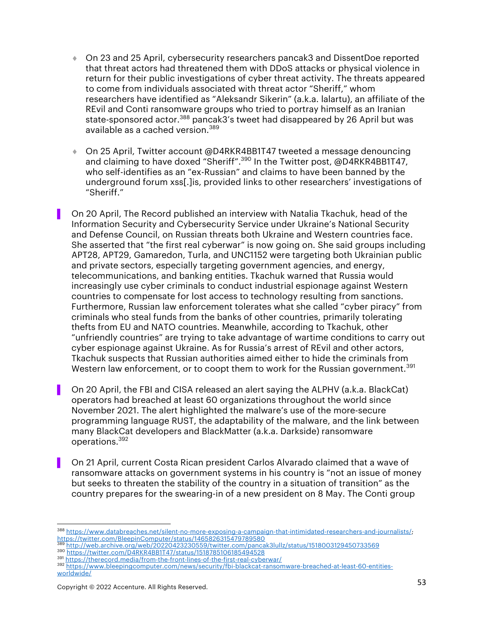- $\bullet$  On 23 and 25 April, cybersecurity researchers pancak3 and DissentDoe reported that threat actors had threatened them with DDoS attacks or physical violence in return for their public investigations of cyber threat activity. The threats appeared to come from individuals associated with threat actor "Sheriff," whom researchers have identified as "Aleksandr Sikerin" (a.k.a. lalartu), an affiliate of the REvil and Conti ransomware groups who tried to portray himself as an Iranian state-sponsored actor.<sup>388</sup> pancak3's tweet had disappeared by 26 April but was available as a cached version.<sup>389</sup>
- On 25 April, Twitter account @D4RKR4BB1T47 tweeted a message denouncing and claiming to have doxed "Sheriff".<sup>390</sup> In the Twitter post, @D4RKR4BB1T47, who self-identifies as an "ex-Russian" and claims to have been banned by the underground forum xss[.]is, provided links to other researchers' investigations of "Sheriff."
- ▌ On 20 April, The Record published an interview with Natalia Tkachuk, head of the Information Security and Cybersecurity Service under Ukraine's National Security and Defense Council, on Russian threats both Ukraine and Western countries face. She asserted that "the first real cyberwar" is now going on. She said groups including APT28, APT29, Gamaredon, Turla, and UNC1152 were targeting both Ukrainian public and private sectors, especially targeting government agencies, and energy, telecommunications, and banking entities. Tkachuk warned that Russia would increasingly use cyber criminals to conduct industrial espionage against Western countries to compensate for lost access to technology resulting from sanctions. Furthermore, Russian law enforcement tolerates what she called "cyber piracy" from criminals who steal funds from the banks of other countries, primarily tolerating thefts from EU and NATO countries. Meanwhile, according to Tkachuk, other "unfriendly countries" are trying to take advantage of wartime conditions to carry out cyber espionage against Ukraine. As for Russia's arrest of REvil and other actors, Tkachuk suspects that Russian authorities aimed either to hide the criminals from Western law enforcement, or to coopt them to work for the Russian government.<sup>391</sup>
- ▌ On 20 April, the FBI and CISA released an alert saying the ALPHV (a.k.a. BlackCat) operators had breached at least 60 organizations throughout the world since November 2021. The alert highlighted the malware's use of the more-secure programming language RUST, the adaptability of the malware, and the link between many BlackCat developers and BlackMatter (a.k.a. Darkside) ransomware operations.392
- ▌ On 21 April, current Costa Rican president Carlos Alvarado claimed that a wave of ransomware attacks on government systems in his country is "not an issue of money but seeks to threaten the stability of the country in a situation of transition" as the country prepares for the swearing-in of a new president on 8 May. The Conti group

- <sup>389</sup> http://web.archive.org/web/20220423230559/twitter.com/pancak3lullz/status/1518003129450733569
- 390 https://twitter.com/D4RKR4BB1T47/status/1518785106185494528<br>391 https://therecord.media/from-the-front-lines-of-the-first-real-cyberwar/
- 
- 392 https://www.bleepingcomputer.com/news/security/fbi-blackcat-ransomware-breached-at-least-60-entitiesworldwide/

<sup>388</sup> https://www.databreaches.net/silent-no-more-exposing-a-campaign-that-intimidated-researchers-and-journalists/; https://twitter.com/BleepinComputer/status/1465826315479789580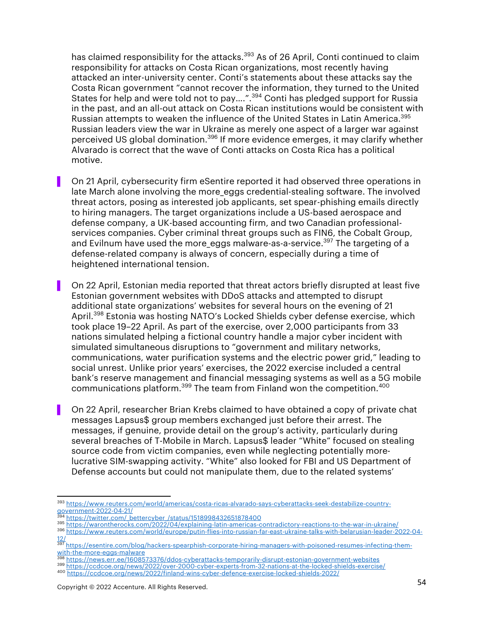has claimed responsibility for the attacks.<sup>393</sup> As of 26 April, Conti continued to claim responsibility for attacks on Costa Rican organizations, most recently having attacked an inter-university center. Conti's statements about these attacks say the Costa Rican government "cannot recover the information, they turned to the United States for help and were told not to pay….".394 Conti has pledged support for Russia in the past, and an all-out attack on Costa Rican institutions would be consistent with Russian attempts to weaken the influence of the United States in Latin America.<sup>395</sup> Russian leaders view the war in Ukraine as merely one aspect of a larger war against perceived US global domination.<sup>396</sup> If more evidence emerges, it may clarify whether Alvarado is correct that the wave of Conti attacks on Costa Rica has a political motive.

▌ On 21 April, cybersecurity firm eSentire reported it had observed three operations in late March alone involving the more eggs credential-stealing software. The involved threat actors, posing as interested job applicants, set spear-phishing emails directly to hiring managers. The target organizations include a US-based aerospace and defense company, a UK-based accounting firm, and two Canadian professionalservices companies. Cyber criminal threat groups such as FIN6, the Cobalt Group, and Evilnum have used the more\_eggs malware-as-a-service.<sup>397</sup> The targeting of a defense-related company is always of concern, especially during a time of heightened international tension.

▌ On 22 April, Estonian media reported that threat actors briefly disrupted at least five Estonian government websites with DDoS attacks and attempted to disrupt additional state organizations' websites for several hours on the evening of 21 April.<sup>398</sup> Estonia was hosting NATO's Locked Shields cyber defense exercise, which took place 19–22 April. As part of the exercise, over 2,000 participants from 33 nations simulated helping a fictional country handle a major cyber incident with simulated simultaneous disruptions to "government and military networks, communications, water purification systems and the electric power grid," leading to social unrest. Unlike prior years' exercises, the 2022 exercise included a central bank's reserve management and financial messaging systems as well as a 5G mobile communications platform.399 The team from Finland won the competition.<sup>400</sup>

▌ On 22 April, researcher Brian Krebs claimed to have obtained a copy of private chat messages Lapsus\$ group members exchanged just before their arrest. The messages, if genuine, provide detail on the group's activity, particularly during several breaches of T-Mobile in March. Lapsus\$ leader "White" focused on stealing source code from victim companies, even while neglecting potentially morelucrative SIM-swapping activity. "White" also looked for FBI and US Department of Defense accounts but could not manipulate them, due to the related systems'

394 https://twitter.com/\_bettercyber\_/status/1518998432651878400<br>395 https://twitter.com/\_bettercyber\_/status/1518998432651878400<br>395 https://warontherocks.com/2022/04/explaining-latin-americas-contradictory-reactions-to-t

<sup>393</sup> https://www.reuters.com/world/americas/costa-ricas-alvarado-says-cyberattacks-seek-destabilize-countrygovernment-2022-04-21/

<sup>396</sup> https://www.reuters.com/world/europe/putin-flies-into-russian-far-east-ukraine-talks-with-belarusian-leader-2022-04-  $\frac{12}{397}$ 

<sup>397</sup> https://esentire.com/blog/hackers-spearphish-corporate-hiring-managers-with-poisoned-resumes-infecting-them-

with-the-more-eggs-malware<br><sup>398</sup> https://news.err.ee/1608573376/ddos-cyberattacks-temporarily-disrupt-estonian-government-websites

<sup>399</sup> https://ccdcoe.org/news/2022/over-2000-cyber-experts-from-32-nations-at-the-locked-shields-exercise/

<sup>400</sup> https://ccdcoe.org/news/2022/finland-wins-cyber-defence-exercise-locked-shields-2022/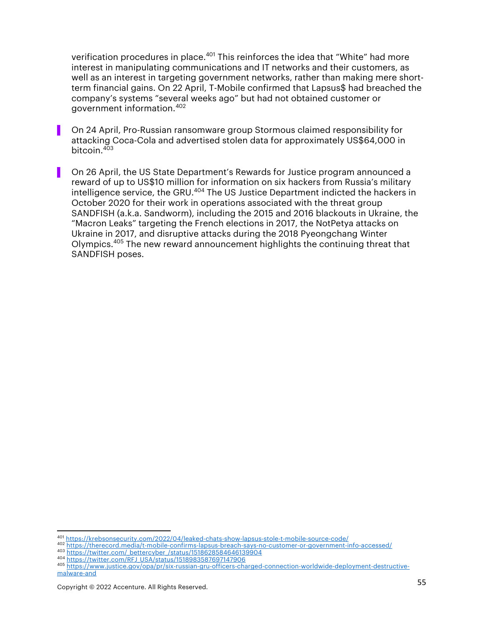verification procedures in place.<sup>401</sup> This reinforces the idea that "White" had more interest in manipulating communications and IT networks and their customers, as well as an interest in targeting government networks, rather than making mere shortterm financial gains. On 22 April, T-Mobile confirmed that Lapsus\$ had breached the company's systems "several weeks ago" but had not obtained customer or government information.<sup>402</sup>

- ▌ On 24 April, Pro-Russian ransomware group Stormous claimed responsibility for attacking Coca-Cola and advertised stolen data for approximately US\$64,000 in bitcoin.<sup>403</sup>
- ▌ On 26 April, the US State Department's Rewards for Justice program announced a reward of up to US\$10 million for information on six hackers from Russia's military intelligence service, the GRU.<sup>404</sup> The US Justice Department indicted the hackers in October 2020 for their work in operations associated with the threat group SANDFISH (a.k.a. Sandworm), including the 2015 and 2016 blackouts in Ukraine, the "Macron Leaks" targeting the French elections in 2017, the NotPetya attacks on Ukraine in 2017, and disruptive attacks during the 2018 Pyeongchang Winter Olympics.405 The new reward announcement highlights the continuing threat that SANDFISH poses.

<sup>401</sup> https://krebsonsecurity.com/2022/04/leaked-chats-show-lapsus-stole-t-mobile-source-code/ <sup>402</sup> https://therecord.media/t-mobile-confirms-lapsus-breach-says-no-customer-or-government-info-accessed/

<sup>403</sup> https://twitter.com/\_bettercyber\_/status/1518628584646139904<br><sup>404</sup> https://twitter.com/RFJ\_USA/status/1518983587697147906

<sup>&</sup>lt;sup>405</sup> https://www.justice.gov/opa/pr/six-russian-gru-officers-charged-connection-worldwide-deployment-destructivemalware-and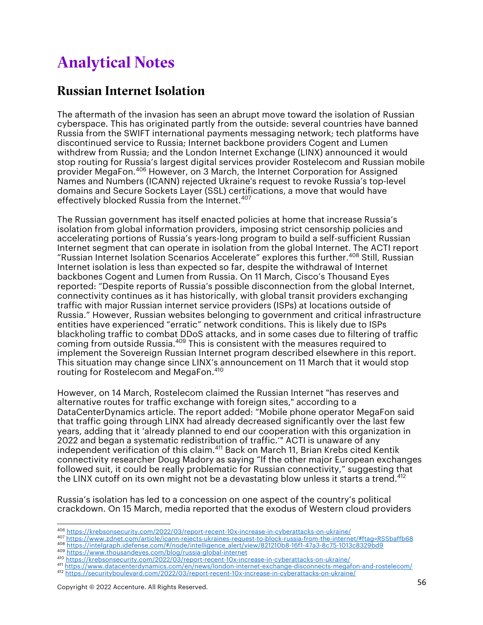## Analytical Notes

### Russian Internet Isolation

The aftermath of the invasion has seen an abrupt move toward the isolation of Russian cyberspace. This has originated partly from the outside: several countries have banned Russia from the SWIFT international payments messaging network; tech platforms have discontinued service to Russia; Internet backbone providers Cogent and Lumen withdrew from Russia; and the London Internet Exchange (LINX) announced it would stop routing for Russia's largest digital services provider Rostelecom and Russian mobile provider MegaFon.<sup>406</sup> However, on 3 March, the Internet Corporation for Assigned Names and Numbers (ICANN) rejected Ukraine's request to revoke Russia's top-level domains and Secure Sockets Layer (SSL) certifications, a move that would have effectively blocked Russia from the Internet. 407

The Russian government has itself enacted policies at home that increase Russia's isolation from global information providers, imposing strict censorship policies and accelerating portions of Russia's years-long program to build a self-sufficient Russian Internet segment that can operate in isolation from the global Internet. The ACTI report "Russian Internet Isolation Scenarios Accelerate" explores this further. <sup>408</sup> Still, Russian Internet isolation is less than expected so far, despite the withdrawal of Internet backbones Cogent and Lumen from Russia. On 11 March, Cisco's Thousand Eyes reported: "Despite reports of Russia's possible disconnection from the global Internet, connectivity continues as it has historically, with global transit providers exchanging traffic with major Russian internet service providers (ISPs) at locations outside of Russia." However, Russian websites belonging to government and critical infrastructure entities have experienced "erratic" network conditions. This is likely due to ISPs blackholing traffic to combat DDoS attacks, and in some cases due to filtering of traffic coming from outside Russia. <sup>409</sup> This is consistent with the measures required to implement the Sovereign Russian Internet program described elsewhere in this report. This situation may change since LINX's announcement on 11 March that it would stop routing for Rostelecom and MegaFon. 410

However, on 14 March, Rostelecom claimed the Russian Internet "has reserves and alternative routes for traffic exchange with foreign sites," according to a DataCenterDynamics article. The report added: "Mobile phone operator MegaFon said that traffic going through LINX had already decreased significantly over the last few years, adding that it 'already planned to end our cooperation with this organization in 2022 and began a systematic redistribution of traffic.'" ACTI is unaware of any independent verification of this claim.411 Back on March 11, Brian Krebs cited Kentik connectivity researcher Doug Madory as saying "If the other major European exchanges followed suit, it could be really problematic for Russian connectivity," suggesting that the LINX cutoff on its own might not be a devastating blow unless it starts a trend.<sup>412</sup>

Russia's isolation has led to a concession on one aspect of the country's political crackdown. On 15 March, media reported that the exodus of Western cloud providers

<sup>406</sup> https://krebsonsecurity.com/2022/03/report-recent-10x-increase-in-cyberattacks-on-ukraine/

<sup>407</sup> https://www.zdnet.com/article/icann-rejects-ukraines-request-to-block-russia-from-the-internet/#ftag=RSSbaffb68<br><sup>408</sup> https://intelgraph.idefense.com/#/node/intelligence\_alert/view/821210b8-16f1-47a3-8c75-1013c8329bd9

<sup>409</sup> https://www.thousandeyes.com/blog/russia-global-internet<br>409 https://www.thousandeyes.com/blog/russia-global-internet<br>400 https://krebsonsecurity.com/2022/03/report-recent-10x-increase-in-cyberattacks-on-ukraine/

<sup>411</sup> https://www.datacenterdynamics.com/en/news/london-internet-exchange-disconnects-megafon-and-rostelecom/

<sup>412</sup> https://securityboulevard.com/2022/03/report-recent-10x-increase-in-cyberattacks-on-ukraine/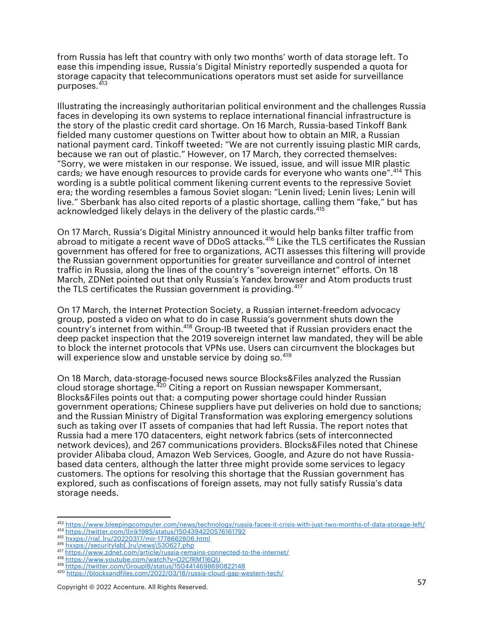from Russia has left that country with only two months' worth of data storage left. To ease this impending issue, Russia's Digital Ministry reportedly suspended a quota for storage capacity that telecommunications operators must set aside for surveillance purposes.<sup>413</sup>

Illustrating the increasingly authoritarian political environment and the challenges Russia faces in developing its own systems to replace international financial infrastructure is the story of the plastic credit card shortage. On 16 March, Russia-based Tinkoff Bank fielded many customer questions on Twitter about how to obtain an MIR, a Russian national payment card. Tinkoff tweeted: "We are not currently issuing plastic MIR cards, because we ran out of plastic." However, on 17 March, they corrected themselves: "Sorry, we were mistaken in our response. We issued, issue, and will issue MIR plastic cards; we have enough resources to provide cards for everyone who wants one".414 This wording is a subtle political comment likening current events to the repressive Soviet era; the wording resembles a famous Soviet slogan: "Lenin lived; Lenin lives; Lenin will live." Sberbank has also cited reports of a plastic shortage, calling them "fake," but has acknowledged likely delays in the delivery of the plastic cards.<sup>415</sup>

On 17 March, Russia's Digital Ministry announced it would help banks filter traffic from abroad to mitigate a recent wave of DDoS attacks.<sup>416</sup> Like the TLS certificates the Russian government has offered for free to organizations, ACTI assesses this filtering will provide the Russian government opportunities for greater surveillance and control of internet traffic in Russia, along the lines of the country's "sovereign internet" efforts. On 18 March, ZDNet pointed out that only Russia's Yandex browser and Atom products trust the TLS certificates the Russian government is providing.<sup>417</sup>

On 17 March, the Internet Protection Society, a Russian internet-freedom advocacy group, posted a video on what to do in case Russia's government shuts down the country's internet from within.<sup>418</sup> Group-IB tweeted that if Russian providers enact the deep packet inspection that the 2019 sovereign internet law mandated, they will be able to block the internet protocols that VPNs use. Users can circumvent the blockages but will experience slow and unstable service by doing so.<sup>419</sup>

On 18 March, data-storage-focused news source Blocks&Files analyzed the Russian cloud storage shortage.420 Citing a report on Russian newspaper Kommersant, Blocks&Files points out that: a computing power shortage could hinder Russian government operations; Chinese suppliers have put deliveries on hold due to sanctions; and the Russian Ministry of Digital Transformation was exploring emergency solutions such as taking over IT assets of companies that had left Russia. The report notes that Russia had a mere 170 datacenters, eight network fabrics (sets of interconnected network devices), and 267 communications providers. Blocks&Files noted that Chinese provider Alibaba cloud, Amazon Web Services, Google, and Azure do not have Russiabased data centers, although the latter three might provide some services to legacy customers. The options for resolving this shortage that the Russian government has explored, such as confiscations of foreign assets, may not fully satisfy Russia's data storage needs.

<sup>413</sup> https://www.bleepingcomputer.com/news/technology/russia-faces-it-crisis-with-just-two-months-of-data-storage-left/

<sup>414</sup> https://twitter.com/llirik1985/status/1504394220576161792

<sup>&</sup>lt;sup>415</sup> hxxps://ria[.]ru/20220317/mir-1778662806.html<br><sup>416</sup> hxxps://securitylab[.]ru\news\530627.php

<sup>416</sup> hxxps://securitylab[.]ru\news\530627.php<br>417 https://www.zdnet.com/article/russia-remains-connected-to-the-internet/<br><sup>418</sup> https://www.youtube.com/watch?v=O2CfRMTl6QU

<sup>419</sup> https://twitter.com/GroupIB/status/1504414698690822148

<sup>420</sup> https://blocksandfiles.com/2022/03/18/russia-cloud-gap-western-tech/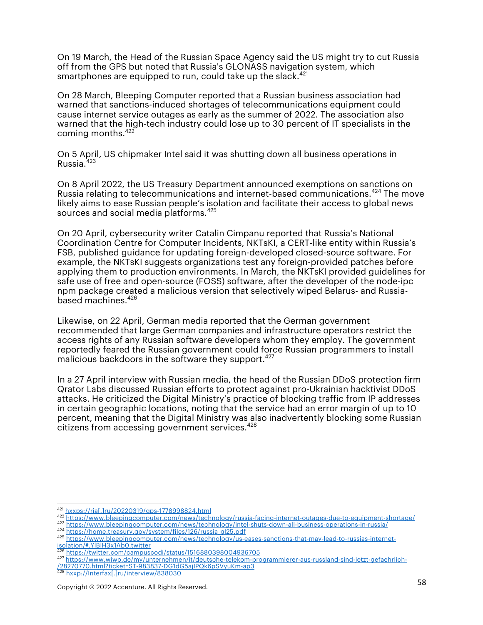On 19 March, the Head of the Russian Space Agency said the US might try to cut Russia off from the GPS but noted that Russia's GLONASS navigation system, which smartphones are equipped to run, could take up the slack. $421$ 

On 28 March, Bleeping Computer reported that a Russian business association had warned that sanctions-induced shortages of telecommunications equipment could cause internet service outages as early as the summer of 2022. The association also warned that the high-tech industry could lose up to 30 percent of IT specialists in the coming months.422

On 5 April, US chipmaker Intel said it was shutting down all business operations in Russia.423

On 8 April 2022, the US Treasury Department announced exemptions on sanctions on Russia relating to telecommunications and internet-based communications.<sup>424</sup> The move likely aims to ease Russian people's isolation and facilitate their access to global news sources and social media platforms.<sup>425</sup>

On 20 April, cybersecurity writer Catalin Cimpanu reported that Russia's National Coordination Centre for Computer Incidents, NKTsKI, a CERT-like entity within Russia's FSB, published guidance for updating foreign-developed closed-source software. For example, the NKTsKI suggests organizations test any foreign-provided patches before applying them to production environments. In March, the NKTsKI provided guidelines for safe use of free and open-source (FOSS) software, after the developer of the node-ipc npm package created a malicious version that selectively wiped Belarus- and Russiabased machines.<sup>426</sup>

Likewise, on 22 April, German media reported that the German government recommended that large German companies and infrastructure operators restrict the access rights of any Russian software developers whom they employ. The government reportedly feared the Russian government could force Russian programmers to install malicious backdoors in the software they support.<sup>427</sup>

In a 27 April interview with Russian media, the head of the Russian DDoS protection firm Qrator Labs discussed Russian efforts to protect against pro-Ukrainian hacktivist DDoS attacks. He criticized the Digital Ministry's practice of blocking traffic from IP addresses in certain geographic locations, noting that the service had an error margin of up to 10 percent, meaning that the Digital Ministry was also inadvertently blocking some Russian citizens from accessing government services.<sup>428</sup>

<sup>&</sup>lt;sup>421</sup> hxxps://ria[.]ru/20220319/gps-1778998824.html<br><sup>422</sup> https://www.bleepingcomputer.com/news/technology/russia-facing-internet-outages-due-to-equipment-shortage/

<sup>423</sup> https://www.bleepingcomputer.com/news/technology/intel-shuts-down-all-business-operations-in-russia/

<sup>424</sup> https://home.treasury.gov/system/files/126/russia\_gl25.pdf

<sup>425</sup> https://www.bleepingcomputer.com/news/technology/us-eases-sanctions-that-may-lead-to-russias-internetisolation/#.YlBIH3x1Ab0.twitter

<sup>426</sup> https://twitter.com/campuscodi/status/1516880398004936705

<sup>427</sup> https://www.wiwo.de/my/unternehmen/it/deutsche-telekom-programmierer-aus-russland-sind-jetzt-gefaehrlich-

<sup>/28270770.</sup>html?ticket=ST-983837-DG1dG5ajIPQk6pSVyuKm-ap3

<sup>428</sup> hxxp://Interfax[.]ru/interview/838030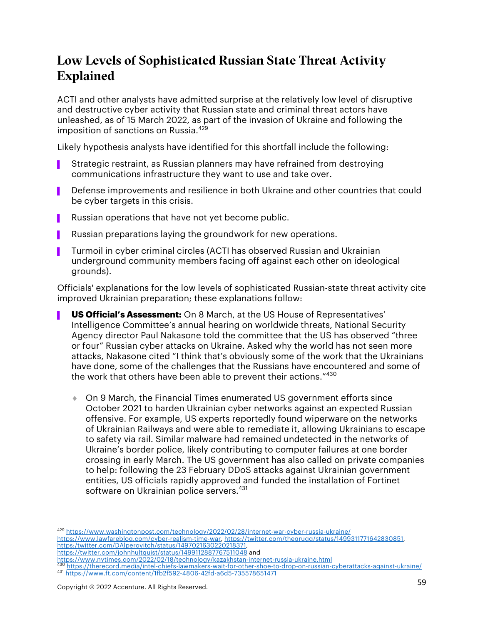## Low Levels of Sophisticated Russian State Threat Activity Explained

ACTI and other analysts have admitted surprise at the relatively low level of disruptive and destructive cyber activity that Russian state and criminal threat actors have unleashed, as of 15 March 2022, as part of the invasion of Ukraine and following the imposition of sanctions on Russia.<sup>429</sup>

Likely hypothesis analysts have identified for this shortfall include the following:

- Strategic restraint, as Russian planners may have refrained from destroying communications infrastructure they want to use and take over.
- Defense improvements and resilience in both Ukraine and other countries that could be cyber targets in this crisis.
- Russian operations that have not yet become public.
- Russian preparations laying the groundwork for new operations.
- ▌ Turmoil in cyber criminal circles (ACTI has observed Russian and Ukrainian underground community members facing off against each other on ideological grounds).

Officials' explanations for the low levels of sophisticated Russian-state threat activity cite improved Ukrainian preparation; these explanations follow:

- **US Official's Assessment:** On 8 March, at the US House of Representatives' Intelligence Committee's annual hearing on worldwide threats, National Security Agency director Paul Nakasone told the committee that the US has observed "three or four" Russian cyber attacks on Ukraine. Asked why the world has not seen more attacks, Nakasone cited "I think that's obviously some of the work that the Ukrainians have done, some of the challenges that the Russians have encountered and some of the work that others have been able to prevent their actions."<sup>430</sup>
	- ♦ On 9 March, the Financial Times enumerated US government efforts since October 2021 to harden Ukrainian cyber networks against an expected Russian offensive. For example, US experts reportedly found wiperware on the networks of Ukrainian Railways and were able to remediate it, allowing Ukrainians to escape to safety via rail. Similar malware had remained undetected in the networks of Ukraine's border police, likely contributing to computer failures at one border crossing in early March. The US government has also called on private companies to help: following the 23 February DDoS attacks against Ukrainian government entities, US officials rapidly approved and funded the installation of Fortinet software on Ukrainian police servers. 431

<sup>429</sup> https://www.washingtonpost.com/technology/2022/02/28/internet-war-cyber-russia-ukraine/ https://www.lawfareblog.com/cyber-realism-time-war, https://twitter.com/thegrugq/status/1499311771642830851, https:/twitter.com/DAlperovitch/status/1497021630220218371, https://twitter.com/johnhultquist/status/1499112887767511048 and

https://www.nytimes.com/2022/02/18/technology/kazakhstan-internet-russia-ukraine.html <sup>430</sup> https://therecord.media/intel-chiefs-lawmakers-wait-for-other-shoe-to-drop-on-russian-cyberattacks-against-ukraine/ <sup>431</sup> https://www.ft.com/content/1fb2f592-4806-42fd-a6d5-735578651471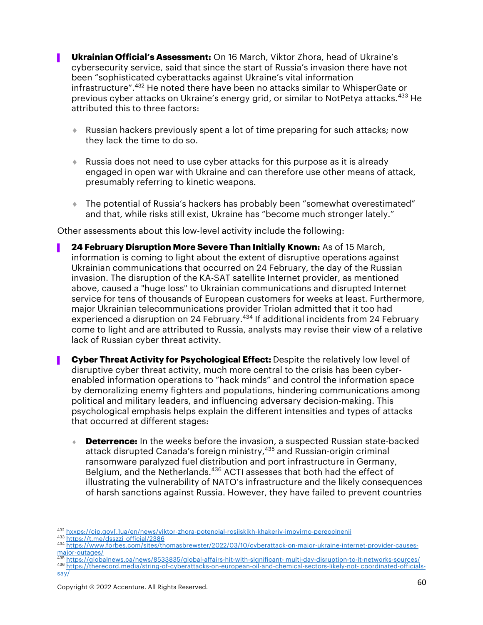- **Ukrainian Official's Assessment:** On 16 March, Viktor Zhora, head of Ukraine's cybersecurity service, said that since the start of Russia's invasion there have not been "sophisticated cyberattacks against Ukraine's vital information infrastructure".432 He noted there have been no attacks similar to WhisperGate or previous cyber attacks on Ukraine's energy grid, or similar to NotPetya attacks.<sup>433</sup> He attributed this to three factors:
	- ◆ Russian hackers previously spent a lot of time preparing for such attacks; now they lack the time to do so.
	- $\bullet$  Russia does not need to use cyber attacks for this purpose as it is already engaged in open war with Ukraine and can therefore use other means of attack, presumably referring to kinetic weapons.
	- ¨ The potential of Russia's hackers has probably been "somewhat overestimated" and that, while risks still exist, Ukraine has "become much stronger lately."

Other assessments about this low-level activity include the following:

- ▌ **24 February Disruption More Severe Than Initially Known:** As of 15 March, information is coming to light about the extent of disruptive operations against Ukrainian communications that occurred on 24 February, the day of the Russian invasion. The disruption of the KA-SAT satellite Internet provider, as mentioned above, caused a "huge loss" to Ukrainian communications and disrupted Internet service for tens of thousands of European customers for weeks at least. Furthermore, major Ukrainian telecommunications provider Triolan admitted that it too had experienced a disruption on 24 February.<sup>434</sup> If additional incidents from 24 February come to light and are attributed to Russia, analysts may revise their view of a relative lack of Russian cyber threat activity.
- ▌ **Cyber Threat Activity for Psychological Effect:** Despite the relatively low level of disruptive cyber threat activity, much more central to the crisis has been cyberenabled information operations to "hack minds" and control the information space by demoralizing enemy fighters and populations, hindering communications among political and military leaders, and influencing adversary decision-making. This psychological emphasis helps explain the different intensities and types of attacks that occurred at different stages:
	- ◆ **Deterrence:** In the weeks before the invasion, a suspected Russian state-backed attack disrupted Canada's foreign ministry,<sup>435</sup> and Russian-origin criminal ransomware paralyzed fuel distribution and port infrastructure in Germany, Belgium, and the Netherlands.<sup>436</sup> ACTI assesses that both had the effect of illustrating the vulnerability of NATO's infrastructure and the likely consequences of harsh sanctions against Russia. However, they have failed to prevent countries

<sup>432</sup> hxxps://cip.gov[.]ua/en/news/viktor-zhora-potencial-rosiiskikh-khakeriv-imovirno-pereocinenii

<sup>434</sup> https://www.forbes.com/sites/thomasbrewster/2022/03/10/cyberattack-on-major-ukraine-internet-provider-causesmajor-outages/<br><sup>435</sup> https://globalnews.ca/news/8533835/global-affairs-hit-with-significant- multi-day-disruption-to-it-networks-sources/

<sup>436</sup> https://therecord.media/string-of-cyberattacks-on-european-oil-and-chemical-sectors-likely-not-coordinated-officialssay/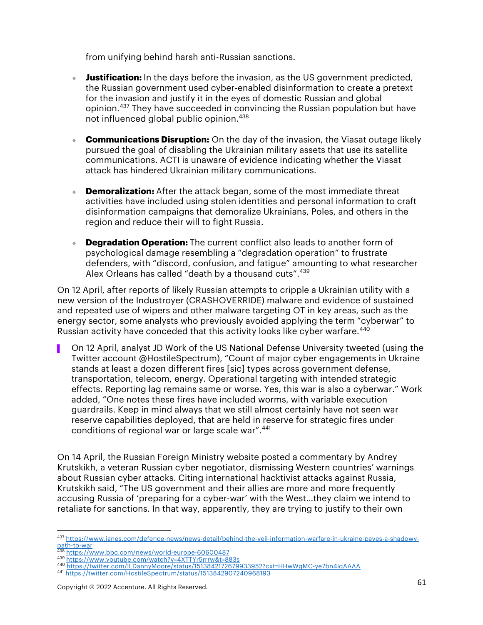from unifying behind harsh anti-Russian sanctions.

- **Justification:** In the days before the invasion, as the US government predicted, the Russian government used cyber-enabled disinformation to create a pretext for the invasion and justify it in the eyes of domestic Russian and global opinion. <sup>437</sup> They have succeeded in convincing the Russian population but have not influenced global public opinion. 438
- **Communications Disruption:** On the day of the invasion, the Viasat outage likely pursued the goal of disabling the Ukrainian military assets that use its satellite communications. ACTI is unaware of evidence indicating whether the Viasat attack has hindered Ukrainian military communications.
- **Demoralization:** After the attack began, some of the most immediate threat activities have included using stolen identities and personal information to craft disinformation campaigns that demoralize Ukrainians, Poles, and others in the region and reduce their will to fight Russia.
- **Degradation Operation:** The current conflict also leads to another form of psychological damage resembling a "degradation operation" to frustrate defenders, with "discord, confusion, and fatigue" amounting to what researcher Alex Orleans has called "death by a thousand cuts".  $439$

On 12 April, after reports of likely Russian attempts to cripple a Ukrainian utility with a new version of the Industroyer (CRASHOVERRIDE) malware and evidence of sustained and repeated use of wipers and other malware targeting OT in key areas, such as the energy sector, some analysts who previously avoided applying the term "cyberwar" to Russian activity have conceded that this activity looks like cyber warfare.<sup>440</sup>

▌ On 12 April, analyst JD Work of the US National Defense University tweeted (using the Twitter account @HostileSpectrum), "Count of major cyber engagements in Ukraine stands at least a dozen different fires [sic] types across government defense, transportation, telecom, energy. Operational targeting with intended strategic effects. Reporting lag remains same or worse. Yes, this war is also a cyberwar." Work added, "One notes these fires have included worms, with variable execution guardrails. Keep in mind always that we still almost certainly have not seen war reserve capabilities deployed, that are held in reserve for strategic fires under conditions of regional war or large scale war".<sup>441</sup>

On 14 April, the Russian Foreign Ministry website posted a commentary by Andrey Krutskikh, a veteran Russian cyber negotiator, dismissing Western countries' warnings about Russian cyber attacks. Citing international hacktivist attacks against Russia, Krutskikh said, "The US government and their allies are more and more frequently accusing Russia of 'preparing for a cyber-war' with the West…they claim we intend to retaliate for sanctions. In that way, apparently, they are trying to justify to their own

<sup>437</sup> https://www.janes.com/defence-news/news-detail/behind-the-veil-information-warfare-in-ukraine-paves-a-shadowypath-to-war

<sup>438</sup> https://www.bbc.com/news/world-europe-60600487<br><sup>439</sup> https://www.youtube.com/watch?v=4XTTYr5rrrw&t=883s

<sup>440</sup> https://twitter.com/ILDannyMoore/status/1513842172679933952?cxt=HHwWgMC-ye7bn4IqAAAA

<sup>441</sup> https://twitter.com/HostileSpectrum/status/1513842907240968193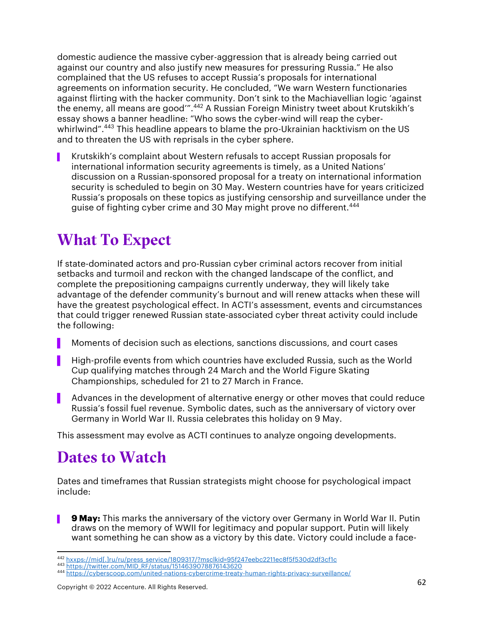domestic audience the massive cyber-aggression that is already being carried out against our country and also justify new measures for pressuring Russia." He also complained that the US refuses to accept Russia's proposals for international agreements on information security. He concluded, "We warn Western functionaries against flirting with the hacker community. Don't sink to the Machiavellian logic 'against the enemy, all means are good'".<sup>442</sup> A Russian Foreign Ministry tweet about Krutskikh's essay shows a banner headline: "Who sows the cyber-wind will reap the cyberwhirlwind".<sup>443</sup> This headline appears to blame the pro-Ukrainian hacktivism on the US and to threaten the US with reprisals in the cyber sphere.

▌ Krutskikh's complaint about Western refusals to accept Russian proposals for international information security agreements is timely, as a United Nations' discussion on a Russian-sponsored proposal for a treaty on international information security is scheduled to begin on 30 May. Western countries have for years criticized Russia's proposals on these topics as justifying censorship and surveillance under the guise of fighting cyber crime and 30 May might prove no different.<sup>444</sup>

## What To Expect

If state-dominated actors and pro-Russian cyber criminal actors recover from initial setbacks and turmoil and reckon with the changed landscape of the conflict, and complete the prepositioning campaigns currently underway, they will likely take advantage of the defender community's burnout and will renew attacks when these will have the greatest psychological effect. In ACTI's assessment, events and circumstances that could trigger renewed Russian state-associated cyber threat activity could include the following:

- ▌ Moments of decision such as elections, sanctions discussions, and court cases
- ▌ High-profile events from which countries have excluded Russia, such as the World Cup qualifying matches through 24 March and the World Figure Skating Championships, scheduled for 21 to 27 March in France.
- Advances in the development of alternative energy or other moves that could reduce Russia's fossil fuel revenue. Symbolic dates, such as the anniversary of victory over Germany in World War II. Russia celebrates this holiday on 9 May.

This assessment may evolve as ACTI continues to analyze ongoing developments.

## Dates to Watch

Dates and timeframes that Russian strategists might choose for psychological impact include:

▌ **9 May:** This marks the anniversary of the victory over Germany in World War II. Putin draws on the memory of WWII for legitimacy and popular support. Putin will likely want something he can show as a victory by this date. Victory could include a face-

<sup>442</sup> hxxps://mid[.]ru/ru/press\_service/1809317/?msclkid=95f247eebc2211ec8f5f530d2df3cf1c <sup>443</sup> https://twitter.com/MID\_RF/status/1514639078876143620

<sup>444</sup> https://cyberscoop.com/united-nations-cybercrime-treaty-human-rights-privacy-surveillance/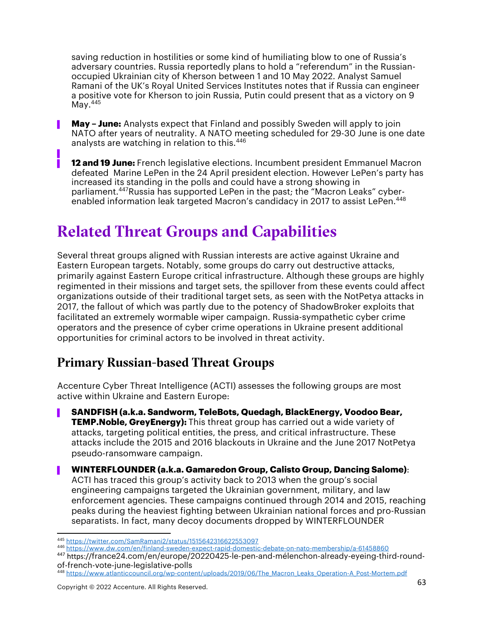saving reduction in hostilities or some kind of humiliating blow to one of Russia's adversary countries. Russia reportedly plans to hold a "referendum" in the Russianoccupied Ukrainian city of Kherson between 1 and 10 May 2022. Analyst Samuel Ramani of the UK's Royal United Services Institutes notes that if Russia can engineer a positive vote for Kherson to join Russia, Putin could present that as a victory on 9 May.<sup>445</sup>

**May - June:** Analysts expect that Finland and possibly Sweden will apply to join NATO after years of neutrality. A NATO meeting scheduled for 29-30 June is one date analysts are watching in relation to this.<sup>446</sup>

**12 and 19 June:** French legislative elections. Incumbent president Emmanuel Macron defeated Marine LePen in the 24 April president election. However LePen's party has increased its standing in the polls and could have a strong showing in parliament. 447Russia has supported LePen in the past; the "Macron Leaks" cyberenabled information leak targeted Macron's candidacy in 2017 to assist LePen.<sup>448</sup>

## Related Threat Groups and Capabilities

Several threat groups aligned with Russian interests are active against Ukraine and Eastern European targets. Notably, some groups do carry out destructive attacks, primarily against Eastern Europe critical infrastructure. Although these groups are highly regimented in their missions and target sets, the spillover from these events could affect organizations outside of their traditional target sets, as seen with the NotPetya attacks in 2017, the fallout of which was partly due to the potency of ShadowBroker exploits that facilitated an extremely wormable wiper campaign. Russia-sympathetic cyber crime operators and the presence of cyber crime operations in Ukraine present additional opportunities for criminal actors to be involved in threat activity.

### Primary Russian-based Threat Groups

▌

Accenture Cyber Threat Intelligence (ACTI) assesses the following groups are most active within Ukraine and Eastern Europe:

- ▌ **SANDFISH (a.k.a. Sandworm, TeleBots, Quedagh, BlackEnergy, Voodoo Bear, TEMP.Noble, GreyEnergy):** This threat group has carried out a wide variety of attacks, targeting political entities, the press, and critical infrastructure. These attacks include the 2015 and 2016 blackouts in Ukraine and the June 2017 NotPetya pseudo-ransomware campaign.
- ▌ **WINTERFLOUNDER (a.k.a. Gamaredon Group, Calisto Group, Dancing Salome)**: ACTI has traced this group's activity back to 2013 when the group's social engineering campaigns targeted the Ukrainian government, military, and law enforcement agencies. These campaigns continued through 2014 and 2015, reaching peaks during the heaviest fighting between Ukrainian national forces and pro-Russian separatists. In fact, many decoy documents dropped by WINTERFLOUNDER

<sup>447</sup> https://france24.com/en/europe/20220425-le-pen-and-mélenchon-already-eyeing-third-roundof-french-vote-june-legislative-polls

<sup>445</sup> https://twitter.com/SamRamani2/status/1515642316622553097<br><sup>446</sup> https://www.dw.com/en/finland-sweden-expect-rapid-domestic-debate-on-nato-membership/a-61458860

<sup>448</sup> https://www.atlanticcouncil.org/wp-content/uploads/2019/06/The\_Macron\_Leaks\_Operation-A\_Post-Mortem.pdf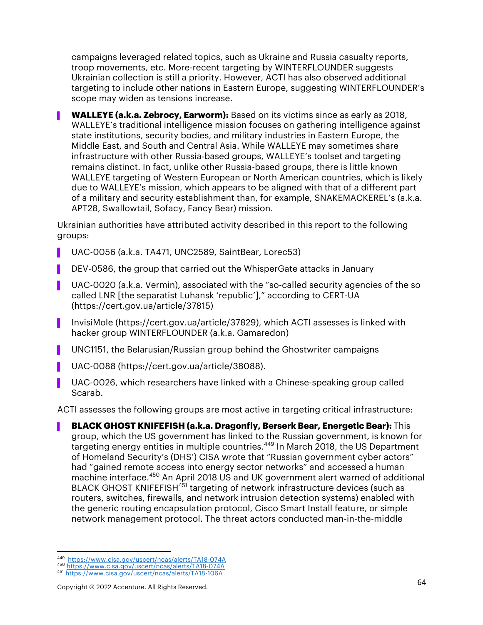campaigns leveraged related topics, such as Ukraine and Russia casualty reports, troop movements, etc. More-recent targeting by WINTERFLOUNDER suggests Ukrainian collection is still a priority. However, ACTI has also observed additional targeting to include other nations in Eastern Europe, suggesting WINTERFLOUNDER's scope may widen as tensions increase.

**WALLEYE (a.k.a. Zebrocy, Earworm):** Based on its victims since as early as 2018, WALLEYE's traditional intelligence mission focuses on gathering intelligence against state institutions, security bodies, and military industries in Eastern Europe, the Middle East, and South and Central Asia. While WALLEYE may sometimes share infrastructure with other Russia-based groups, WALLEYE's toolset and targeting remains distinct. In fact, unlike other Russia-based groups, there is little known WALLEYE targeting of Western European or North American countries, which is likely due to WALLEYE's mission, which appears to be aligned with that of a different part of a military and security establishment than, for example, SNAKEMACKEREL's (a.k.a. APT28, Swallowtail, Sofacy, Fancy Bear) mission.

Ukrainian authorities have attributed activity described in this report to the following groups:

- ▌ UAC-0056 (a.k.a. TA471, UNC2589, SaintBear, Lorec53)
- DEV-0586, the group that carried out the WhisperGate attacks in January
- UAC-0020 (a.k.a. Vermin), associated with the "so-called security agencies of the so called LNR [the separatist Luhansk 'republic']," according to CERT-UA (https://cert.gov.ua/article/37815)
- ▌ InvisiMole (https://cert.gov.ua/article/37829), which ACTI assesses is linked with hacker group WINTERFLOUNDER (a.k.a. Gamaredon)
- ▌ UNC1151, the Belarusian/Russian group behind the Ghostwriter campaigns
- ▌ UAC-0088 (https://cert.gov.ua/article/38088).
- UAC-0026, which researchers have linked with a Chinese-speaking group called Scarab.

ACTI assesses the following groups are most active in targeting critical infrastructure:

▌ **BLACK GHOST KNIFEFISH (a.k.a. Dragonfly, Berserk Bear, Energetic Bear):** This group, which the US government has linked to the Russian government, is known for targeting energy entities in multiple countries. <sup>449</sup> In March 2018, the US Department of Homeland Security's (DHS') CISA wrote that "Russian government cyber actors" had "gained remote access into energy sector networks" and accessed a human machine interface. <sup>450</sup> An April 2018 US and UK government alert warned of additional BLACK GHOST KNIFEFISH<sup>451</sup> targeting of network infrastructure devices (such as routers, switches, firewalls, and network intrusion detection systems) enabled with the generic routing encapsulation protocol, Cisco Smart Install feature, or simple network management protocol. The threat actors conducted man-in-the-middle

<sup>449</sup> https://www.cisa.gov/uscert/ncas/alerts/TA18-074A <sup>450</sup> https://www.cisa.gov/uscert/ncas/alerts/TA18-074A

<sup>451</sup> https://www.cisa.gov/uscert/ncas/alerts/TA18-106A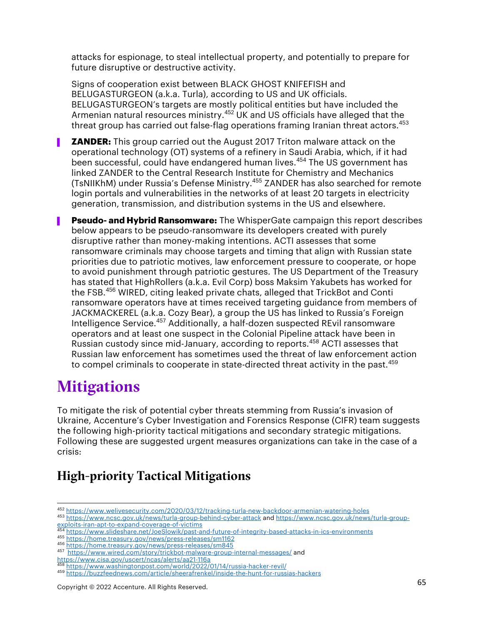attacks for espionage, to steal intellectual property, and potentially to prepare for future disruptive or destructive activity.

Signs of cooperation exist between BLACK GHOST KNIFEFISH and BELUGASTURGEON (a.k.a. Turla), according to US and UK officials. BELUGASTURGEON's targets are mostly political entities but have included the Armenian natural resources ministry. <sup>452</sup> UK and US officials have alleged that the threat group has carried out false-flag operations framing Iranian threat actors. 453

- **ZANDER:** This group carried out the August 2017 Triton malware attack on the operational technology (OT) systems of a refinery in Saudi Arabia, which, if it had been successful, could have endangered human lives. <sup>454</sup> The US government has linked ZANDER to the Central Research Institute for Chemistry and Mechanics (TsNIIKhM) under Russia's Defense Ministry. <sup>455</sup> ZANDER has also searched for remote login portals and vulnerabilities in the networks of at least 20 targets in electricity generation, transmission, and distribution systems in the US and elsewhere.
- ▌ **Pseudo- and Hybrid Ransomware:** The WhisperGate campaign this report describes below appears to be pseudo-ransomware its developers created with purely disruptive rather than money-making intentions. ACTI assesses that some ransomware criminals may choose targets and timing that align with Russian state priorities due to patriotic motives, law enforcement pressure to cooperate, or hope to avoid punishment through patriotic gestures. The US Department of the Treasury has stated that HighRollers (a.k.a. Evil Corp) boss Maksim Yakubets has worked for the FSB.<sup>456</sup> WIRED, citing leaked private chats, alleged that TrickBot and Conti ransomware operators have at times received targeting guidance from members of JACKMACKEREL (a.k.a. Cozy Bear), a group the US has linked to Russia's Foreign Intelligence Service.457 Additionally, a half-dozen suspected REvil ransomware operators and at least one suspect in the Colonial Pipeline attack have been in Russian custody since mid-January, according to reports.<sup>458</sup> ACTI assesses that Russian law enforcement has sometimes used the threat of law enforcement action to compel criminals to cooperate in state-directed threat activity in the past.<sup>459</sup>

## **Mitigations**

To mitigate the risk of potential cyber threats stemming from Russia's invasion of Ukraine, Accenture's Cyber Investigation and Forensics Response (CIFR) team suggests the following high-priority tactical mitigations and secondary strategic mitigations. Following these are suggested urgent measures organizations can take in the case of a crisis:

## High-priority Tactical Mitigations

<sup>452</sup> https://www.welivesecurity.com/2020/03/12/tracking-turla-new-backdoor-armenian-watering-holes

<sup>453</sup> https://www.ncsc.gov.uk/news/turla-group-behind-cyber-attack and https://www.ncsc.gov.uk/news/turla-groupexploits-iran-apt-to-expand-coverage-of-victims

<sup>454</sup> https://www.slideshare.net/JoeSlowik/past-and-future-of-integrity-based-attacks-in-ics-environments

<sup>455</sup> https://home.treasury.gov/news/press-releases/sm1162 <sup>456</sup> https://home.treasury.gov/news/press-releases/sm845

<sup>457</sup> https://www.wired.com/story/trickbot-malware-group-internal-messages/ and

https://www.cisa.gov/uscert/ncas/alerts/aa21-116a <sup>458</sup> https://www.washingtonpost.com/world/2022/01/14/russia-hacker-revil/

<sup>459</sup> https://buzzfeednews.com/article/sheerafrenkel/inside-the-hunt-for-russias-hackers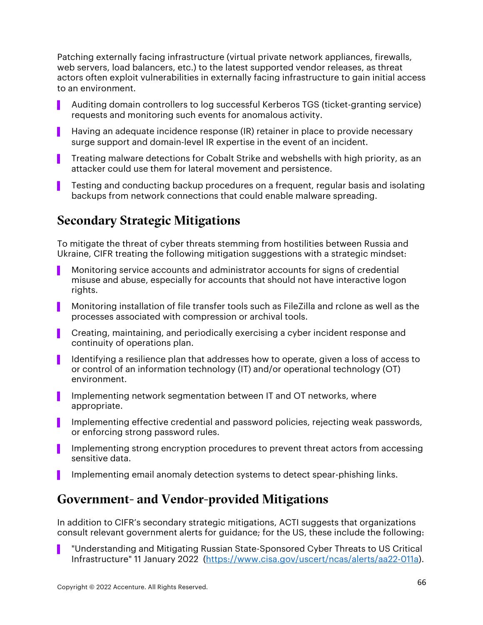Patching externally facing infrastructure (virtual private network appliances, firewalls, web servers, load balancers, etc.) to the latest supported vendor releases, as threat actors often exploit vulnerabilities in externally facing infrastructure to gain initial access to an environment.

- ▌ Auditing domain controllers to log successful Kerberos TGS (ticket-granting service) requests and monitoring such events for anomalous activity.
- ▌ Having an adequate incidence response (IR) retainer in place to provide necessary surge support and domain-level IR expertise in the event of an incident.
- ▌ Treating malware detections for Cobalt Strike and webshells with high priority, as an attacker could use them for lateral movement and persistence.
- ▌ Testing and conducting backup procedures on a frequent, regular basis and isolating backups from network connections that could enable malware spreading.

### Secondary Strategic Mitigations

To mitigate the threat of cyber threats stemming from hostilities between Russia and Ukraine, CIFR treating the following mitigation suggestions with a strategic mindset:

- ▌ Monitoring service accounts and administrator accounts for signs of credential misuse and abuse, especially for accounts that should not have interactive logon rights.
- ▌ Monitoring installation of file transfer tools such as FileZilla and rclone as well as the processes associated with compression or archival tools.
- ▌ Creating, maintaining, and periodically exercising a cyber incident response and continuity of operations plan.
- ▌ Identifying a resilience plan that addresses how to operate, given a loss of access to or control of an information technology (IT) and/or operational technology (OT) environment.
- Implementing network segmentation between IT and OT networks, where appropriate.
- ▌ Implementing effective credential and password policies, rejecting weak passwords, or enforcing strong password rules.
- ▌ Implementing strong encryption procedures to prevent threat actors from accessing sensitive data.
- Implementing email anomaly detection systems to detect spear-phishing links.

#### Government- and Vendor-provided Mitigations

In addition to CIFR's secondary strategic mitigations, ACTI suggests that organizations consult relevant government alerts for guidance; for the US, these include the following:

"Understanding and Mitigating Russian State-Sponsored Cyber Threats to US Critical Infrastructure" 11 January 2022 (https://www.cisa.gov/uscert/ncas/alerts/aa22-011a).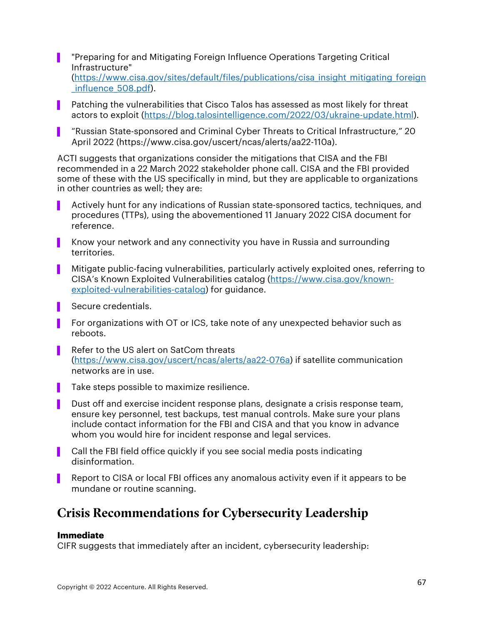- ▌ "Preparing for and Mitigating Foreign Influence Operations Targeting Critical Infrastructure" (https://www.cisa.gov/sites/default/files/publications/cisa\_insight\_mitigating\_foreign \_influence\_508.pdf).
- ▌ Patching the vulnerabilities that Cisco Talos has assessed as most likely for threat actors to exploit (https://blog.talosintelligence.com/2022/03/ukraine-update.html).
- ▌ "Russian State-sponsored and Criminal Cyber Threats to Critical Infrastructure," 20 April 2022 (https://www.cisa.gov/uscert/ncas/alerts/aa22-110a).

ACTI suggests that organizations consider the mitigations that CISA and the FBI recommended in a 22 March 2022 stakeholder phone call. CISA and the FBI provided some of these with the US specifically in mind, but they are applicable to organizations in other countries as well; they are:

- ▌ Actively hunt for any indications of Russian state-sponsored tactics, techniques, and procedures (TTPs), using the abovementioned 11 January 2022 CISA document for reference.
- Know your network and any connectivity you have in Russia and surrounding territories.
- ▌ Mitigate public-facing vulnerabilities, particularly actively exploited ones, referring to CISA's Known Exploited Vulnerabilities catalog (https://www.cisa.gov/knownexploited-vulnerabilities-catalog) for guidance.
- Secure credentials.
- ▌ For organizations with OT or ICS, take note of any unexpected behavior such as reboots.
- Refer to the US alert on SatCom threats (https://www.cisa.gov/uscert/ncas/alerts/aa22-076a) if satellite communication networks are in use.
- ▌ Take steps possible to maximize resilience.
- Dust off and exercise incident response plans, designate a crisis response team, ensure key personnel, test backups, test manual controls. Make sure your plans include contact information for the FBI and CISA and that you know in advance whom you would hire for incident response and legal services.
- Call the FBI field office quickly if you see social media posts indicating disinformation.
- Report to CISA or local FBI offices any anomalous activity even if it appears to be mundane or routine scanning.

### Crisis Recommendations for Cybersecurity Leadership

#### **Immediate**

CIFR suggests that immediately after an incident, cybersecurity leadership: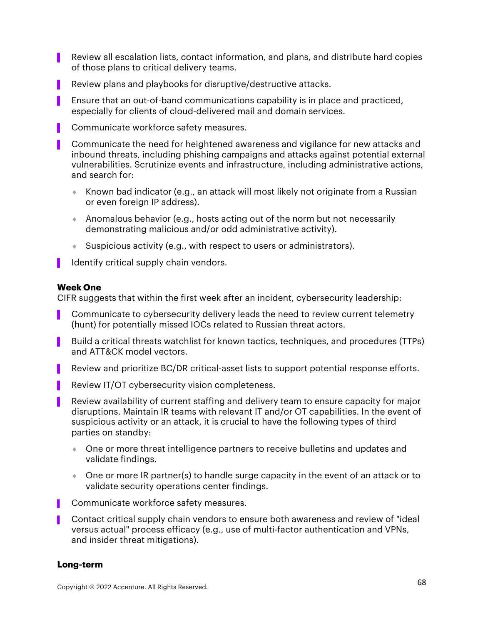- Review all escalation lists, contact information, and plans, and distribute hard copies of those plans to critical delivery teams.
- Review plans and playbooks for disruptive/destructive attacks.
- Ensure that an out-of-band communications capability is in place and practiced, especially for clients of cloud-delivered mail and domain services.
- Communicate workforce safety measures.
- ▌ Communicate the need for heightened awareness and vigilance for new attacks and inbound threats, including phishing campaigns and attacks against potential external vulnerabilities. Scrutinize events and infrastructure, including administrative actions, and search for:
	- $\bullet$  Known bad indicator (e.g., an attack will most likely not originate from a Russian or even foreign IP address).
	- **Anomalous behavior (e.g., hosts acting out of the norm but not necessarily** demonstrating malicious and/or odd administrative activity).
	- $\bullet$  Suspicious activity (e.g., with respect to users or administrators).
- Identify critical supply chain vendors.

#### **Week One**

CIFR suggests that within the first week after an incident, cybersecurity leadership:

- Communicate to cybersecurity delivery leads the need to review current telemetry (hunt) for potentially missed IOCs related to Russian threat actors.
- Build a critical threats watchlist for known tactics, techniques, and procedures (TTPs) and ATT&CK model vectors.
- Review and prioritize BC/DR critical-asset lists to support potential response efforts.
- Review IT/OT cybersecurity vision completeness.
- ▌ Review availability of current staffing and delivery team to ensure capacity for major disruptions. Maintain IR teams with relevant IT and/or OT capabilities. In the event of suspicious activity or an attack, it is crucial to have the following types of third parties on standby:
	- **One or more threat intelligence partners to receive bulletins and updates and** validate findings.
	- One or more IR partner(s) to handle surge capacity in the event of an attack or to validate security operations center findings.
- Communicate workforce safety measures.
- ▌ Contact critical supply chain vendors to ensure both awareness and review of "ideal versus actual" process efficacy (e.g., use of multi-factor authentication and VPNs, and insider threat mitigations).

#### **Long-term**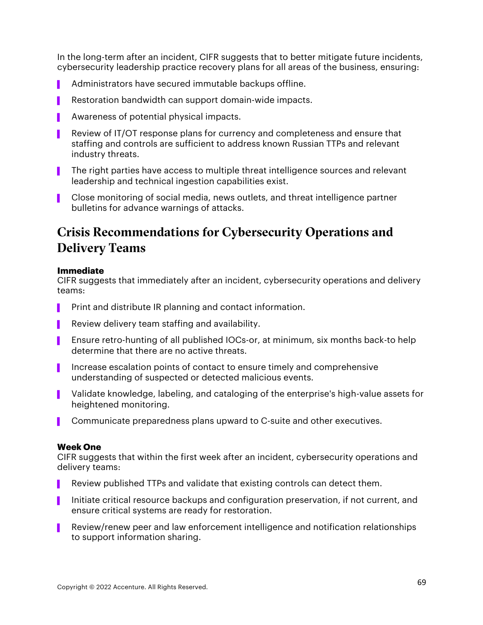In the long-term after an incident, CIFR suggests that to better mitigate future incidents, cybersecurity leadership practice recovery plans for all areas of the business, ensuring:

- Administrators have secured immutable backups offline.
- Restoration bandwidth can support domain-wide impacts.
- Awareness of potential physical impacts.
- Review of IT/OT response plans for currency and completeness and ensure that staffing and controls are sufficient to address known Russian TTPs and relevant industry threats.
- ▌ The right parties have access to multiple threat intelligence sources and relevant leadership and technical ingestion capabilities exist.
- ▌ Close monitoring of social media, news outlets, and threat intelligence partner bulletins for advance warnings of attacks.

## Crisis Recommendations for Cybersecurity Operations and Delivery Teams

#### **Immediate**

CIFR suggests that immediately after an incident, cybersecurity operations and delivery teams:

- **Print and distribute IR planning and contact information.**
- **P** Review delivery team staffing and availability.
- Ensure retro-hunting of all published IOCs-or, at minimum, six months back-to help determine that there are no active threats.
- ▌ Increase escalation points of contact to ensure timely and comprehensive understanding of suspected or detected malicious events.
- ▌ Validate knowledge, labeling, and cataloging of the enterprise's high-value assets for heightened monitoring.
- ▌ Communicate preparedness plans upward to C-suite and other executives.

#### **Week One**

CIFR suggests that within the first week after an incident, cybersecurity operations and delivery teams:

- ▌ Review published TTPs and validate that existing controls can detect them.
- ▌ Initiate critical resource backups and configuration preservation, if not current, and ensure critical systems are ready for restoration.
- Review/renew peer and law enforcement intelligence and notification relationships to support information sharing.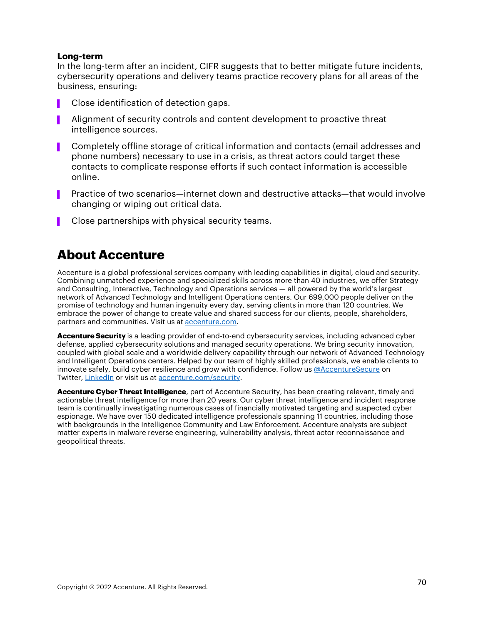#### **Long-term**

In the long-term after an incident, CIFR suggests that to better mitigate future incidents, cybersecurity operations and delivery teams practice recovery plans for all areas of the business, ensuring:

- Close identification of detection gaps.
- ▌ Alignment of security controls and content development to proactive threat intelligence sources.
- ▌ Completely offline storage of critical information and contacts (email addresses and phone numbers) necessary to use in a crisis, as threat actors could target these contacts to complicate response efforts if such contact information is accessible online.
- ▌ Practice of two scenarios—internet down and destructive attacks—that would involve changing or wiping out critical data.
- Close partnerships with physical security teams.

#### **About Accenture**

Accenture is a global professional services company with leading capabilities in digital, cloud and security. Combining unmatched experience and specialized skills across more than 40 industries, we offer Strategy and Consulting, Interactive, Technology and Operations services — all powered by the world's largest network of Advanced Technology and Intelligent Operations centers. Our 699,000 people deliver on the promise of technology and human ingenuity every day, serving clients in more than 120 countries. We embrace the power of change to create value and shared success for our clients, people, shareholders, partners and communities. Visit us at accenture.com.

**Accenture Security** is a leading provider of end-to-end cybersecurity services, including advanced cyber defense, applied cybersecurity solutions and managed security operations. We bring security innovation, coupled with global scale and a worldwide delivery capability through our network of Advanced Technology and Intelligent Operations centers. Helped by our team of highly skilled professionals, we enable clients to innovate safely, build cyber resilience and grow with confidence. Follow us @AccentureSecure on Twitter, LinkedIn or visit us at accenture.com/security.

**Accenture Cyber Threat Intelligence**, part of Accenture Security, has been creating relevant, timely and actionable threat intelligence for more than 20 years. Our cyber threat intelligence and incident response team is continually investigating numerous cases of financially motivated targeting and suspected cyber espionage. We have over 150 dedicated intelligence professionals spanning 11 countries, including those with backgrounds in the Intelligence Community and Law Enforcement. Accenture analysts are subject matter experts in malware reverse engineering, vulnerability analysis, threat actor reconnaissance and geopolitical threats.